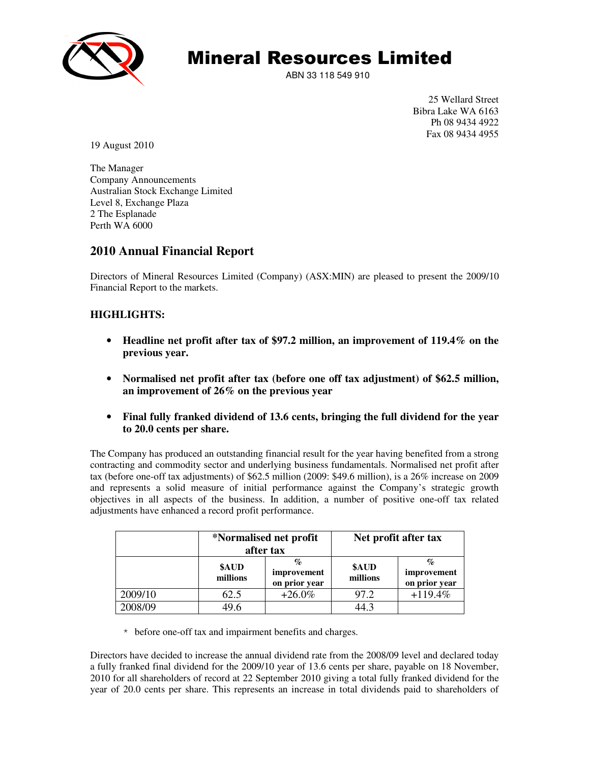

ABN 33 118 549 910

25 Wellard Street Bibra Lake WA 6163 Ph 08 9434 4922 Fax 08 9434 4955

19 August 2010

The Manager Company Announcements Australian Stock Exchange Limited Level 8, Exchange Plaza 2 The Esplanade Perth WA 6000

## **2010 Annual Financial Report**

Directors of Mineral Resources Limited (Company) (ASX:MIN) are pleased to present the 2009/10 Financial Report to the markets.

## **HIGHLIGHTS:**

- **Headline net profit after tax of \$97.2 million, an improvement of 119.4% on the previous year.**
- **Normalised net profit after tax (before one off tax adjustment) of \$62.5 million, an improvement of 26% on the previous year**
- **Final fully franked dividend of 13.6 cents, bringing the full dividend for the year to 20.0 cents per share.**

The Company has produced an outstanding financial result for the year having benefited from a strong contracting and commodity sector and underlying business fundamentals. Normalised net profit after tax (before one-off tax adjustments) of \$62.5 million (2009: \$49.6 million), is a 26% increase on 2009 and represents a solid measure of initial performance against the Company's strategic growth objectives in all aspects of the business. In addition, a number of positive one-off tax related adjustments have enhanced a record profit performance.

|         | *Normalised net profit<br>after tax |                                   | Net profit after tax |                                      |
|---------|-------------------------------------|-----------------------------------|----------------------|--------------------------------------|
|         | \$AUD<br>millions                   | %<br>improvement<br>on prior year | \$AUD<br>millions    | $\%$<br>improvement<br>on prior year |
| 2009/10 | 62.5                                | $+26.0\%$                         | 97.2                 | $+119.4%$                            |
| 2008/09 | 49.6                                |                                   | 44.3                 |                                      |

\* before one-off tax and impairment benefits and charges.

Directors have decided to increase the annual dividend rate from the 2008/09 level and declared today a fully franked final dividend for the 2009/10 year of 13.6 cents per share, payable on 18 November, 2010 for all shareholders of record at 22 September 2010 giving a total fully franked dividend for the year of 20.0 cents per share. This represents an increase in total dividends paid to shareholders of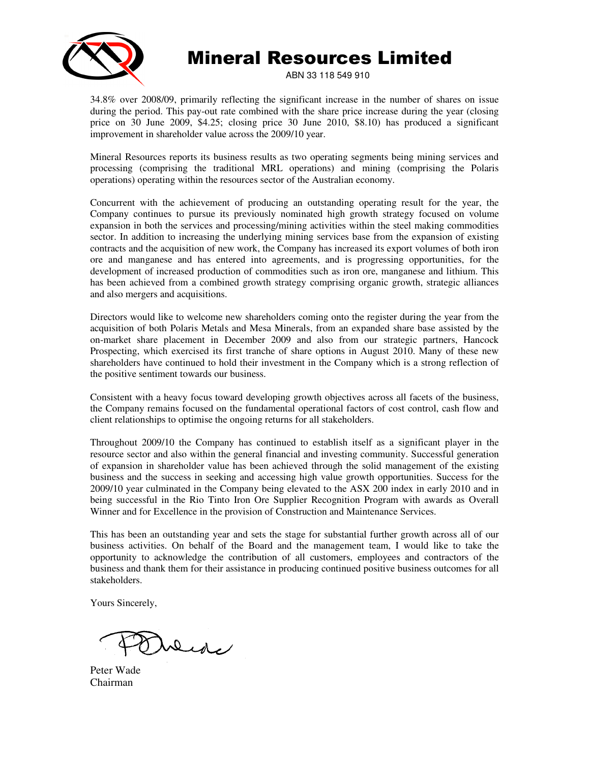

ABN 33 118 549 910

34.8% over 2008/09, primarily reflecting the significant increase in the number of shares on issue during the period. This pay-out rate combined with the share price increase during the year (closing price on 30 June 2009, \$4.25; closing price 30 June 2010, \$8.10) has produced a significant improvement in shareholder value across the 2009/10 year.

Mineral Resources reports its business results as two operating segments being mining services and processing (comprising the traditional MRL operations) and mining (comprising the Polaris operations) operating within the resources sector of the Australian economy.

Concurrent with the achievement of producing an outstanding operating result for the year, the Company continues to pursue its previously nominated high growth strategy focused on volume expansion in both the services and processing/mining activities within the steel making commodities sector. In addition to increasing the underlying mining services base from the expansion of existing contracts and the acquisition of new work, the Company has increased its export volumes of both iron ore and manganese and has entered into agreements, and is progressing opportunities, for the development of increased production of commodities such as iron ore, manganese and lithium. This has been achieved from a combined growth strategy comprising organic growth, strategic alliances and also mergers and acquisitions.

Directors would like to welcome new shareholders coming onto the register during the year from the acquisition of both Polaris Metals and Mesa Minerals, from an expanded share base assisted by the on-market share placement in December 2009 and also from our strategic partners, Hancock Prospecting, which exercised its first tranche of share options in August 2010. Many of these new shareholders have continued to hold their investment in the Company which is a strong reflection of the positive sentiment towards our business.

Consistent with a heavy focus toward developing growth objectives across all facets of the business, the Company remains focused on the fundamental operational factors of cost control, cash flow and client relationships to optimise the ongoing returns for all stakeholders.

Throughout 2009/10 the Company has continued to establish itself as a significant player in the resource sector and also within the general financial and investing community. Successful generation of expansion in shareholder value has been achieved through the solid management of the existing business and the success in seeking and accessing high value growth opportunities. Success for the 2009/10 year culminated in the Company being elevated to the ASX 200 index in early 2010 and in being successful in the Rio Tinto Iron Ore Supplier Recognition Program with awards as Overall Winner and for Excellence in the provision of Construction and Maintenance Services.

This has been an outstanding year and sets the stage for substantial further growth across all of our business activities. On behalf of the Board and the management team, I would like to take the opportunity to acknowledge the contribution of all customers, employees and contractors of the business and thank them for their assistance in producing continued positive business outcomes for all stakeholders.

Yours Sincerely,

Dede

Peter Wade Chairman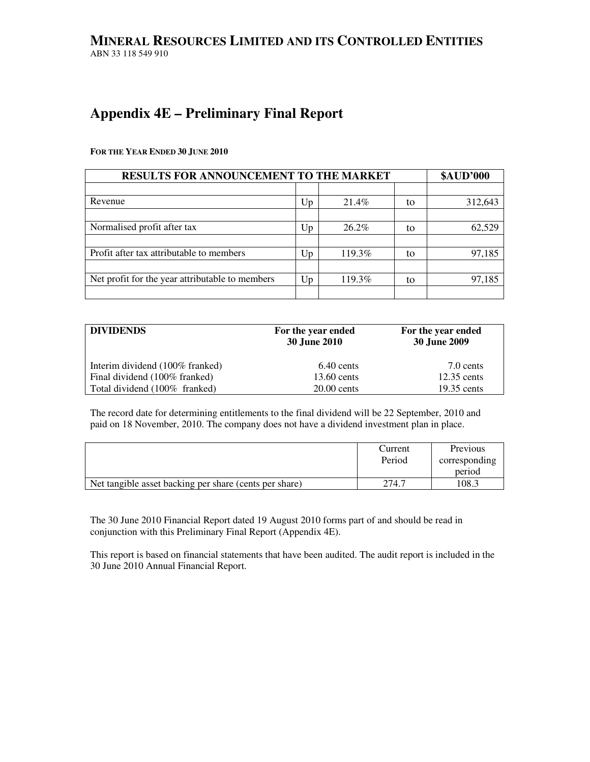## **MINERAL RESOURCES LIMITED AND ITS CONTROLLED ENTITIES** ABN 33 118 549 910

# **Appendix 4E – Preliminary Final Report**

**FOR THE YEAR ENDED 30 JUNE 2010**

| <b>RESULTS FOR ANNOUNCEMENT TO THE MARKET</b>   | <b>\$AUD'000</b> |          |    |         |
|-------------------------------------------------|------------------|----------|----|---------|
|                                                 |                  |          |    |         |
| Revenue                                         | Up               | 21.4%    | to | 312,643 |
|                                                 |                  |          |    |         |
| Normalised profit after tax                     | Up               | $26.2\%$ | to | 62,529  |
|                                                 |                  |          |    |         |
| Profit after tax attributable to members        | Up               | 119.3%   | to | 97,185  |
|                                                 |                  |          |    |         |
| Net profit for the year attributable to members | Up               | 119.3%   | to | 97,185  |
|                                                 |                  |          |    |         |

| <b>DIVIDENDS</b>                | For the year ended<br><b>30 June 2010</b> | For the year ended<br><b>30 June 2009</b> |
|---------------------------------|-------------------------------------------|-------------------------------------------|
| Interim dividend (100% franked) | 6.40 cents                                | 7.0 cents                                 |
| Final dividend (100% franked)   | 13.60 cents                               | $12.35$ cents                             |
| Total dividend (100% franked)   | $20.00$ cents                             | $19.35$ cents                             |

The record date for determining entitlements to the final dividend will be 22 September, 2010 and paid on 18 November, 2010. The company does not have a dividend investment plan in place.

|                                                        | Current | Previous      |
|--------------------------------------------------------|---------|---------------|
|                                                        | Period  | corresponding |
|                                                        |         | period        |
| Net tangible asset backing per share (cents per share) | 274.7   | 108.3         |

The 30 June 2010 Financial Report dated 19 August 2010 forms part of and should be read in conjunction with this Preliminary Final Report (Appendix 4E).

This report is based on financial statements that have been audited. The audit report is included in the 30 June 2010 Annual Financial Report.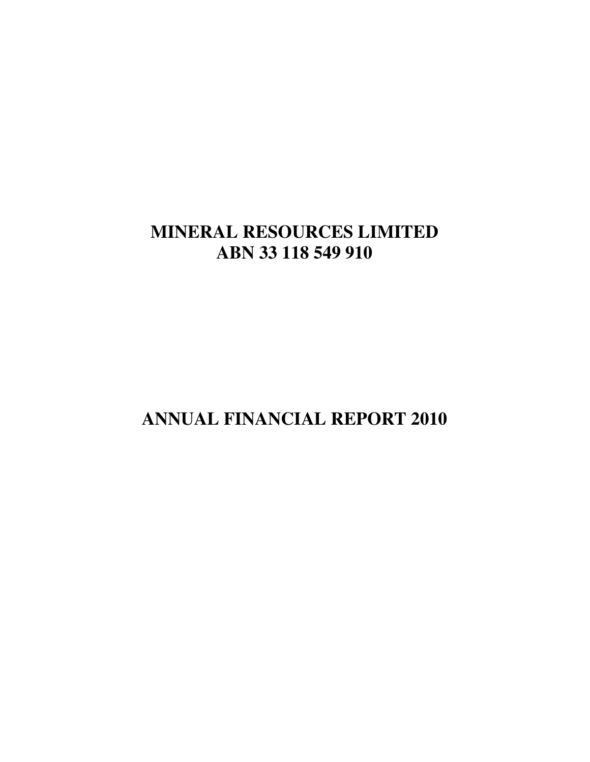# **MINERAL RESOURCES LIMITED ABN 33 118 549 910**

**ANNUAL FINANCIAL REPORT 2010**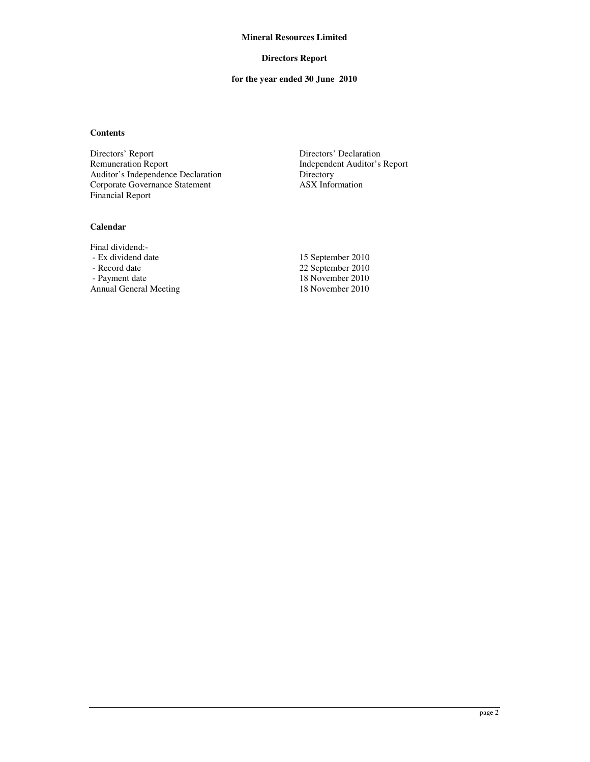#### **Directors Report**

## **for the year ended 30 June 2010**

## **Contents**

Directors' Report Directors' Declaration<br>
Remuneration Report Independent Auditor's Auditor's Independence Declaration<br>
Corporate Governance Statement<br>
ASX Information Corporate Governance Statement Financial Report

Independent Auditor's Report<br>Directory

## **Calendar**

Final dividend:<br>- Ex dividend date - Ex dividend date 15 September 2010<br>- Record date 22 September 2010 - Record date 22 September 2010<br>
- Payment date 2010 Annual General Meeting

18 November 2010<br>18 November 2010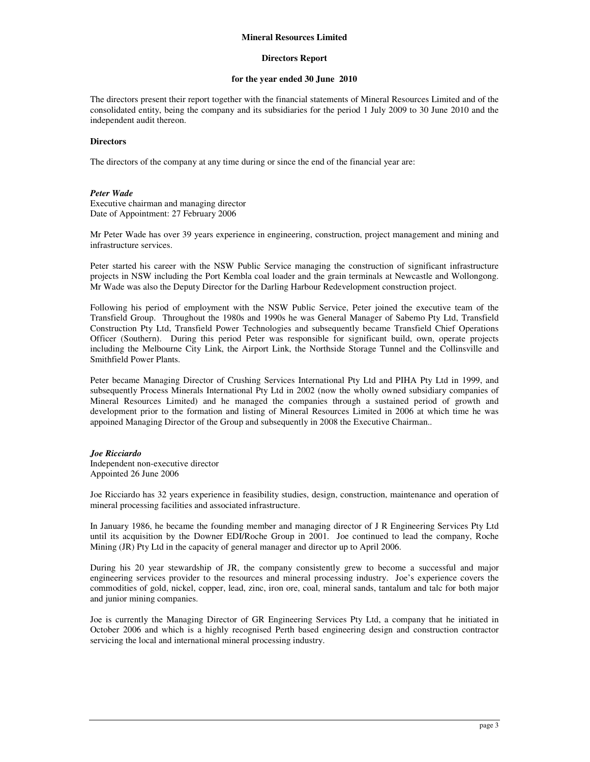#### **Directors Report**

#### **for the year ended 30 June 2010**

The directors present their report together with the financial statements of Mineral Resources Limited and of the consolidated entity, being the company and its subsidiaries for the period 1 July 2009 to 30 June 2010 and the independent audit thereon.

#### **Directors**

The directors of the company at any time during or since the end of the financial year are:

#### *Peter Wade*

Executive chairman and managing director Date of Appointment: 27 February 2006

Mr Peter Wade has over 39 years experience in engineering, construction, project management and mining and infrastructure services.

Peter started his career with the NSW Public Service managing the construction of significant infrastructure projects in NSW including the Port Kembla coal loader and the grain terminals at Newcastle and Wollongong. Mr Wade was also the Deputy Director for the Darling Harbour Redevelopment construction project.

Following his period of employment with the NSW Public Service, Peter joined the executive team of the Transfield Group. Throughout the 1980s and 1990s he was General Manager of Sabemo Pty Ltd, Transfield Construction Pty Ltd, Transfield Power Technologies and subsequently became Transfield Chief Operations Officer (Southern). During this period Peter was responsible for significant build, own, operate projects including the Melbourne City Link, the Airport Link, the Northside Storage Tunnel and the Collinsville and Smithfield Power Plants.

Peter became Managing Director of Crushing Services International Pty Ltd and PIHA Pty Ltd in 1999, and subsequently Process Minerals International Pty Ltd in 2002 (now the wholly owned subsidiary companies of Mineral Resources Limited) and he managed the companies through a sustained period of growth and development prior to the formation and listing of Mineral Resources Limited in 2006 at which time he was appoined Managing Director of the Group and subsequently in 2008 the Executive Chairman..

#### *Joe Ricciardo*

Independent non-executive director Appointed 26 June 2006

Joe Ricciardo has 32 years experience in feasibility studies, design, construction, maintenance and operation of mineral processing facilities and associated infrastructure.

In January 1986, he became the founding member and managing director of J R Engineering Services Pty Ltd until its acquisition by the Downer EDI/Roche Group in 2001. Joe continued to lead the company, Roche Mining (JR) Pty Ltd in the capacity of general manager and director up to April 2006.

During his 20 year stewardship of JR, the company consistently grew to become a successful and major engineering services provider to the resources and mineral processing industry. Joe's experience covers the commodities of gold, nickel, copper, lead, zinc, iron ore, coal, mineral sands, tantalum and talc for both major and junior mining companies.

Joe is currently the Managing Director of GR Engineering Services Pty Ltd, a company that he initiated in October 2006 and which is a highly recognised Perth based engineering design and construction contractor servicing the local and international mineral processing industry.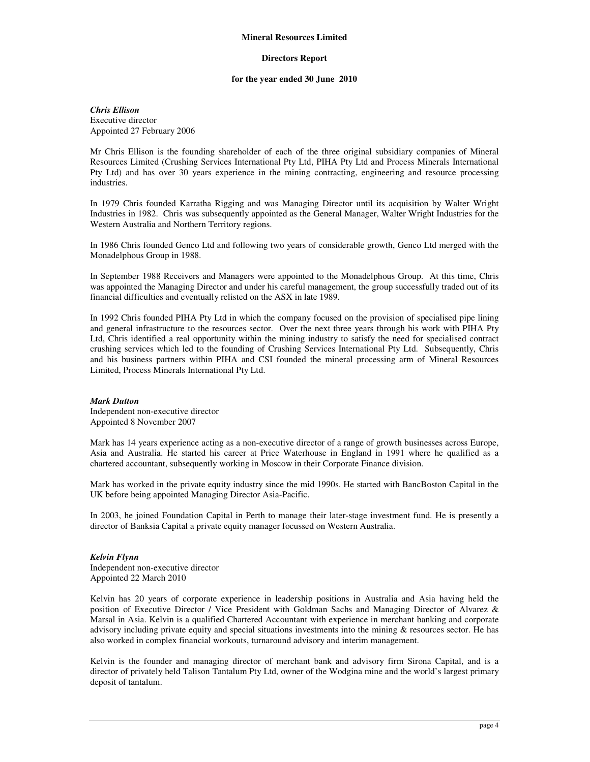#### **Directors Report**

#### **for the year ended 30 June 2010**

#### *Chris Ellison*  Executive director Appointed 27 February 2006

Mr Chris Ellison is the founding shareholder of each of the three original subsidiary companies of Mineral Resources Limited (Crushing Services International Pty Ltd, PIHA Pty Ltd and Process Minerals International Pty Ltd) and has over 30 years experience in the mining contracting, engineering and resource processing industries.

In 1979 Chris founded Karratha Rigging and was Managing Director until its acquisition by Walter Wright Industries in 1982. Chris was subsequently appointed as the General Manager, Walter Wright Industries for the Western Australia and Northern Territory regions.

In 1986 Chris founded Genco Ltd and following two years of considerable growth, Genco Ltd merged with the Monadelphous Group in 1988.

In September 1988 Receivers and Managers were appointed to the Monadelphous Group. At this time, Chris was appointed the Managing Director and under his careful management, the group successfully traded out of its financial difficulties and eventually relisted on the ASX in late 1989.

In 1992 Chris founded PIHA Pty Ltd in which the company focused on the provision of specialised pipe lining and general infrastructure to the resources sector. Over the next three years through his work with PIHA Pty Ltd, Chris identified a real opportunity within the mining industry to satisfy the need for specialised contract crushing services which led to the founding of Crushing Services International Pty Ltd. Subsequently, Chris and his business partners within PIHA and CSI founded the mineral processing arm of Mineral Resources Limited, Process Minerals International Pty Ltd.

#### *Mark Dutton*

Independent non-executive director Appointed 8 November 2007

Mark has 14 years experience acting as a non-executive director of a range of growth businesses across Europe, Asia and Australia. He started his career at Price Waterhouse in England in 1991 where he qualified as a chartered accountant, subsequently working in Moscow in their Corporate Finance division.

Mark has worked in the private equity industry since the mid 1990s. He started with BancBoston Capital in the UK before being appointed Managing Director Asia-Pacific.

In 2003, he joined Foundation Capital in Perth to manage their later-stage investment fund. He is presently a director of Banksia Capital a private equity manager focussed on Western Australia.

#### *Kelvin Flynn*

Independent non-executive director Appointed 22 March 2010

Kelvin has 20 years of corporate experience in leadership positions in Australia and Asia having held the position of Executive Director / Vice President with Goldman Sachs and Managing Director of Alvarez & Marsal in Asia. Kelvin is a qualified Chartered Accountant with experience in merchant banking and corporate advisory including private equity and special situations investments into the mining & resources sector. He has also worked in complex financial workouts, turnaround advisory and interim management.

Kelvin is the founder and managing director of merchant bank and advisory firm Sirona Capital, and is a director of privately held Talison Tantalum Pty Ltd, owner of the Wodgina mine and the world's largest primary deposit of tantalum.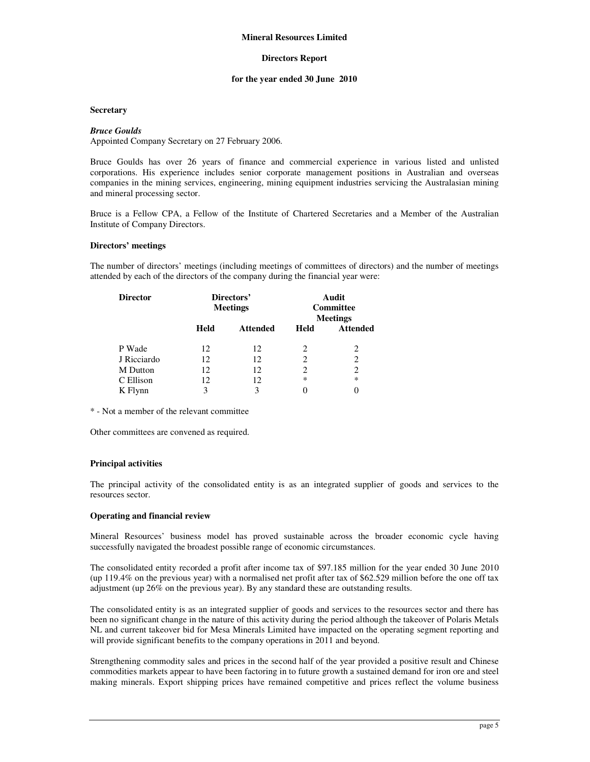#### **Directors Report**

#### **for the year ended 30 June 2010**

#### **Secretary**

#### *Bruce Goulds*

Appointed Company Secretary on 27 February 2006.

Bruce Goulds has over 26 years of finance and commercial experience in various listed and unlisted corporations. His experience includes senior corporate management positions in Australian and overseas companies in the mining services, engineering, mining equipment industries servicing the Australasian mining and mineral processing sector.

Bruce is a Fellow CPA, a Fellow of the Institute of Chartered Secretaries and a Member of the Australian Institute of Company Directors.

#### **Directors' meetings**

The number of directors' meetings (including meetings of committees of directors) and the number of meetings attended by each of the directors of the company during the financial year were:

| <b>Director</b> | Directors'<br><b>Meetings</b> |                 |        | Audit<br><b>Committee</b><br><b>Meetings</b> |
|-----------------|-------------------------------|-----------------|--------|----------------------------------------------|
|                 | Held                          | <b>Attended</b> | Held   | <b>Attended</b>                              |
| P Wade          | 12                            | 12              | 2      | 2                                            |
| J Ricciardo     | 12                            | 12              | 2      | $\overline{c}$                               |
| M Dutton        | 12                            | 12              | 2      | $\overline{c}$                               |
| C Ellison       | 12                            | 12              | $\ast$ | $\ast$                                       |
| K Flynn         | 3                             | 3               |        | 0                                            |

\* - Not a member of the relevant committee

Other committees are convened as required.

#### **Principal activities**

The principal activity of the consolidated entity is as an integrated supplier of goods and services to the resources sector.

#### **Operating and financial review**

Mineral Resources' business model has proved sustainable across the broader economic cycle having successfully navigated the broadest possible range of economic circumstances.

The consolidated entity recorded a profit after income tax of \$97.185 million for the year ended 30 June 2010 (up 119.4% on the previous year) with a normalised net profit after tax of \$62.529 million before the one off tax adjustment (up 26% on the previous year). By any standard these are outstanding results.

The consolidated entity is as an integrated supplier of goods and services to the resources sector and there has been no significant change in the nature of this activity during the period although the takeover of Polaris Metals NL and current takeover bid for Mesa Minerals Limited have impacted on the operating segment reporting and will provide significant benefits to the company operations in 2011 and beyond.

Strengthening commodity sales and prices in the second half of the year provided a positive result and Chinese commodities markets appear to have been factoring in to future growth a sustained demand for iron ore and steel making minerals. Export shipping prices have remained competitive and prices reflect the volume business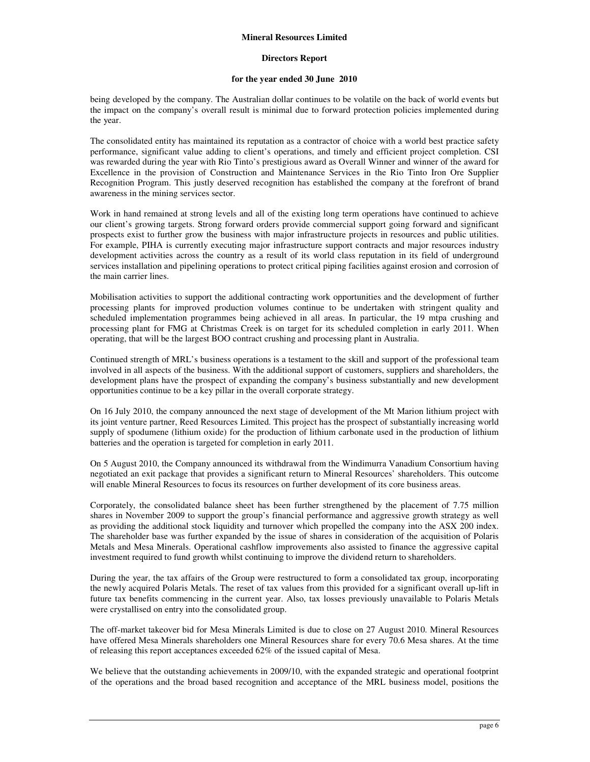#### **Directors Report**

#### **for the year ended 30 June 2010**

being developed by the company. The Australian dollar continues to be volatile on the back of world events but the impact on the company's overall result is minimal due to forward protection policies implemented during the year.

The consolidated entity has maintained its reputation as a contractor of choice with a world best practice safety performance, significant value adding to client's operations, and timely and efficient project completion. CSI was rewarded during the year with Rio Tinto's prestigious award as Overall Winner and winner of the award for Excellence in the provision of Construction and Maintenance Services in the Rio Tinto Iron Ore Supplier Recognition Program. This justly deserved recognition has established the company at the forefront of brand awareness in the mining services sector.

Work in hand remained at strong levels and all of the existing long term operations have continued to achieve our client's growing targets. Strong forward orders provide commercial support going forward and significant prospects exist to further grow the business with major infrastructure projects in resources and public utilities. For example, PIHA is currently executing major infrastructure support contracts and major resources industry development activities across the country as a result of its world class reputation in its field of underground services installation and pipelining operations to protect critical piping facilities against erosion and corrosion of the main carrier lines.

Mobilisation activities to support the additional contracting work opportunities and the development of further processing plants for improved production volumes continue to be undertaken with stringent quality and scheduled implementation programmes being achieved in all areas. In particular, the 19 mtpa crushing and processing plant for FMG at Christmas Creek is on target for its scheduled completion in early 2011. When operating, that will be the largest BOO contract crushing and processing plant in Australia.

Continued strength of MRL's business operations is a testament to the skill and support of the professional team involved in all aspects of the business. With the additional support of customers, suppliers and shareholders, the development plans have the prospect of expanding the company's business substantially and new development opportunities continue to be a key pillar in the overall corporate strategy.

On 16 July 2010, the company announced the next stage of development of the Mt Marion lithium project with its joint venture partner, Reed Resources Limited. This project has the prospect of substantially increasing world supply of spodumene (lithium oxide) for the production of lithium carbonate used in the production of lithium batteries and the operation is targeted for completion in early 2011.

On 5 August 2010, the Company announced its withdrawal from the Windimurra Vanadium Consortium having negotiated an exit package that provides a significant return to Mineral Resources' shareholders. This outcome will enable Mineral Resources to focus its resources on further development of its core business areas.

Corporately, the consolidated balance sheet has been further strengthened by the placement of 7.75 million shares in November 2009 to support the group's financial performance and aggressive growth strategy as well as providing the additional stock liquidity and turnover which propelled the company into the ASX 200 index. The shareholder base was further expanded by the issue of shares in consideration of the acquisition of Polaris Metals and Mesa Minerals. Operational cashflow improvements also assisted to finance the aggressive capital investment required to fund growth whilst continuing to improve the dividend return to shareholders.

During the year, the tax affairs of the Group were restructured to form a consolidated tax group, incorporating the newly acquired Polaris Metals. The reset of tax values from this provided for a significant overall up-lift in future tax benefits commencing in the current year. Also, tax losses previously unavailable to Polaris Metals were crystallised on entry into the consolidated group.

The off-market takeover bid for Mesa Minerals Limited is due to close on 27 August 2010. Mineral Resources have offered Mesa Minerals shareholders one Mineral Resources share for every 70.6 Mesa shares. At the time of releasing this report acceptances exceeded 62% of the issued capital of Mesa.

We believe that the outstanding achievements in 2009/10, with the expanded strategic and operational footprint of the operations and the broad based recognition and acceptance of the MRL business model, positions the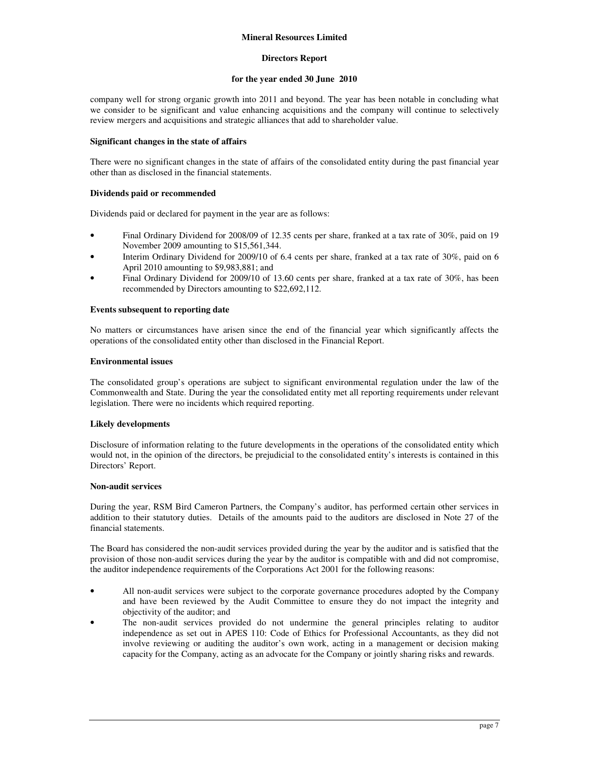#### **Directors Report**

#### **for the year ended 30 June 2010**

company well for strong organic growth into 2011 and beyond. The year has been notable in concluding what we consider to be significant and value enhancing acquisitions and the company will continue to selectively review mergers and acquisitions and strategic alliances that add to shareholder value.

#### **Significant changes in the state of affairs**

There were no significant changes in the state of affairs of the consolidated entity during the past financial year other than as disclosed in the financial statements.

#### **Dividends paid or recommended**

Dividends paid or declared for payment in the year are as follows:

- Final Ordinary Dividend for 2008/09 of 12.35 cents per share, franked at a tax rate of 30%, paid on 19 November 2009 amounting to \$15,561,344.
- Interim Ordinary Dividend for 2009/10 of 6.4 cents per share, franked at a tax rate of 30%, paid on 6 April 2010 amounting to \$9,983,881; and
- Final Ordinary Dividend for 2009/10 of 13.60 cents per share, franked at a tax rate of 30%, has been recommended by Directors amounting to \$22,692,112.

#### **Events subsequent to reporting date**

No matters or circumstances have arisen since the end of the financial year which significantly affects the operations of the consolidated entity other than disclosed in the Financial Report.

#### **Environmental issues**

The consolidated group's operations are subject to significant environmental regulation under the law of the Commonwealth and State. During the year the consolidated entity met all reporting requirements under relevant legislation. There were no incidents which required reporting.

#### **Likely developments**

Disclosure of information relating to the future developments in the operations of the consolidated entity which would not, in the opinion of the directors, be prejudicial to the consolidated entity's interests is contained in this Directors' Report.

#### **Non-audit services**

During the year, RSM Bird Cameron Partners, the Company's auditor, has performed certain other services in addition to their statutory duties. Details of the amounts paid to the auditors are disclosed in Note 27 of the financial statements.

The Board has considered the non-audit services provided during the year by the auditor and is satisfied that the provision of those non-audit services during the year by the auditor is compatible with and did not compromise, the auditor independence requirements of the Corporations Act 2001 for the following reasons:

- All non-audit services were subject to the corporate governance procedures adopted by the Company and have been reviewed by the Audit Committee to ensure they do not impact the integrity and objectivity of the auditor; and
- The non-audit services provided do not undermine the general principles relating to auditor independence as set out in APES 110: Code of Ethics for Professional Accountants, as they did not involve reviewing or auditing the auditor's own work, acting in a management or decision making capacity for the Company, acting as an advocate for the Company or jointly sharing risks and rewards.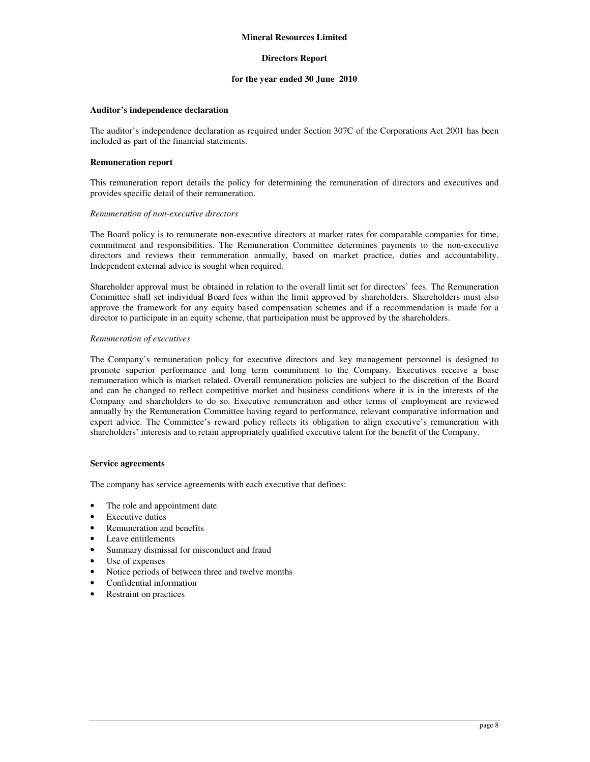#### **Directors Report**

#### **for the year ended 30 June 2010**

#### **Auditor's independence declaration**

The auditor's independence declaration as required under Section 307C of the Corporations Act 2001 has been included as part of the financial statements.

#### **Remuneration report**

This remuneration report details the policy for determining the remuneration of directors and executives and provides specific detail of their remuneration.

#### *Remuneration of non-executive directors*

The Board policy is to remunerate non-executive directors at market rates for comparable companies for time, commitment and responsibilities. The Remuneration Committee determines payments to the non-executive directors and reviews their remuneration annually, based on market practice, duties and accountability. Independent external advice is sought when required.

Shareholder approval must be obtained in relation to the overall limit set for directors' fees. The Remuneration Committee shall set individual Board fees within the limit approved by shareholders. Shareholders must also approve the framework for any equity based compensation schemes and if a recommendation is made for a director to participate in an equity scheme, that participation must be approved by the shareholders.

#### *Remuneration of executives*

The Company's remuneration policy for executive directors and key management personnel is designed to promote superior performance and long term commitment to the Company. Executives receive a base remuneration which is market related. Overall remuneration policies are subject to the discretion of the Board and can be changed to reflect competitive market and business conditions where it is in the interests of the Company and shareholders to do so. Executive remuneration and other terms of employment are reviewed annually by the Remuneration Committee having regard to performance, relevant comparative information and expert advice. The Committee's reward policy reflects its obligation to align executive's remuneration with shareholders' interests and to retain appropriately qualified executive talent for the benefit of the Company.

#### **Service agreements**

The company has service agreements with each executive that defines:

- The role and appointment date
- Executive duties
- Remuneration and benefits
- Leave entitlements
- Summary dismissal for misconduct and fraud
- Use of expenses
- Notice periods of between three and twelve months
- Confidential information
- Restraint on practices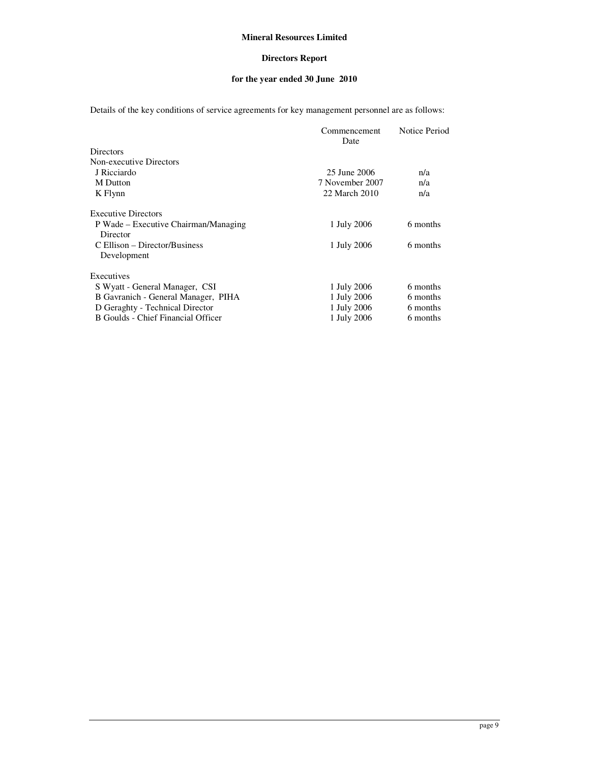## **Directors Report**

## **for the year ended 30 June 2010**

Details of the key conditions of service agreements for key management personnel are as follows:

|                                      | Commencement<br>Date | Notice Period |
|--------------------------------------|----------------------|---------------|
| <b>Directors</b>                     |                      |               |
| Non-executive Directors              |                      |               |
| J Ricciardo                          | 25 June 2006         | n/a           |
| <b>M</b> Dutton                      | 7 November 2007      | n/a           |
| K Flynn                              | 22 March 2010        | n/a           |
| <b>Executive Directors</b>           |                      |               |
| P Wade – Executive Chairman/Managing | 1 July 2006          | 6 months      |
| Director                             |                      |               |
| C Ellison – Director/Business        | 1 July 2006          | 6 months      |
| Development                          |                      |               |
| Executives                           |                      |               |
| S Wyatt - General Manager, CSI       | 1 July 2006          | 6 months      |
| B Gavranich - General Manager, PIHA  | 1 July 2006          | 6 months      |
| D Geraghty - Technical Director      | 1 July 2006          | 6 months      |
| B Goulds - Chief Financial Officer   | 1 July 2006          | 6 months      |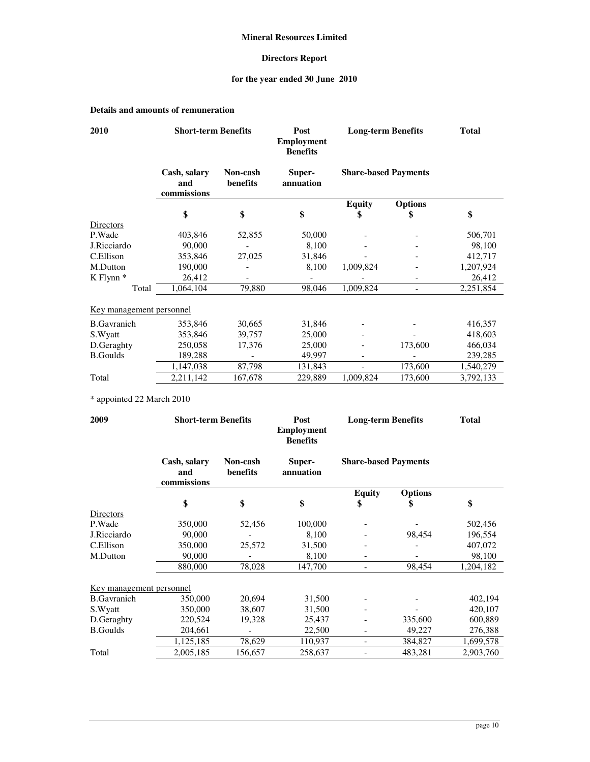## **Directors Report**

## **for the year ended 30 June 2010**

## **Details and amounts of remuneration**

| 2010                     | <b>Short-term Benefits</b>         |                      | Post<br><b>Employment</b><br><b>Benefits</b> | <b>Long-term Benefits</b>   |                | <b>Total</b> |  |
|--------------------------|------------------------------------|----------------------|----------------------------------------------|-----------------------------|----------------|--------------|--|
|                          | Cash, salary<br>and<br>commissions | Non-cash<br>benefits | Super-<br>annuation                          | <b>Share-based Payments</b> |                |              |  |
|                          |                                    |                      |                                              | <b>Equity</b>               | <b>Options</b> |              |  |
|                          | \$                                 | \$                   | \$                                           | \$                          | \$             | \$           |  |
| Directors                |                                    |                      |                                              |                             |                |              |  |
| P.Wade                   | 403,846                            | 52,855               | 50,000                                       |                             |                | 506,701      |  |
| J.Ricciardo              | 90,000                             |                      | 8,100                                        |                             |                | 98,100       |  |
| C.Ellison                | 353,846                            | 27,025               | 31,846                                       |                             |                | 412,717      |  |
| M.Dutton                 | 190,000                            |                      | 8,100                                        | 1,009,824                   |                | 1,207,924    |  |
| $K$ Flynn $*$            | 26,412                             |                      |                                              |                             |                | 26,412       |  |
| Total                    | 1,064,104                          | 79,880               | 98,046                                       | 1,009,824                   |                | 2,251,854    |  |
| Key management personnel |                                    |                      |                                              |                             |                |              |  |
| <b>B.Gavranich</b>       | 353,846                            | 30,665               | 31,846                                       |                             |                | 416,357      |  |
| S.Wyatt                  | 353,846                            | 39,757               | 25,000                                       |                             |                | 418,603      |  |
| D.Geraghty               | 250,058                            | 17,376               | 25,000                                       |                             | 173,600        | 466,034      |  |
| <b>B.Goulds</b>          | 189,288                            |                      | 49,997                                       | $\qquad \qquad -$           |                | 239,285      |  |
|                          | 1,147,038                          | 87,798               | 131,843                                      | $\blacksquare$              | 173,600        | 1,540,279    |  |
| Total                    | 2,211,142                          | 167,678              | 229,889                                      | 1,009,824                   | 173,600        | 3,792,133    |  |

\* appointed 22 March 2010

| 2009                     | <b>Short-term Benefits</b>         |                      | <b>Long-term Benefits</b><br>Post<br><b>Employment</b><br><b>Benefits</b> |                             | <b>Total</b>   |           |  |
|--------------------------|------------------------------------|----------------------|---------------------------------------------------------------------------|-----------------------------|----------------|-----------|--|
|                          | Cash, salary<br>and<br>commissions | Non-cash<br>benefits | Super-<br>annuation                                                       | <b>Share-based Payments</b> |                |           |  |
|                          |                                    |                      |                                                                           | <b>Equity</b>               | <b>Options</b> |           |  |
|                          | \$                                 | \$                   | \$                                                                        | \$                          | \$             | \$        |  |
| Directors                |                                    |                      |                                                                           |                             |                |           |  |
| P.Wade                   | 350,000                            | 52,456               | 100,000                                                                   |                             |                | 502,456   |  |
| J.Ricciardo              | 90,000                             |                      | 8,100                                                                     |                             | 98,454         | 196,554   |  |
| C.Ellison                | 350,000                            | 25,572               | 31,500                                                                    |                             |                | 407.072   |  |
| M.Dutton                 | 90,000                             |                      | 8,100                                                                     |                             |                | 98,100    |  |
|                          | 880,000                            | 78,028               | 147,700                                                                   |                             | 98,454         | 1,204,182 |  |
| Key management personnel |                                    |                      |                                                                           |                             |                |           |  |
| <b>B.Gavranich</b>       | 350,000                            | 20,694               | 31,500                                                                    |                             |                | 402,194   |  |
| S.Wyatt                  | 350,000                            | 38,607               | 31,500                                                                    |                             |                | 420,107   |  |
| D.Geraghty               | 220,524                            | 19,328               | 25,437                                                                    |                             | 335,600        | 600,889   |  |
| <b>B.Goulds</b>          | 204,661                            |                      | 22,500                                                                    |                             | 49,227         | 276,388   |  |
|                          | 1,125,185                          | 78,629               | 110,937                                                                   |                             | 384,827        | 1,699,578 |  |
| Total                    | 2,005,185                          | 156,657              | 258,637                                                                   |                             | 483,281        | 2,903,760 |  |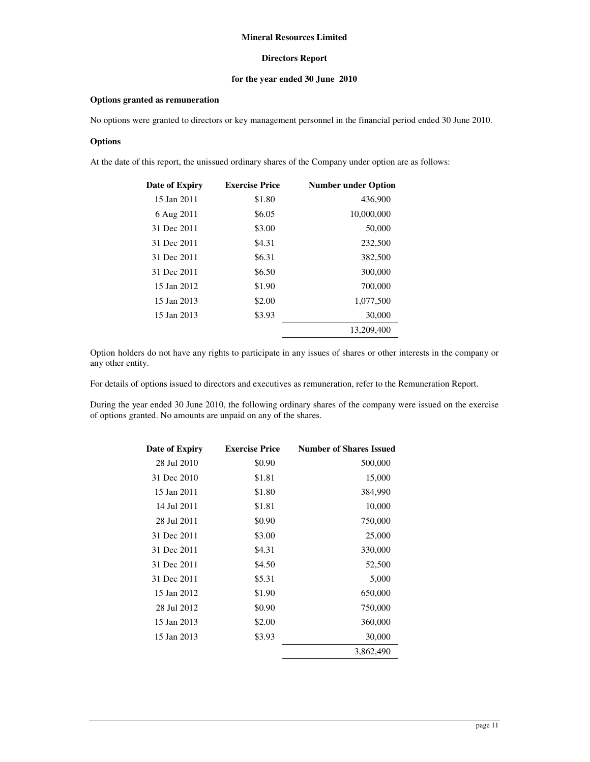### **Directors Report**

## **for the year ended 30 June 2010**

#### **Options granted as remuneration**

No options were granted to directors or key management personnel in the financial period ended 30 June 2010.

#### **Options**

At the date of this report, the unissued ordinary shares of the Company under option are as follows:

| Date of Expiry | <b>Exercise Price</b> | <b>Number under Option</b> |
|----------------|-----------------------|----------------------------|
| 15 Jan 2011    | \$1.80                | 436,900                    |
| 6 Aug 2011     | \$6.05                | 10,000,000                 |
| 31 Dec 2011    | \$3.00                | 50,000                     |
| 31 Dec 2011    | \$4.31                | 232,500                    |
| 31 Dec 2011    | \$6.31                | 382,500                    |
| 31 Dec 2011    | \$6.50                | 300,000                    |
| 15 Jan 2012    | \$1.90                | 700,000                    |
| 15 Jan 2013    | \$2.00                | 1,077,500                  |
| 15 Jan 2013    | \$3.93                | 30,000                     |
|                |                       | 13,209,400                 |

Option holders do not have any rights to participate in any issues of shares or other interests in the company or any other entity.

For details of options issued to directors and executives as remuneration, refer to the Remuneration Report.

During the year ended 30 June 2010, the following ordinary shares of the company were issued on the exercise of options granted. No amounts are unpaid on any of the shares.

| Date of Expiry | <b>Exercise Price</b> | <b>Number of Shares Issued</b> |
|----------------|-----------------------|--------------------------------|
| 28 Jul 2010    | \$0.90                | 500,000                        |
| 31 Dec 2010    | \$1.81                | 15,000                         |
| 15 Jan 2011    | \$1.80                | 384,990                        |
| 14 Jul 2011    | \$1.81                | 10,000                         |
| 28 Jul 2011    | \$0.90                | 750,000                        |
| 31 Dec 2011    | \$3.00                | 25,000                         |
| 31 Dec 2011    | \$4.31                | 330,000                        |
| 31 Dec 2011    | \$4.50                | 52,500                         |
| 31 Dec 2011    | \$5.31                | 5,000                          |
| 15 Jan 2012    | \$1.90                | 650,000                        |
| 28 Jul 2012    | \$0.90                | 750,000                        |
| 15 Jan 2013    | \$2.00                | 360,000                        |
| 15 Jan 2013    | \$3.93                | 30,000                         |
|                |                       | 3,862,490                      |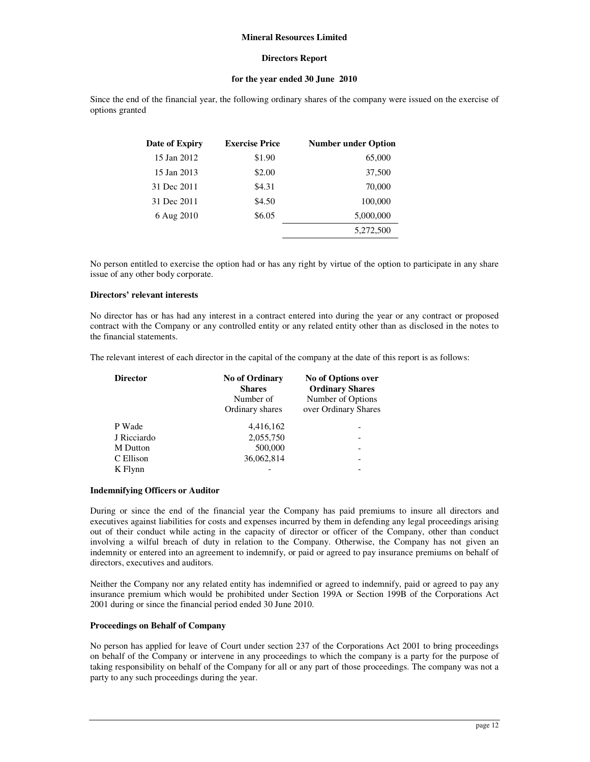#### **Directors Report**

### **for the year ended 30 June 2010**

Since the end of the financial year, the following ordinary shares of the company were issued on the exercise of options granted

| Date of Expiry | <b>Exercise Price</b> | <b>Number under Option</b> |
|----------------|-----------------------|----------------------------|
| 15 Jan 2012    | \$1.90                | 65,000                     |
| 15 Jan 2013    | \$2.00                | 37,500                     |
| 31 Dec 2011    | \$4.31                | 70,000                     |
| 31 Dec 2011    | \$4.50                | 100,000                    |
| 6 Aug 2010     | \$6.05                | 5,000,000                  |
|                |                       | 5.272.500                  |

No person entitled to exercise the option had or has any right by virtue of the option to participate in any share issue of any other body corporate.

#### **Directors' relevant interests**

No director has or has had any interest in a contract entered into during the year or any contract or proposed contract with the Company or any controlled entity or any related entity other than as disclosed in the notes to the financial statements.

The relevant interest of each director in the capital of the company at the date of this report is as follows:

| <b>Director</b> | <b>No of Ordinary</b><br><b>Shares</b><br>Number of<br>Ordinary shares | No of Options over<br><b>Ordinary Shares</b><br>Number of Options<br>over Ordinary Shares |
|-----------------|------------------------------------------------------------------------|-------------------------------------------------------------------------------------------|
| P Wade          | 4,416,162                                                              |                                                                                           |
| J Ricciardo     | 2,055,750                                                              |                                                                                           |
| M Dutton        | 500,000                                                                | -                                                                                         |
| C Ellison       | 36,062,814                                                             | -                                                                                         |
| K Flynn         |                                                                        | -                                                                                         |

#### **Indemnifying Officers or Auditor**

During or since the end of the financial year the Company has paid premiums to insure all directors and executives against liabilities for costs and expenses incurred by them in defending any legal proceedings arising out of their conduct while acting in the capacity of director or officer of the Company, other than conduct involving a wilful breach of duty in relation to the Company. Otherwise, the Company has not given an indemnity or entered into an agreement to indemnify, or paid or agreed to pay insurance premiums on behalf of directors, executives and auditors.

Neither the Company nor any related entity has indemnified or agreed to indemnify, paid or agreed to pay any insurance premium which would be prohibited under Section 199A or Section 199B of the Corporations Act 2001 during or since the financial period ended 30 June 2010.

#### **Proceedings on Behalf of Company**

No person has applied for leave of Court under section 237 of the Corporations Act 2001 to bring proceedings on behalf of the Company or intervene in any proceedings to which the company is a party for the purpose of taking responsibility on behalf of the Company for all or any part of those proceedings. The company was not a party to any such proceedings during the year.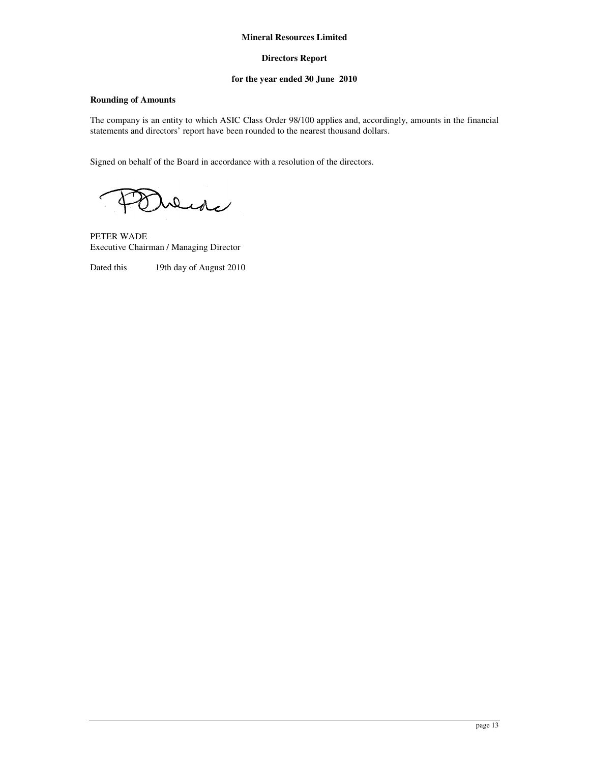## **Directors Report**

## **for the year ended 30 June 2010**

## **Rounding of Amounts**

The company is an entity to which ASIC Class Order 98/100 applies and, accordingly, amounts in the financial statements and directors' report have been rounded to the nearest thousand dollars.

Signed on behalf of the Board in accordance with a resolution of the directors.

Dede

PETER WADE Executive Chairman / Managing Director

Dated this 19th day of August 2010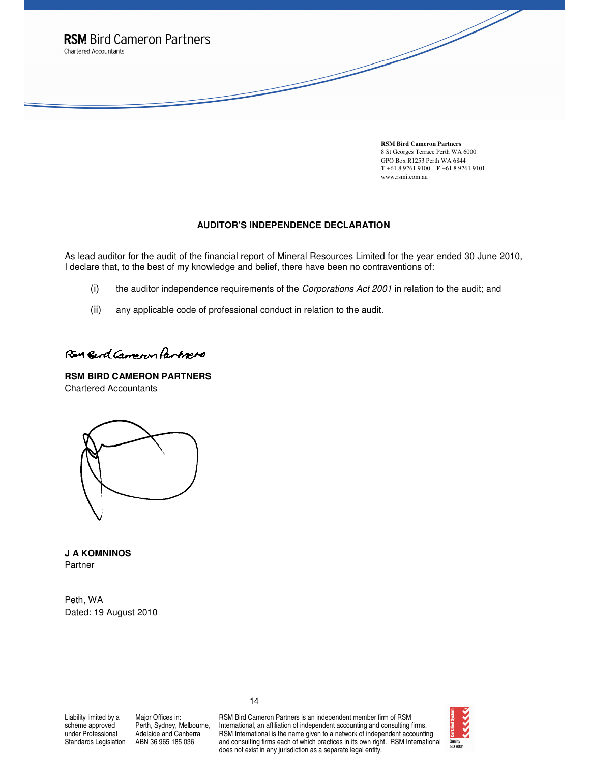

**RSM Bird Cameron Partners**  8 St Georges Terrace Perth WA 6000 GPO Box R1253 Perth WA 6844 **T** +61 8 9261 9100 **F** +61 8 9261 9101 www.rsmi.com.au

#### **AUDITOR'S INDEPENDENCE DECLARATION**

As lead auditor for the audit of the financial report of Mineral Resources Limited for the year ended 30 June 2010, I declare that, to the best of my knowledge and belief, there have been no contraventions of:

- (i) the auditor independence requirements of the Corporations Act 2001 in relation to the audit; and
- (ii) any applicable code of professional conduct in relation to the audit.

# Ran Gerd Cameron Partners

**RSM BIRD CAMERON PARTNERS**  Chartered Accountants

**J A KOMNINOS**  Partner

Peth, WA Dated: 19 August 2010

Liability limited by a scheme approved under Professional Standards Legislation

Major Offices in: Perth, Sydney, Melbourne, Adelaide and Canberra ABN 36 965 185 036

RSM Bird Cameron Partners is an independent member firm of RSM International, an affiliation of independent accounting and consulting firms. RSM International is the name given to a network of independent accounting and consulting firms each of which practices in its own right. RSM International does not exist in any jurisdiction as a separate legal entity.

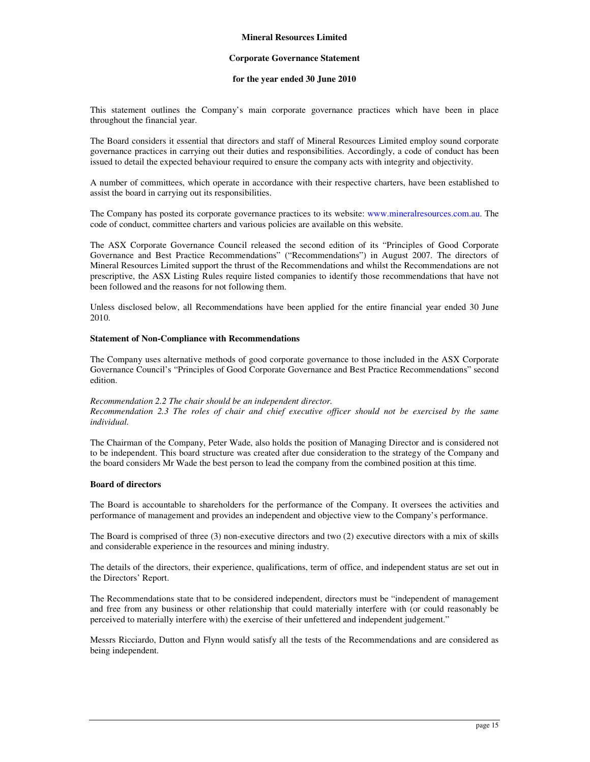#### **Corporate Governance Statement**

#### **for the year ended 30 June 2010**

This statement outlines the Company's main corporate governance practices which have been in place throughout the financial year.

The Board considers it essential that directors and staff of Mineral Resources Limited employ sound corporate governance practices in carrying out their duties and responsibilities. Accordingly, a code of conduct has been issued to detail the expected behaviour required to ensure the company acts with integrity and objectivity.

A number of committees, which operate in accordance with their respective charters, have been established to assist the board in carrying out its responsibilities.

The Company has posted its corporate governance practices to its website: www.mineralresources.com.au. The code of conduct, committee charters and various policies are available on this website.

The ASX Corporate Governance Council released the second edition of its "Principles of Good Corporate Governance and Best Practice Recommendations" ("Recommendations") in August 2007. The directors of Mineral Resources Limited support the thrust of the Recommendations and whilst the Recommendations are not prescriptive, the ASX Listing Rules require listed companies to identify those recommendations that have not been followed and the reasons for not following them.

Unless disclosed below, all Recommendations have been applied for the entire financial year ended 30 June 2010.

#### **Statement of Non-Compliance with Recommendations**

The Company uses alternative methods of good corporate governance to those included in the ASX Corporate Governance Council's "Principles of Good Corporate Governance and Best Practice Recommendations" second edition.

#### *Recommendation 2.2 The chair should be an independent director. Recommendation 2.3 The roles of chair and chief executive officer should not be exercised by the same individual.*

The Chairman of the Company, Peter Wade, also holds the position of Managing Director and is considered not to be independent. This board structure was created after due consideration to the strategy of the Company and the board considers Mr Wade the best person to lead the company from the combined position at this time.

#### **Board of directors**

The Board is accountable to shareholders for the performance of the Company. It oversees the activities and performance of management and provides an independent and objective view to the Company's performance.

The Board is comprised of three (3) non-executive directors and two (2) executive directors with a mix of skills and considerable experience in the resources and mining industry.

The details of the directors, their experience, qualifications, term of office, and independent status are set out in the Directors' Report.

The Recommendations state that to be considered independent, directors must be "independent of management and free from any business or other relationship that could materially interfere with (or could reasonably be perceived to materially interfere with) the exercise of their unfettered and independent judgement."

Messrs Ricciardo, Dutton and Flynn would satisfy all the tests of the Recommendations and are considered as being independent.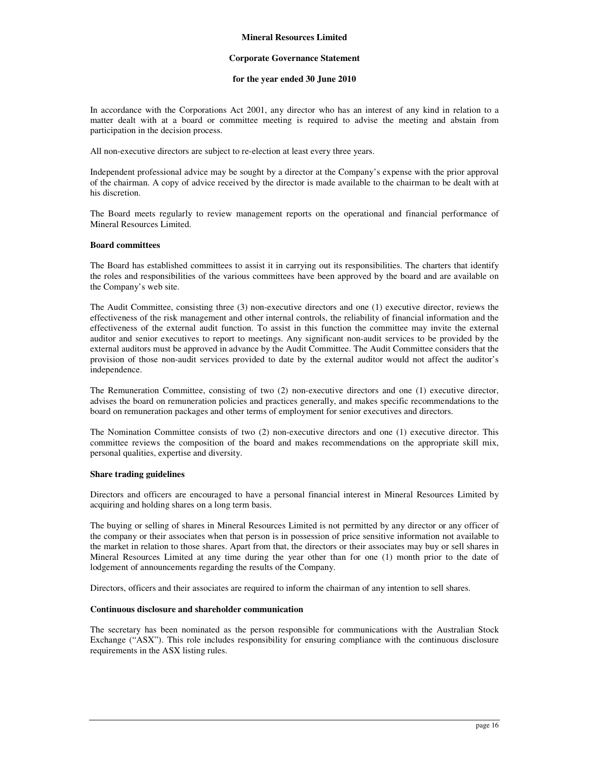#### **Corporate Governance Statement**

#### **for the year ended 30 June 2010**

In accordance with the Corporations Act 2001, any director who has an interest of any kind in relation to a matter dealt with at a board or committee meeting is required to advise the meeting and abstain from participation in the decision process.

All non-executive directors are subject to re-election at least every three years.

Independent professional advice may be sought by a director at the Company's expense with the prior approval of the chairman. A copy of advice received by the director is made available to the chairman to be dealt with at his discretion.

The Board meets regularly to review management reports on the operational and financial performance of Mineral Resources Limited.

#### **Board committees**

The Board has established committees to assist it in carrying out its responsibilities. The charters that identify the roles and responsibilities of the various committees have been approved by the board and are available on the Company's web site.

The Audit Committee, consisting three (3) non-executive directors and one (1) executive director, reviews the effectiveness of the risk management and other internal controls, the reliability of financial information and the effectiveness of the external audit function. To assist in this function the committee may invite the external auditor and senior executives to report to meetings. Any significant non-audit services to be provided by the external auditors must be approved in advance by the Audit Committee. The Audit Committee considers that the provision of those non-audit services provided to date by the external auditor would not affect the auditor's independence.

The Remuneration Committee, consisting of two (2) non-executive directors and one (1) executive director, advises the board on remuneration policies and practices generally, and makes specific recommendations to the board on remuneration packages and other terms of employment for senior executives and directors.

The Nomination Committee consists of two (2) non-executive directors and one (1) executive director. This committee reviews the composition of the board and makes recommendations on the appropriate skill mix, personal qualities, expertise and diversity.

#### **Share trading guidelines**

Directors and officers are encouraged to have a personal financial interest in Mineral Resources Limited by acquiring and holding shares on a long term basis.

The buying or selling of shares in Mineral Resources Limited is not permitted by any director or any officer of the company or their associates when that person is in possession of price sensitive information not available to the market in relation to those shares. Apart from that, the directors or their associates may buy or sell shares in Mineral Resources Limited at any time during the year other than for one (1) month prior to the date of lodgement of announcements regarding the results of the Company.

Directors, officers and their associates are required to inform the chairman of any intention to sell shares.

#### **Continuous disclosure and shareholder communication**

The secretary has been nominated as the person responsible for communications with the Australian Stock Exchange ("ASX"). This role includes responsibility for ensuring compliance with the continuous disclosure requirements in the ASX listing rules.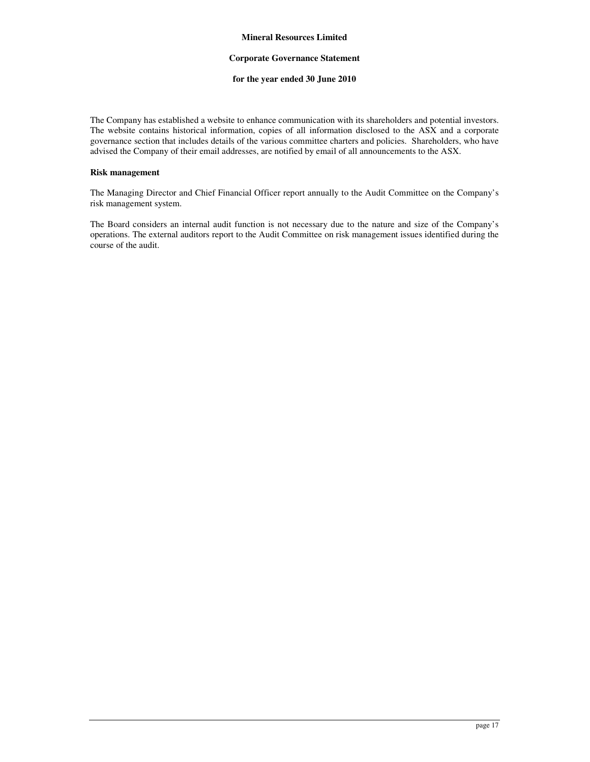#### **Corporate Governance Statement**

#### **for the year ended 30 June 2010**

The Company has established a website to enhance communication with its shareholders and potential investors. The website contains historical information, copies of all information disclosed to the ASX and a corporate governance section that includes details of the various committee charters and policies. Shareholders, who have advised the Company of their email addresses, are notified by email of all announcements to the ASX.

#### **Risk management**

The Managing Director and Chief Financial Officer report annually to the Audit Committee on the Company's risk management system.

The Board considers an internal audit function is not necessary due to the nature and size of the Company's operations. The external auditors report to the Audit Committee on risk management issues identified during the course of the audit.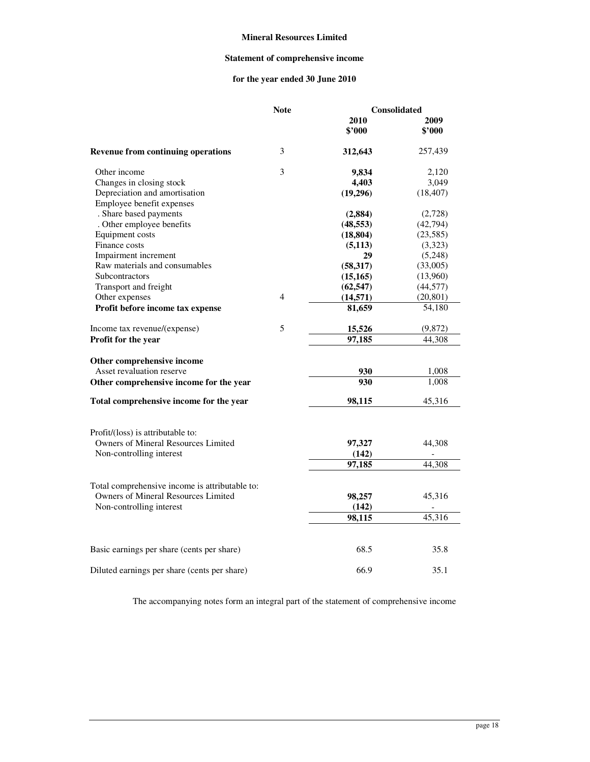## **Statement of comprehensive income**

## **for the year ended 30 June 2010**

|                                                | <b>Note</b> | Consolidated |           |  |
|------------------------------------------------|-------------|--------------|-----------|--|
|                                                |             | 2010         | 2009      |  |
|                                                |             | \$'000       | \$'000    |  |
| <b>Revenue from continuing operations</b>      | 3           | 312,643      | 257,439   |  |
| Other income                                   | 3           | 9,834        | 2,120     |  |
| Changes in closing stock                       |             | 4,403        | 3,049     |  |
| Depreciation and amortisation                  |             | (19,296)     | (18, 407) |  |
| Employee benefit expenses                      |             |              |           |  |
| . Share based payments                         |             | (2, 884)     | (2,728)   |  |
| . Other employee benefits                      |             | (48, 553)    | (42, 794) |  |
| Equipment costs                                |             | (18, 804)    | (23, 585) |  |
| Finance costs                                  |             | (5,113)      | (3,323)   |  |
| Impairment increment                           |             | 29           | (5,248)   |  |
| Raw materials and consumables                  |             | (58, 317)    | (33,005)  |  |
| Subcontractors                                 |             | (15, 165)    | (13,960)  |  |
| Transport and freight                          |             | (62, 547)    | (44, 577) |  |
| Other expenses                                 | 4           | (14, 571)    | (20, 801) |  |
| Profit before income tax expense               |             | 81,659       | 54,180    |  |
| Income tax revenue/(expense)                   | 5           | 15,526       | (9,872)   |  |
| Profit for the year                            |             | 97,185       | 44,308    |  |
| Other comprehensive income                     |             |              |           |  |
| Asset revaluation reserve                      |             | 930          | 1,008     |  |
| Other comprehensive income for the year        |             | 930          | 1,008     |  |
| Total comprehensive income for the year        |             | 98,115       | 45,316    |  |
| Profit/(loss) is attributable to:              |             |              |           |  |
| <b>Owners of Mineral Resources Limited</b>     |             | 97,327       | 44,308    |  |
| Non-controlling interest                       |             | (142)        |           |  |
|                                                |             | 97,185       | 44,308    |  |
| Total comprehensive income is attributable to: |             |              |           |  |
| Owners of Mineral Resources Limited            |             | 98,257       | 45,316    |  |
| Non-controlling interest                       |             | (142)        |           |  |
|                                                |             |              | 45,316    |  |
|                                                |             | 98,115       |           |  |
| Basic earnings per share (cents per share)     |             | 68.5         | 35.8      |  |
| Diluted earnings per share (cents per share)   |             | 66.9         | 35.1      |  |

The accompanying notes form an integral part of the statement of comprehensive income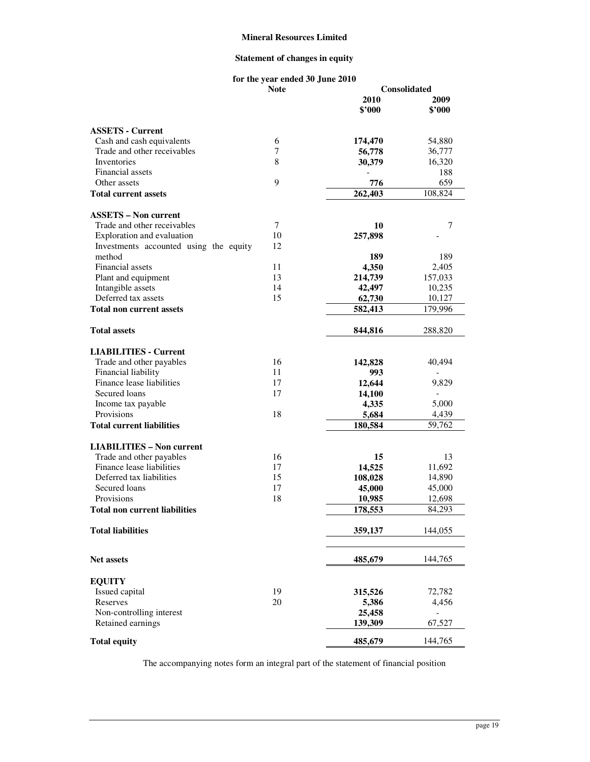## **Statement of changes in equity**

#### **for the year ended 30 June 2010**

|                                          | <b>Note</b> | Consolidated |         |  |
|------------------------------------------|-------------|--------------|---------|--|
|                                          |             | 2010         | 2009    |  |
|                                          |             | \$2000       | \$'000  |  |
| <b>ASSETS - Current</b>                  |             |              |         |  |
| Cash and cash equivalents                | 6           | 174,470      | 54,880  |  |
| Trade and other receivables              | 7           | 56,778       | 36,777  |  |
| Inventories                              | 8           | 30,379       | 16,320  |  |
| Financial assets                         |             |              | 188     |  |
| Other assets                             | 9           | 776          | 659     |  |
| <b>Total current assets</b>              |             | 262,403      | 108,824 |  |
| <b>ASSETS - Non current</b>              |             |              |         |  |
| Trade and other receivables              | $\tau$      | 10           | 7       |  |
| Exploration and evaluation               | 10          | 257,898      |         |  |
| Investments accounted using the equity   | 12          |              |         |  |
| method                                   |             | 189          | 189     |  |
| Financial assets                         | 11          | 4,350        | 2,405   |  |
| Plant and equipment                      | 13          |              |         |  |
|                                          | 14          | 214,739      | 157,033 |  |
| Intangible assets<br>Deferred tax assets | 15          | 42,497       | 10,235  |  |
|                                          |             | 62,730       | 10,127  |  |
| <b>Total non current assets</b>          |             | 582,413      | 179,996 |  |
| <b>Total assets</b>                      |             | 844,816      | 288,820 |  |
| <b>LIABILITIES - Current</b>             |             |              |         |  |
| Trade and other payables                 | 16          | 142,828      | 40,494  |  |
| Financial liability                      | 11          | 993          |         |  |
| Finance lease liabilities                | 17          | 12,644       | 9,829   |  |
| Secured loans                            | 17          | 14,100       |         |  |
| Income tax payable                       |             | 4,335        | 5,000   |  |
| Provisions                               | 18          | 5,684        | 4,439   |  |
| <b>Total current liabilities</b>         |             | 180,584      | 59,762  |  |
| <b>LIABILITIES - Non current</b>         |             |              |         |  |
| Trade and other payables                 | 16          | 15           | 13      |  |
| Finance lease liabilities                | 17          | 14,525       | 11,692  |  |
| Deferred tax liabilities                 | 15          | 108,028      | 14,890  |  |
| Secured loans                            | 17          | 45,000       | 45,000  |  |
| Provisions                               | 18          | 10,985       | 12,698  |  |
| Total non current liabilities            |             | 178,553      | 84,293  |  |
| <b>Total liabilities</b>                 |             | 359,137      | 144,055 |  |
|                                          |             |              |         |  |
| <b>Net assets</b>                        |             | 485,679      | 144,765 |  |
| <b>EQUITY</b>                            |             |              |         |  |
| Issued capital                           | 19          | 315,526      | 72,782  |  |
| Reserves                                 | 20          | 5,386        | 4,456   |  |
| Non-controlling interest                 |             | 25,458       |         |  |
| Retained earnings                        |             | 139,309      | 67,527  |  |
| <b>Total equity</b>                      |             | 485,679      | 144,765 |  |

The accompanying notes form an integral part of the statement of financial position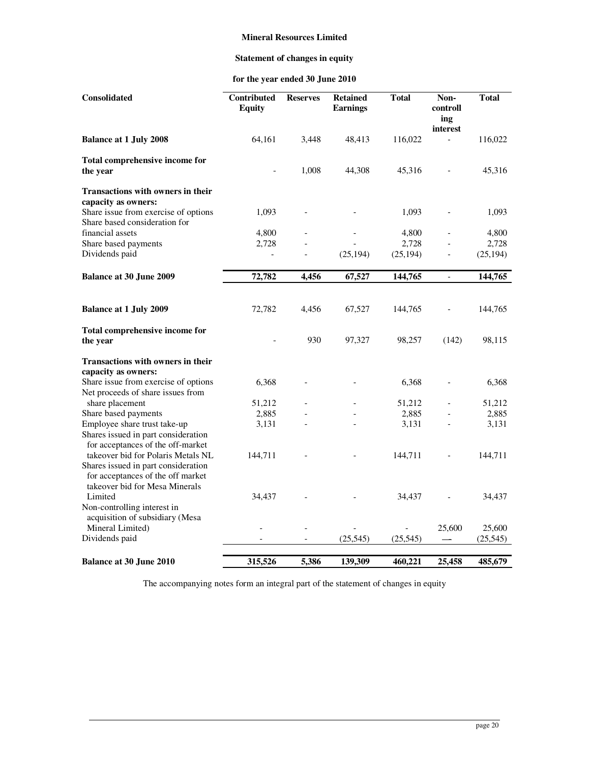## **Statement of changes in equity**

## **for the year ended 30 June 2010**

| Consolidated                                                              | Contributed<br><b>Equity</b> | <b>Reserves</b> | <b>Retained</b><br><b>Earnings</b> | <b>Total</b> | Non-<br>controll<br>ing  | <b>Total</b> |
|---------------------------------------------------------------------------|------------------------------|-----------------|------------------------------------|--------------|--------------------------|--------------|
| <b>Balance at 1 July 2008</b>                                             | 64,161                       | 3,448           | 48,413                             | 116,022      | interest                 | 116,022      |
| Total comprehensive income for<br>the year                                |                              | 1,008           | 44,308                             | 45,316       |                          | 45,316       |
| Transactions with owners in their<br>capacity as owners:                  |                              |                 |                                    |              |                          |              |
| Share issue from exercise of options<br>Share based consideration for     | 1,093                        |                 |                                    | 1,093        |                          | 1,093        |
| financial assets                                                          | 4,800                        |                 |                                    | 4,800        |                          | 4,800        |
| Share based payments                                                      | 2,728                        | ÷,              |                                    | 2,728        |                          | 2,728        |
| Dividends paid                                                            |                              | $\overline{a}$  | (25, 194)                          | (25, 194)    | $\overline{a}$           | (25, 194)    |
| <b>Balance at 30 June 2009</b>                                            | 72,782                       | 4,456           | 67,527                             | 144,765      | $\overline{\phantom{a}}$ | 144,765      |
|                                                                           |                              |                 |                                    |              |                          |              |
| <b>Balance at 1 July 2009</b>                                             | 72,782                       | 4,456           | 67,527                             | 144,765      |                          | 144,765      |
| Total comprehensive income for<br>the year                                |                              | 930             | 97,327                             | 98,257       | (142)                    | 98,115       |
| <b>Transactions with owners in their</b>                                  |                              |                 |                                    |              |                          |              |
| capacity as owners:                                                       |                              |                 |                                    |              |                          |              |
| Share issue from exercise of options<br>Net proceeds of share issues from | 6,368                        |                 |                                    | 6,368        |                          | 6,368        |
| share placement                                                           | 51,212                       |                 |                                    | 51,212       |                          | 51,212       |
| Share based payments                                                      | 2,885                        |                 |                                    | 2,885        |                          | 2,885        |
| Employee share trust take-up                                              | 3,131                        |                 |                                    | 3,131        |                          | 3,131        |
| Shares issued in part consideration<br>for acceptances of the off-market  |                              |                 |                                    |              |                          |              |
| takeover bid for Polaris Metals NL<br>Shares issued in part consideration | 144,711                      |                 |                                    | 144,711      |                          | 144,711      |
| for acceptances of the off market<br>takeover bid for Mesa Minerals       |                              |                 |                                    |              |                          |              |
| Limited<br>Non-controlling interest in                                    | 34,437                       |                 |                                    | 34,437       |                          | 34,437       |
| acquisition of subsidiary (Mesa<br>Mineral Limited)                       |                              |                 |                                    |              | 25,600                   | 25,600       |
| Dividends paid                                                            |                              |                 | (25, 545)                          | (25, 545)    |                          | (25, 545)    |
| <b>Balance at 30 June 2010</b>                                            | 315,526                      | 5,386           | 139,309                            | 460,221      | 25,458                   | 485,679      |

The accompanying notes form an integral part of the statement of changes in equity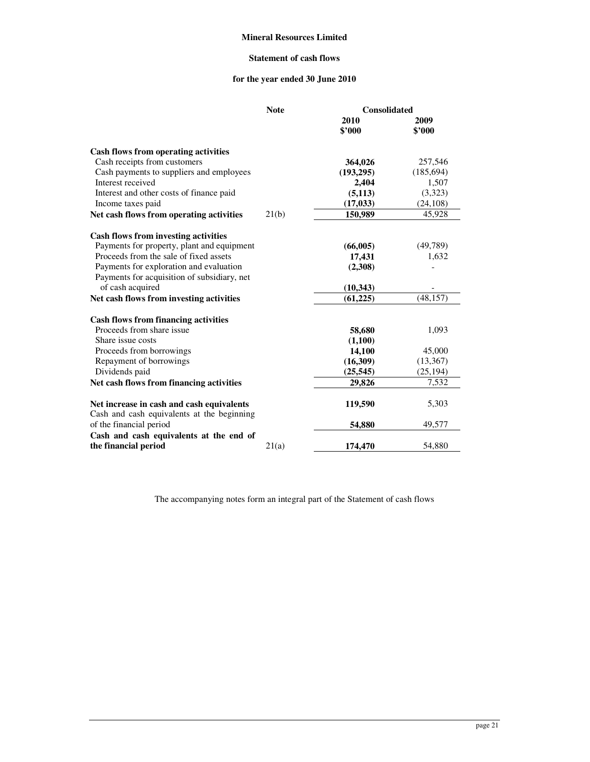## **Statement of cash flows**

## **for the year ended 30 June 2010**

|                                                                                         | <b>Note</b> | <b>Consolidated</b> |                |  |
|-----------------------------------------------------------------------------------------|-------------|---------------------|----------------|--|
|                                                                                         |             | 2010<br>\$2000      | 2009<br>\$2000 |  |
| Cash flows from operating activities                                                    |             |                     |                |  |
| Cash receipts from customers                                                            |             | 364,026             | 257,546        |  |
| Cash payments to suppliers and employees                                                |             | (193,295)           | (185, 694)     |  |
| Interest received                                                                       |             | 2,404               | 1,507          |  |
| Interest and other costs of finance paid                                                |             | (5, 113)            | (3,323)        |  |
| Income taxes paid                                                                       |             | (17, 033)           | (24, 108)      |  |
| Net cash flows from operating activities                                                | 21(b)       | 150,989             | 45,928         |  |
| <b>Cash flows from investing activities</b>                                             |             |                     |                |  |
| Payments for property, plant and equipment                                              |             | (66,005)            | (49,789)       |  |
| Proceeds from the sale of fixed assets                                                  |             | 17,431              | 1,632          |  |
| Payments for exploration and evaluation                                                 |             | (2,308)             |                |  |
| Payments for acquisition of subsidiary, net                                             |             |                     |                |  |
| of cash acquired                                                                        |             | (10, 343)           |                |  |
| Net cash flows from investing activities                                                |             | (61, 225)           | (48, 157)      |  |
| <b>Cash flows from financing activities</b>                                             |             |                     |                |  |
| Proceeds from share issue                                                               |             | 58,680              | 1,093          |  |
| Share issue costs                                                                       |             | (1,100)             |                |  |
| Proceeds from borrowings                                                                |             | 14,100              | 45,000         |  |
| Repayment of borrowings                                                                 |             | (16,309)            | (13, 367)      |  |
| Dividends paid                                                                          |             | (25, 545)           | (25, 194)      |  |
| Net cash flows from financing activities                                                |             | 29,826              | 7,532          |  |
| Net increase in cash and cash equivalents<br>Cash and cash equivalents at the beginning |             | 119,590             | 5,303          |  |
| of the financial period                                                                 |             | 54,880              | 49,577         |  |
| Cash and cash equivalents at the end of                                                 |             |                     |                |  |
| the financial period                                                                    | 21(a)       | 174,470             | 54,880         |  |

The accompanying notes form an integral part of the Statement of cash flows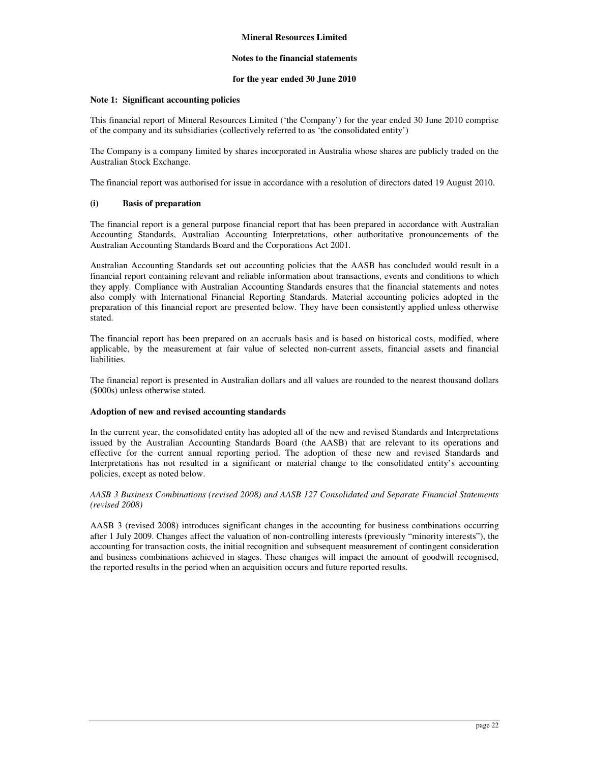#### **Notes to the financial statements**

#### **for the year ended 30 June 2010**

#### **Note 1: Significant accounting policies**

This financial report of Mineral Resources Limited ('the Company') for the year ended 30 June 2010 comprise of the company and its subsidiaries (collectively referred to as 'the consolidated entity')

The Company is a company limited by shares incorporated in Australia whose shares are publicly traded on the Australian Stock Exchange.

The financial report was authorised for issue in accordance with a resolution of directors dated 19 August 2010.

#### **(i) Basis of preparation**

The financial report is a general purpose financial report that has been prepared in accordance with Australian Accounting Standards, Australian Accounting Interpretations, other authoritative pronouncements of the Australian Accounting Standards Board and the Corporations Act 2001.

Australian Accounting Standards set out accounting policies that the AASB has concluded would result in a financial report containing relevant and reliable information about transactions, events and conditions to which they apply. Compliance with Australian Accounting Standards ensures that the financial statements and notes also comply with International Financial Reporting Standards. Material accounting policies adopted in the preparation of this financial report are presented below. They have been consistently applied unless otherwise stated.

The financial report has been prepared on an accruals basis and is based on historical costs, modified, where applicable, by the measurement at fair value of selected non-current assets, financial assets and financial liabilities.

The financial report is presented in Australian dollars and all values are rounded to the nearest thousand dollars (\$000s) unless otherwise stated.

#### **Adoption of new and revised accounting standards**

In the current year, the consolidated entity has adopted all of the new and revised Standards and Interpretations issued by the Australian Accounting Standards Board (the AASB) that are relevant to its operations and effective for the current annual reporting period. The adoption of these new and revised Standards and Interpretations has not resulted in a significant or material change to the consolidated entity's accounting policies, except as noted below.

*AASB 3 Business Combinations (revised 2008) and AASB 127 Consolidated and Separate Financial Statements (revised 2008)* 

AASB 3 (revised 2008) introduces significant changes in the accounting for business combinations occurring after 1 July 2009. Changes affect the valuation of non-controlling interests (previously "minority interests"), the accounting for transaction costs, the initial recognition and subsequent measurement of contingent consideration and business combinations achieved in stages. These changes will impact the amount of goodwill recognised, the reported results in the period when an acquisition occurs and future reported results.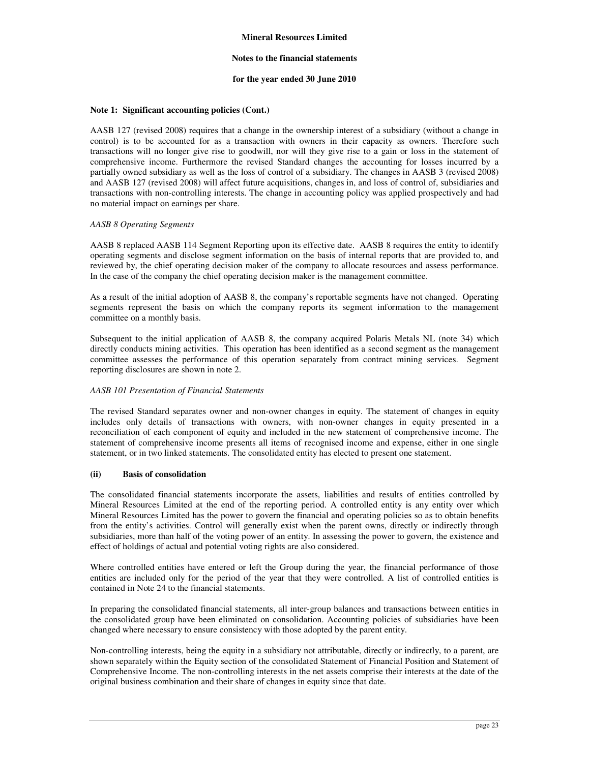#### **Notes to the financial statements**

#### **for the year ended 30 June 2010**

#### **Note 1: Significant accounting policies (Cont.)**

AASB 127 (revised 2008) requires that a change in the ownership interest of a subsidiary (without a change in control) is to be accounted for as a transaction with owners in their capacity as owners. Therefore such transactions will no longer give rise to goodwill, nor will they give rise to a gain or loss in the statement of comprehensive income. Furthermore the revised Standard changes the accounting for losses incurred by a partially owned subsidiary as well as the loss of control of a subsidiary. The changes in AASB 3 (revised 2008) and AASB 127 (revised 2008) will affect future acquisitions, changes in, and loss of control of, subsidiaries and transactions with non-controlling interests. The change in accounting policy was applied prospectively and had no material impact on earnings per share.

#### *AASB 8 Operating Segments*

AASB 8 replaced AASB 114 Segment Reporting upon its effective date. AASB 8 requires the entity to identify operating segments and disclose segment information on the basis of internal reports that are provided to, and reviewed by, the chief operating decision maker of the company to allocate resources and assess performance. In the case of the company the chief operating decision maker is the management committee.

As a result of the initial adoption of AASB 8, the company's reportable segments have not changed. Operating segments represent the basis on which the company reports its segment information to the management committee on a monthly basis.

Subsequent to the initial application of AASB 8, the company acquired Polaris Metals NL (note 34) which directly conducts mining activities. This operation has been identified as a second segment as the management committee assesses the performance of this operation separately from contract mining services. Segment reporting disclosures are shown in note 2.

#### *AASB 101 Presentation of Financial Statements*

The revised Standard separates owner and non-owner changes in equity. The statement of changes in equity includes only details of transactions with owners, with non-owner changes in equity presented in a reconciliation of each component of equity and included in the new statement of comprehensive income. The statement of comprehensive income presents all items of recognised income and expense, either in one single statement, or in two linked statements. The consolidated entity has elected to present one statement.

#### **(ii) Basis of consolidation**

The consolidated financial statements incorporate the assets, liabilities and results of entities controlled by Mineral Resources Limited at the end of the reporting period. A controlled entity is any entity over which Mineral Resources Limited has the power to govern the financial and operating policies so as to obtain benefits from the entity's activities. Control will generally exist when the parent owns, directly or indirectly through subsidiaries, more than half of the voting power of an entity. In assessing the power to govern, the existence and effect of holdings of actual and potential voting rights are also considered.

Where controlled entities have entered or left the Group during the year, the financial performance of those entities are included only for the period of the year that they were controlled. A list of controlled entities is contained in Note 24 to the financial statements.

In preparing the consolidated financial statements, all inter-group balances and transactions between entities in the consolidated group have been eliminated on consolidation. Accounting policies of subsidiaries have been changed where necessary to ensure consistency with those adopted by the parent entity.

Non-controlling interests, being the equity in a subsidiary not attributable, directly or indirectly, to a parent, are shown separately within the Equity section of the consolidated Statement of Financial Position and Statement of Comprehensive Income. The non-controlling interests in the net assets comprise their interests at the date of the original business combination and their share of changes in equity since that date.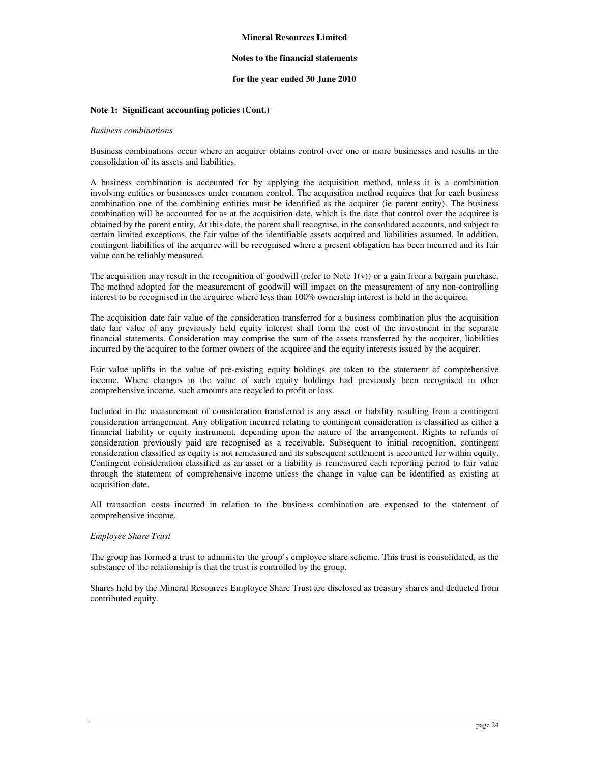#### **Notes to the financial statements**

#### **for the year ended 30 June 2010**

#### **Note 1: Significant accounting policies (Cont.)**

#### *Business combinations*

Business combinations occur where an acquirer obtains control over one or more businesses and results in the consolidation of its assets and liabilities.

A business combination is accounted for by applying the acquisition method, unless it is a combination involving entities or businesses under common control. The acquisition method requires that for each business combination one of the combining entities must be identified as the acquirer (ie parent entity). The business combination will be accounted for as at the acquisition date, which is the date that control over the acquiree is obtained by the parent entity. At this date, the parent shall recognise, in the consolidated accounts, and subject to certain limited exceptions, the fair value of the identifiable assets acquired and liabilities assumed. In addition, contingent liabilities of the acquiree will be recognised where a present obligation has been incurred and its fair value can be reliably measured.

The acquisition may result in the recognition of goodwill (refer to Note  $1(v)$ ) or a gain from a bargain purchase. The method adopted for the measurement of goodwill will impact on the measurement of any non-controlling interest to be recognised in the acquiree where less than 100% ownership interest is held in the acquiree.

The acquisition date fair value of the consideration transferred for a business combination plus the acquisition date fair value of any previously held equity interest shall form the cost of the investment in the separate financial statements. Consideration may comprise the sum of the assets transferred by the acquirer, liabilities incurred by the acquirer to the former owners of the acquiree and the equity interests issued by the acquirer.

Fair value uplifts in the value of pre-existing equity holdings are taken to the statement of comprehensive income. Where changes in the value of such equity holdings had previously been recognised in other comprehensive income, such amounts are recycled to profit or loss.

Included in the measurement of consideration transferred is any asset or liability resulting from a contingent consideration arrangement. Any obligation incurred relating to contingent consideration is classified as either a financial liability or equity instrument, depending upon the nature of the arrangement. Rights to refunds of consideration previously paid are recognised as a receivable. Subsequent to initial recognition, contingent consideration classified as equity is not remeasured and its subsequent settlement is accounted for within equity. Contingent consideration classified as an asset or a liability is remeasured each reporting period to fair value through the statement of comprehensive income unless the change in value can be identified as existing at acquisition date.

All transaction costs incurred in relation to the business combination are expensed to the statement of comprehensive income.

#### *Employee Share Trust*

The group has formed a trust to administer the group's employee share scheme. This trust is consolidated, as the substance of the relationship is that the trust is controlled by the group.

Shares held by the Mineral Resources Employee Share Trust are disclosed as treasury shares and deducted from contributed equity.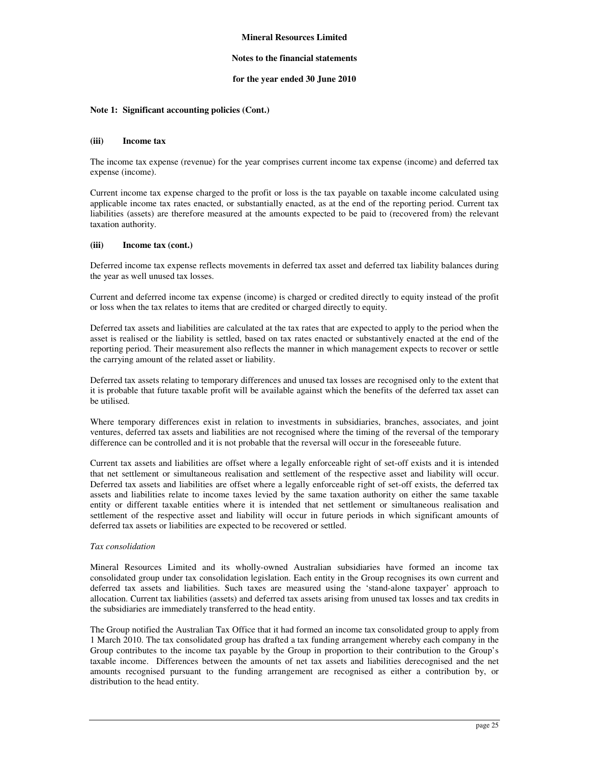#### **Notes to the financial statements**

#### **for the year ended 30 June 2010**

#### **Note 1: Significant accounting policies (Cont.)**

#### **(iii) Income tax**

The income tax expense (revenue) for the year comprises current income tax expense (income) and deferred tax expense (income).

Current income tax expense charged to the profit or loss is the tax payable on taxable income calculated using applicable income tax rates enacted, or substantially enacted, as at the end of the reporting period. Current tax liabilities (assets) are therefore measured at the amounts expected to be paid to (recovered from) the relevant taxation authority.

#### **(iii) Income tax (cont.)**

Deferred income tax expense reflects movements in deferred tax asset and deferred tax liability balances during the year as well unused tax losses.

Current and deferred income tax expense (income) is charged or credited directly to equity instead of the profit or loss when the tax relates to items that are credited or charged directly to equity.

Deferred tax assets and liabilities are calculated at the tax rates that are expected to apply to the period when the asset is realised or the liability is settled, based on tax rates enacted or substantively enacted at the end of the reporting period. Their measurement also reflects the manner in which management expects to recover or settle the carrying amount of the related asset or liability.

Deferred tax assets relating to temporary differences and unused tax losses are recognised only to the extent that it is probable that future taxable profit will be available against which the benefits of the deferred tax asset can be utilised.

Where temporary differences exist in relation to investments in subsidiaries, branches, associates, and joint ventures, deferred tax assets and liabilities are not recognised where the timing of the reversal of the temporary difference can be controlled and it is not probable that the reversal will occur in the foreseeable future.

Current tax assets and liabilities are offset where a legally enforceable right of set-off exists and it is intended that net settlement or simultaneous realisation and settlement of the respective asset and liability will occur. Deferred tax assets and liabilities are offset where a legally enforceable right of set-off exists, the deferred tax assets and liabilities relate to income taxes levied by the same taxation authority on either the same taxable entity or different taxable entities where it is intended that net settlement or simultaneous realisation and settlement of the respective asset and liability will occur in future periods in which significant amounts of deferred tax assets or liabilities are expected to be recovered or settled.

#### *Tax consolidation*

Mineral Resources Limited and its wholly-owned Australian subsidiaries have formed an income tax consolidated group under tax consolidation legislation. Each entity in the Group recognises its own current and deferred tax assets and liabilities. Such taxes are measured using the 'stand-alone taxpayer' approach to allocation. Current tax liabilities (assets) and deferred tax assets arising from unused tax losses and tax credits in the subsidiaries are immediately transferred to the head entity.

The Group notified the Australian Tax Office that it had formed an income tax consolidated group to apply from 1 March 2010. The tax consolidated group has drafted a tax funding arrangement whereby each company in the Group contributes to the income tax payable by the Group in proportion to their contribution to the Group's taxable income. Differences between the amounts of net tax assets and liabilities derecognised and the net amounts recognised pursuant to the funding arrangement are recognised as either a contribution by, or distribution to the head entity.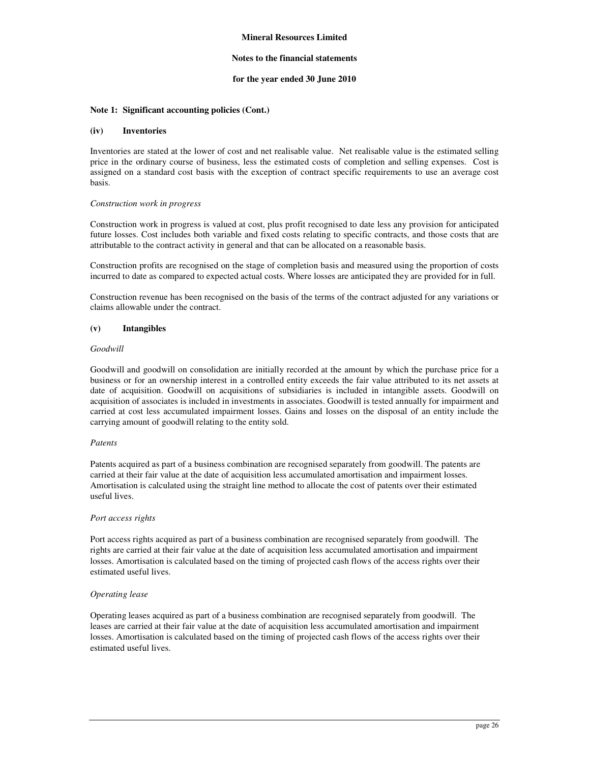#### **Notes to the financial statements**

#### **for the year ended 30 June 2010**

#### **Note 1: Significant accounting policies (Cont.)**

#### **(iv) Inventories**

Inventories are stated at the lower of cost and net realisable value. Net realisable value is the estimated selling price in the ordinary course of business, less the estimated costs of completion and selling expenses. Cost is assigned on a standard cost basis with the exception of contract specific requirements to use an average cost basis.

#### *Construction work in progress*

Construction work in progress is valued at cost, plus profit recognised to date less any provision for anticipated future losses. Cost includes both variable and fixed costs relating to specific contracts, and those costs that are attributable to the contract activity in general and that can be allocated on a reasonable basis.

Construction profits are recognised on the stage of completion basis and measured using the proportion of costs incurred to date as compared to expected actual costs. Where losses are anticipated they are provided for in full.

Construction revenue has been recognised on the basis of the terms of the contract adjusted for any variations or claims allowable under the contract.

#### **(v) Intangibles**

#### *Goodwill*

Goodwill and goodwill on consolidation are initially recorded at the amount by which the purchase price for a business or for an ownership interest in a controlled entity exceeds the fair value attributed to its net assets at date of acquisition. Goodwill on acquisitions of subsidiaries is included in intangible assets. Goodwill on acquisition of associates is included in investments in associates. Goodwill is tested annually for impairment and carried at cost less accumulated impairment losses. Gains and losses on the disposal of an entity include the carrying amount of goodwill relating to the entity sold.

#### *Patents*

Patents acquired as part of a business combination are recognised separately from goodwill. The patents are carried at their fair value at the date of acquisition less accumulated amortisation and impairment losses. Amortisation is calculated using the straight line method to allocate the cost of patents over their estimated useful lives.

#### *Port access rights*

Port access rights acquired as part of a business combination are recognised separately from goodwill. The rights are carried at their fair value at the date of acquisition less accumulated amortisation and impairment losses. Amortisation is calculated based on the timing of projected cash flows of the access rights over their estimated useful lives.

#### *Operating lease*

Operating leases acquired as part of a business combination are recognised separately from goodwill. The leases are carried at their fair value at the date of acquisition less accumulated amortisation and impairment losses. Amortisation is calculated based on the timing of projected cash flows of the access rights over their estimated useful lives.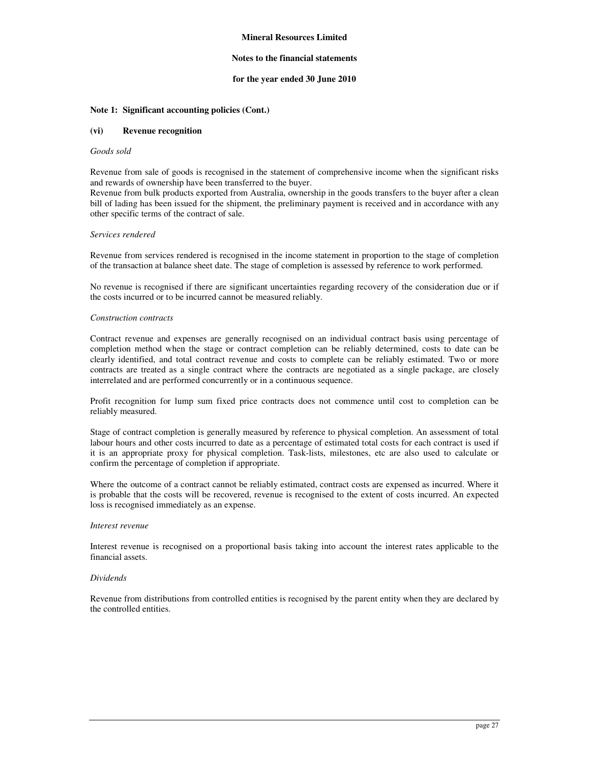#### **Notes to the financial statements**

#### **for the year ended 30 June 2010**

#### **Note 1: Significant accounting policies (Cont.)**

#### **(vi) Revenue recognition**

#### *Goods sold*

Revenue from sale of goods is recognised in the statement of comprehensive income when the significant risks and rewards of ownership have been transferred to the buyer.

Revenue from bulk products exported from Australia, ownership in the goods transfers to the buyer after a clean bill of lading has been issued for the shipment, the preliminary payment is received and in accordance with any other specific terms of the contract of sale.

#### *Services rendered*

Revenue from services rendered is recognised in the income statement in proportion to the stage of completion of the transaction at balance sheet date. The stage of completion is assessed by reference to work performed.

No revenue is recognised if there are significant uncertainties regarding recovery of the consideration due or if the costs incurred or to be incurred cannot be measured reliably.

#### *Construction contracts*

Contract revenue and expenses are generally recognised on an individual contract basis using percentage of completion method when the stage or contract completion can be reliably determined, costs to date can be clearly identified, and total contract revenue and costs to complete can be reliably estimated. Two or more contracts are treated as a single contract where the contracts are negotiated as a single package, are closely interrelated and are performed concurrently or in a continuous sequence.

Profit recognition for lump sum fixed price contracts does not commence until cost to completion can be reliably measured.

Stage of contract completion is generally measured by reference to physical completion. An assessment of total labour hours and other costs incurred to date as a percentage of estimated total costs for each contract is used if it is an appropriate proxy for physical completion. Task-lists, milestones, etc are also used to calculate or confirm the percentage of completion if appropriate.

Where the outcome of a contract cannot be reliably estimated, contract costs are expensed as incurred. Where it is probable that the costs will be recovered, revenue is recognised to the extent of costs incurred. An expected loss is recognised immediately as an expense.

#### *Interest revenue*

Interest revenue is recognised on a proportional basis taking into account the interest rates applicable to the financial assets.

#### *Dividends*

Revenue from distributions from controlled entities is recognised by the parent entity when they are declared by the controlled entities.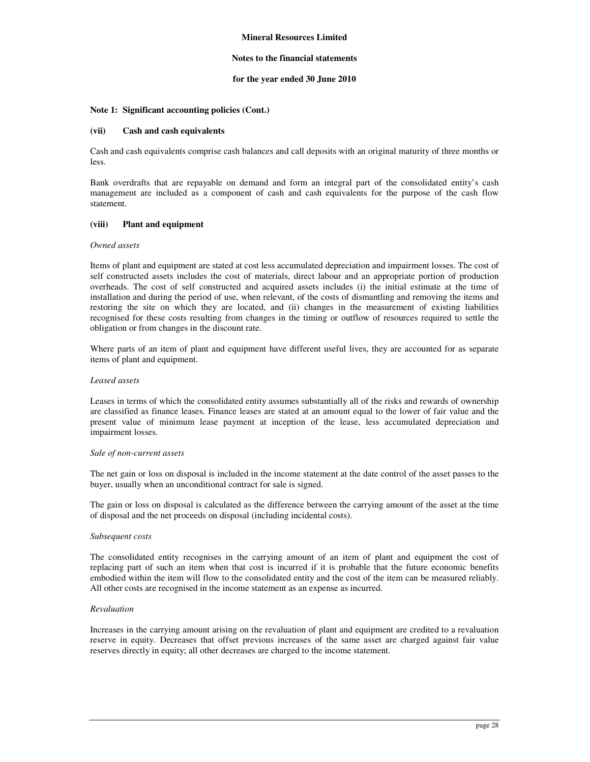#### **Notes to the financial statements**

#### **for the year ended 30 June 2010**

#### **Note 1: Significant accounting policies (Cont.)**

#### **(vii) Cash and cash equivalents**

Cash and cash equivalents comprise cash balances and call deposits with an original maturity of three months or less.

Bank overdrafts that are repayable on demand and form an integral part of the consolidated entity's cash management are included as a component of cash and cash equivalents for the purpose of the cash flow statement.

#### **(viii) Plant and equipment**

#### *Owned assets*

Items of plant and equipment are stated at cost less accumulated depreciation and impairment losses. The cost of self constructed assets includes the cost of materials, direct labour and an appropriate portion of production overheads. The cost of self constructed and acquired assets includes (i) the initial estimate at the time of installation and during the period of use, when relevant, of the costs of dismantling and removing the items and restoring the site on which they are located, and (ii) changes in the measurement of existing liabilities recognised for these costs resulting from changes in the timing or outflow of resources required to settle the obligation or from changes in the discount rate.

Where parts of an item of plant and equipment have different useful lives, they are accounted for as separate items of plant and equipment.

#### *Leased assets*

Leases in terms of which the consolidated entity assumes substantially all of the risks and rewards of ownership are classified as finance leases. Finance leases are stated at an amount equal to the lower of fair value and the present value of minimum lease payment at inception of the lease, less accumulated depreciation and impairment losses.

#### *Sale of non-current assets*

The net gain or loss on disposal is included in the income statement at the date control of the asset passes to the buyer, usually when an unconditional contract for sale is signed.

The gain or loss on disposal is calculated as the difference between the carrying amount of the asset at the time of disposal and the net proceeds on disposal (including incidental costs).

#### *Subsequent costs*

The consolidated entity recognises in the carrying amount of an item of plant and equipment the cost of replacing part of such an item when that cost is incurred if it is probable that the future economic benefits embodied within the item will flow to the consolidated entity and the cost of the item can be measured reliably. All other costs are recognised in the income statement as an expense as incurred.

#### *Revaluation*

Increases in the carrying amount arising on the revaluation of plant and equipment are credited to a revaluation reserve in equity. Decreases that offset previous increases of the same asset are charged against fair value reserves directly in equity; all other decreases are charged to the income statement.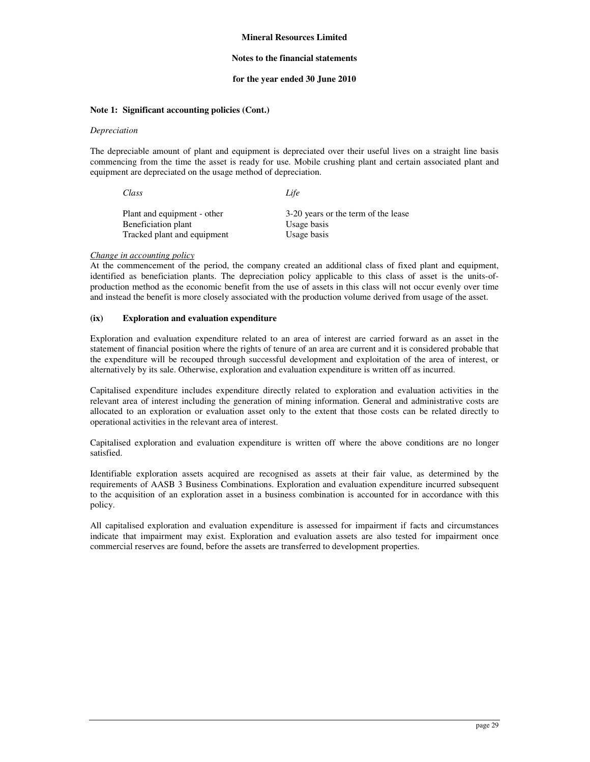#### **Notes to the financial statements**

#### **for the year ended 30 June 2010**

#### **Note 1: Significant accounting policies (Cont.)**

#### *Depreciation*

The depreciable amount of plant and equipment is depreciated over their useful lives on a straight line basis commencing from the time the asset is ready for use. Mobile crushing plant and certain associated plant and equipment are depreciated on the usage method of depreciation.

| Class               |                             | Life        |                                     |
|---------------------|-----------------------------|-------------|-------------------------------------|
| Beneficiation plant | Plant and equipment - other | Usage basis | 3-20 years or the term of the lease |
|                     | Tracked plant and equipment | Usage basis |                                     |

#### *Change in accounting policy*

At the commencement of the period, the company created an additional class of fixed plant and equipment, identified as beneficiation plants. The depreciation policy applicable to this class of asset is the units-ofproduction method as the economic benefit from the use of assets in this class will not occur evenly over time and instead the benefit is more closely associated with the production volume derived from usage of the asset.

#### **(ix) Exploration and evaluation expenditure**

Exploration and evaluation expenditure related to an area of interest are carried forward as an asset in the statement of financial position where the rights of tenure of an area are current and it is considered probable that the expenditure will be recouped through successful development and exploitation of the area of interest, or alternatively by its sale. Otherwise, exploration and evaluation expenditure is written off as incurred.

Capitalised expenditure includes expenditure directly related to exploration and evaluation activities in the relevant area of interest including the generation of mining information. General and administrative costs are allocated to an exploration or evaluation asset only to the extent that those costs can be related directly to operational activities in the relevant area of interest.

Capitalised exploration and evaluation expenditure is written off where the above conditions are no longer satisfied.

Identifiable exploration assets acquired are recognised as assets at their fair value, as determined by the requirements of AASB 3 Business Combinations. Exploration and evaluation expenditure incurred subsequent to the acquisition of an exploration asset in a business combination is accounted for in accordance with this policy.

All capitalised exploration and evaluation expenditure is assessed for impairment if facts and circumstances indicate that impairment may exist. Exploration and evaluation assets are also tested for impairment once commercial reserves are found, before the assets are transferred to development properties.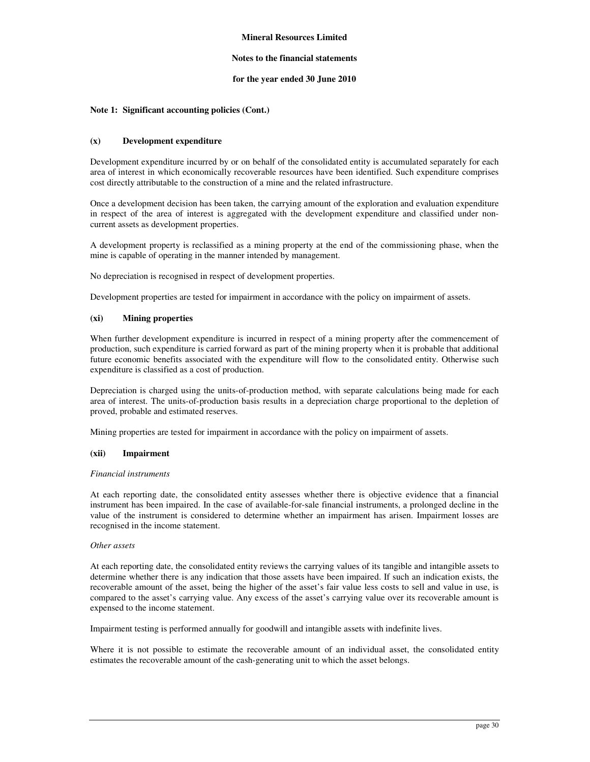#### **Notes to the financial statements**

#### **for the year ended 30 June 2010**

#### **Note 1: Significant accounting policies (Cont.)**

#### **(x) Development expenditure**

Development expenditure incurred by or on behalf of the consolidated entity is accumulated separately for each area of interest in which economically recoverable resources have been identified. Such expenditure comprises cost directly attributable to the construction of a mine and the related infrastructure.

Once a development decision has been taken, the carrying amount of the exploration and evaluation expenditure in respect of the area of interest is aggregated with the development expenditure and classified under noncurrent assets as development properties.

A development property is reclassified as a mining property at the end of the commissioning phase, when the mine is capable of operating in the manner intended by management.

No depreciation is recognised in respect of development properties.

Development properties are tested for impairment in accordance with the policy on impairment of assets.

#### **(xi) Mining properties**

When further development expenditure is incurred in respect of a mining property after the commencement of production, such expenditure is carried forward as part of the mining property when it is probable that additional future economic benefits associated with the expenditure will flow to the consolidated entity. Otherwise such expenditure is classified as a cost of production.

Depreciation is charged using the units-of-production method, with separate calculations being made for each area of interest. The units-of-production basis results in a depreciation charge proportional to the depletion of proved, probable and estimated reserves.

Mining properties are tested for impairment in accordance with the policy on impairment of assets.

#### **(xii) Impairment**

#### *Financial instruments*

At each reporting date, the consolidated entity assesses whether there is objective evidence that a financial instrument has been impaired. In the case of available-for-sale financial instruments, a prolonged decline in the value of the instrument is considered to determine whether an impairment has arisen. Impairment losses are recognised in the income statement.

#### *Other assets*

At each reporting date, the consolidated entity reviews the carrying values of its tangible and intangible assets to determine whether there is any indication that those assets have been impaired. If such an indication exists, the recoverable amount of the asset, being the higher of the asset's fair value less costs to sell and value in use, is compared to the asset's carrying value. Any excess of the asset's carrying value over its recoverable amount is expensed to the income statement.

Impairment testing is performed annually for goodwill and intangible assets with indefinite lives.

Where it is not possible to estimate the recoverable amount of an individual asset, the consolidated entity estimates the recoverable amount of the cash-generating unit to which the asset belongs.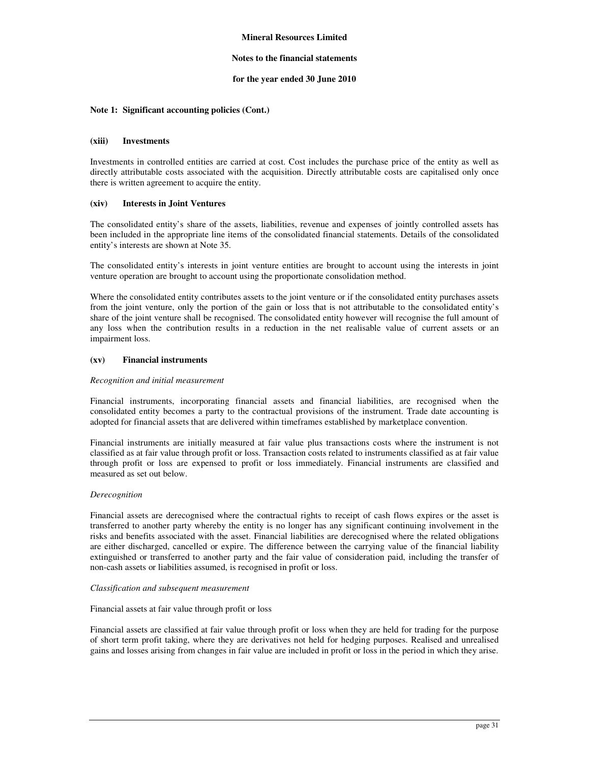#### **Notes to the financial statements**

#### **for the year ended 30 June 2010**

#### **Note 1: Significant accounting policies (Cont.)**

#### **(xiii) Investments**

Investments in controlled entities are carried at cost. Cost includes the purchase price of the entity as well as directly attributable costs associated with the acquisition. Directly attributable costs are capitalised only once there is written agreement to acquire the entity.

#### **(xiv) Interests in Joint Ventures**

The consolidated entity's share of the assets, liabilities, revenue and expenses of jointly controlled assets has been included in the appropriate line items of the consolidated financial statements. Details of the consolidated entity's interests are shown at Note 35.

The consolidated entity's interests in joint venture entities are brought to account using the interests in joint venture operation are brought to account using the proportionate consolidation method.

Where the consolidated entity contributes assets to the joint venture or if the consolidated entity purchases assets from the joint venture, only the portion of the gain or loss that is not attributable to the consolidated entity's share of the joint venture shall be recognised. The consolidated entity however will recognise the full amount of any loss when the contribution results in a reduction in the net realisable value of current assets or an impairment loss.

#### **(xv) Financial instruments**

#### *Recognition and initial measurement*

Financial instruments, incorporating financial assets and financial liabilities, are recognised when the consolidated entity becomes a party to the contractual provisions of the instrument. Trade date accounting is adopted for financial assets that are delivered within timeframes established by marketplace convention.

Financial instruments are initially measured at fair value plus transactions costs where the instrument is not classified as at fair value through profit or loss. Transaction costs related to instruments classified as at fair value through profit or loss are expensed to profit or loss immediately. Financial instruments are classified and measured as set out below.

#### *Derecognition*

Financial assets are derecognised where the contractual rights to receipt of cash flows expires or the asset is transferred to another party whereby the entity is no longer has any significant continuing involvement in the risks and benefits associated with the asset. Financial liabilities are derecognised where the related obligations are either discharged, cancelled or expire. The difference between the carrying value of the financial liability extinguished or transferred to another party and the fair value of consideration paid, including the transfer of non-cash assets or liabilities assumed, is recognised in profit or loss.

#### *Classification and subsequent measurement*

#### Financial assets at fair value through profit or loss

Financial assets are classified at fair value through profit or loss when they are held for trading for the purpose of short term profit taking, where they are derivatives not held for hedging purposes. Realised and unrealised gains and losses arising from changes in fair value are included in profit or loss in the period in which they arise.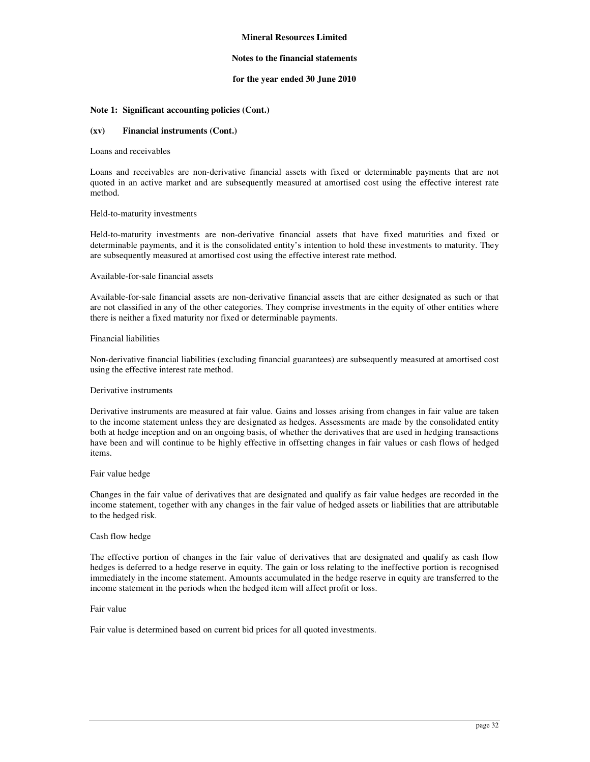#### **Notes to the financial statements**

#### **for the year ended 30 June 2010**

#### **Note 1: Significant accounting policies (Cont.)**

#### **(xv) Financial instruments (Cont.)**

#### Loans and receivables

Loans and receivables are non-derivative financial assets with fixed or determinable payments that are not quoted in an active market and are subsequently measured at amortised cost using the effective interest rate method.

#### Held-to-maturity investments

Held-to-maturity investments are non-derivative financial assets that have fixed maturities and fixed or determinable payments, and it is the consolidated entity's intention to hold these investments to maturity. They are subsequently measured at amortised cost using the effective interest rate method.

#### Available-for-sale financial assets

Available-for-sale financial assets are non-derivative financial assets that are either designated as such or that are not classified in any of the other categories. They comprise investments in the equity of other entities where there is neither a fixed maturity nor fixed or determinable payments.

#### Financial liabilities

Non-derivative financial liabilities (excluding financial guarantees) are subsequently measured at amortised cost using the effective interest rate method.

#### Derivative instruments

Derivative instruments are measured at fair value. Gains and losses arising from changes in fair value are taken to the income statement unless they are designated as hedges. Assessments are made by the consolidated entity both at hedge inception and on an ongoing basis, of whether the derivatives that are used in hedging transactions have been and will continue to be highly effective in offsetting changes in fair values or cash flows of hedged items.

#### Fair value hedge

Changes in the fair value of derivatives that are designated and qualify as fair value hedges are recorded in the income statement, together with any changes in the fair value of hedged assets or liabilities that are attributable to the hedged risk.

#### Cash flow hedge

The effective portion of changes in the fair value of derivatives that are designated and qualify as cash flow hedges is deferred to a hedge reserve in equity. The gain or loss relating to the ineffective portion is recognised immediately in the income statement. Amounts accumulated in the hedge reserve in equity are transferred to the income statement in the periods when the hedged item will affect profit or loss.

#### Fair value

Fair value is determined based on current bid prices for all quoted investments.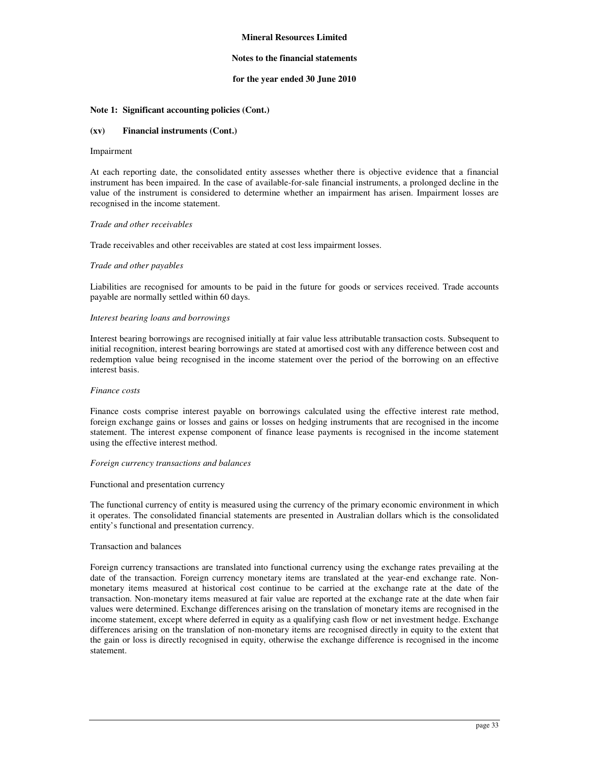#### **Notes to the financial statements**

#### **for the year ended 30 June 2010**

#### **Note 1: Significant accounting policies (Cont.)**

#### **(xv) Financial instruments (Cont.)**

#### Impairment

At each reporting date, the consolidated entity assesses whether there is objective evidence that a financial instrument has been impaired. In the case of available-for-sale financial instruments, a prolonged decline in the value of the instrument is considered to determine whether an impairment has arisen. Impairment losses are recognised in the income statement.

#### *Trade and other receivables*

Trade receivables and other receivables are stated at cost less impairment losses.

#### *Trade and other payables*

Liabilities are recognised for amounts to be paid in the future for goods or services received. Trade accounts payable are normally settled within 60 days.

#### *Interest bearing loans and borrowings*

Interest bearing borrowings are recognised initially at fair value less attributable transaction costs. Subsequent to initial recognition, interest bearing borrowings are stated at amortised cost with any difference between cost and redemption value being recognised in the income statement over the period of the borrowing on an effective interest basis.

#### *Finance costs*

Finance costs comprise interest payable on borrowings calculated using the effective interest rate method, foreign exchange gains or losses and gains or losses on hedging instruments that are recognised in the income statement. The interest expense component of finance lease payments is recognised in the income statement using the effective interest method.

#### *Foreign currency transactions and balances*

#### Functional and presentation currency

The functional currency of entity is measured using the currency of the primary economic environment in which it operates. The consolidated financial statements are presented in Australian dollars which is the consolidated entity's functional and presentation currency.

#### Transaction and balances

Foreign currency transactions are translated into functional currency using the exchange rates prevailing at the date of the transaction. Foreign currency monetary items are translated at the year-end exchange rate. Nonmonetary items measured at historical cost continue to be carried at the exchange rate at the date of the transaction. Non-monetary items measured at fair value are reported at the exchange rate at the date when fair values were determined. Exchange differences arising on the translation of monetary items are recognised in the income statement, except where deferred in equity as a qualifying cash flow or net investment hedge. Exchange differences arising on the translation of non-monetary items are recognised directly in equity to the extent that the gain or loss is directly recognised in equity, otherwise the exchange difference is recognised in the income statement.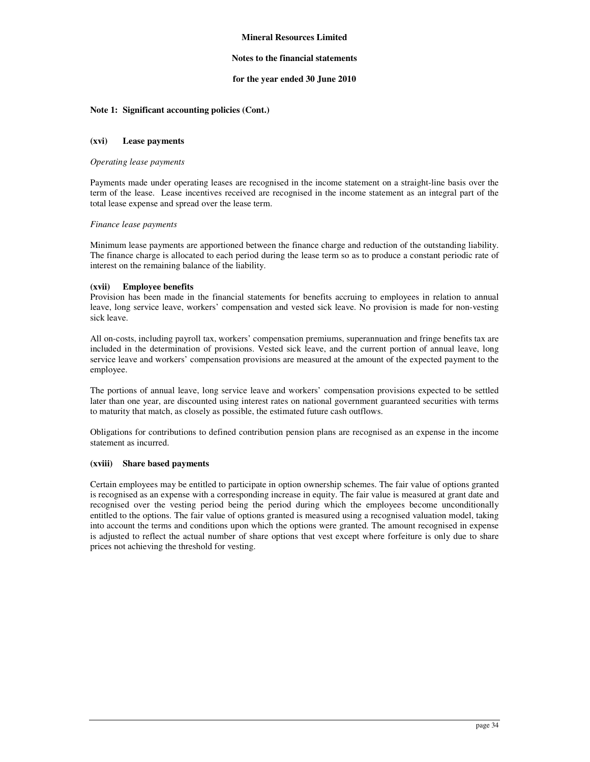### **Notes to the financial statements**

### **for the year ended 30 June 2010**

### **Note 1: Significant accounting policies (Cont.)**

#### **(xvi) Lease payments**

#### *Operating lease payments*

Payments made under operating leases are recognised in the income statement on a straight-line basis over the term of the lease. Lease incentives received are recognised in the income statement as an integral part of the total lease expense and spread over the lease term.

#### *Finance lease payments*

Minimum lease payments are apportioned between the finance charge and reduction of the outstanding liability. The finance charge is allocated to each period during the lease term so as to produce a constant periodic rate of interest on the remaining balance of the liability.

### **(xvii) Employee benefits**

Provision has been made in the financial statements for benefits accruing to employees in relation to annual leave, long service leave, workers' compensation and vested sick leave. No provision is made for non-vesting sick leave.

All on-costs, including payroll tax, workers' compensation premiums, superannuation and fringe benefits tax are included in the determination of provisions. Vested sick leave, and the current portion of annual leave, long service leave and workers' compensation provisions are measured at the amount of the expected payment to the employee.

The portions of annual leave, long service leave and workers' compensation provisions expected to be settled later than one year, are discounted using interest rates on national government guaranteed securities with terms to maturity that match, as closely as possible, the estimated future cash outflows.

Obligations for contributions to defined contribution pension plans are recognised as an expense in the income statement as incurred.

### **(xviii) Share based payments**

Certain employees may be entitled to participate in option ownership schemes. The fair value of options granted is recognised as an expense with a corresponding increase in equity. The fair value is measured at grant date and recognised over the vesting period being the period during which the employees become unconditionally entitled to the options. The fair value of options granted is measured using a recognised valuation model, taking into account the terms and conditions upon which the options were granted. The amount recognised in expense is adjusted to reflect the actual number of share options that vest except where forfeiture is only due to share prices not achieving the threshold for vesting.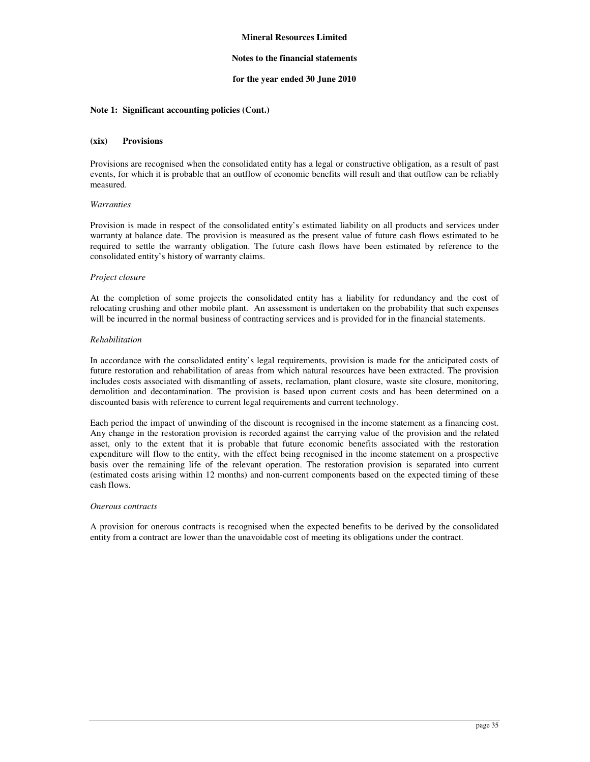### **Notes to the financial statements**

### **for the year ended 30 June 2010**

### **Note 1: Significant accounting policies (Cont.)**

#### **(xix) Provisions**

Provisions are recognised when the consolidated entity has a legal or constructive obligation, as a result of past events, for which it is probable that an outflow of economic benefits will result and that outflow can be reliably measured.

### *Warranties*

Provision is made in respect of the consolidated entity's estimated liability on all products and services under warranty at balance date. The provision is measured as the present value of future cash flows estimated to be required to settle the warranty obligation. The future cash flows have been estimated by reference to the consolidated entity's history of warranty claims.

### *Project closure*

At the completion of some projects the consolidated entity has a liability for redundancy and the cost of relocating crushing and other mobile plant. An assessment is undertaken on the probability that such expenses will be incurred in the normal business of contracting services and is provided for in the financial statements.

### *Rehabilitation*

In accordance with the consolidated entity's legal requirements, provision is made for the anticipated costs of future restoration and rehabilitation of areas from which natural resources have been extracted. The provision includes costs associated with dismantling of assets, reclamation, plant closure, waste site closure, monitoring, demolition and decontamination. The provision is based upon current costs and has been determined on a discounted basis with reference to current legal requirements and current technology.

Each period the impact of unwinding of the discount is recognised in the income statement as a financing cost. Any change in the restoration provision is recorded against the carrying value of the provision and the related asset, only to the extent that it is probable that future economic benefits associated with the restoration expenditure will flow to the entity, with the effect being recognised in the income statement on a prospective basis over the remaining life of the relevant operation. The restoration provision is separated into current (estimated costs arising within 12 months) and non-current components based on the expected timing of these cash flows.

#### *Onerous contracts*

A provision for onerous contracts is recognised when the expected benefits to be derived by the consolidated entity from a contract are lower than the unavoidable cost of meeting its obligations under the contract.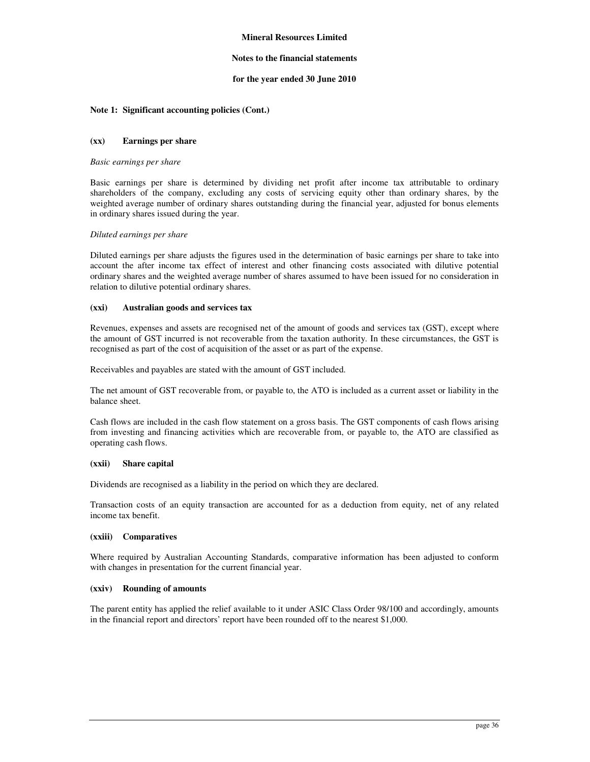### **Notes to the financial statements**

### **for the year ended 30 June 2010**

### **Note 1: Significant accounting policies (Cont.)**

### **(xx) Earnings per share**

#### *Basic earnings per share*

Basic earnings per share is determined by dividing net profit after income tax attributable to ordinary shareholders of the company, excluding any costs of servicing equity other than ordinary shares, by the weighted average number of ordinary shares outstanding during the financial year, adjusted for bonus elements in ordinary shares issued during the year.

### *Diluted earnings per share*

Diluted earnings per share adjusts the figures used in the determination of basic earnings per share to take into account the after income tax effect of interest and other financing costs associated with dilutive potential ordinary shares and the weighted average number of shares assumed to have been issued for no consideration in relation to dilutive potential ordinary shares.

### **(xxi) Australian goods and services tax**

Revenues, expenses and assets are recognised net of the amount of goods and services tax (GST), except where the amount of GST incurred is not recoverable from the taxation authority. In these circumstances, the GST is recognised as part of the cost of acquisition of the asset or as part of the expense.

Receivables and payables are stated with the amount of GST included.

The net amount of GST recoverable from, or payable to, the ATO is included as a current asset or liability in the balance sheet.

Cash flows are included in the cash flow statement on a gross basis. The GST components of cash flows arising from investing and financing activities which are recoverable from, or payable to, the ATO are classified as operating cash flows.

#### **(xxii) Share capital**

Dividends are recognised as a liability in the period on which they are declared.

Transaction costs of an equity transaction are accounted for as a deduction from equity, net of any related income tax benefit.

### **(xxiii) Comparatives**

Where required by Australian Accounting Standards, comparative information has been adjusted to conform with changes in presentation for the current financial year.

#### **(xxiv) Rounding of amounts**

The parent entity has applied the relief available to it under ASIC Class Order 98/100 and accordingly, amounts in the financial report and directors' report have been rounded off to the nearest \$1,000.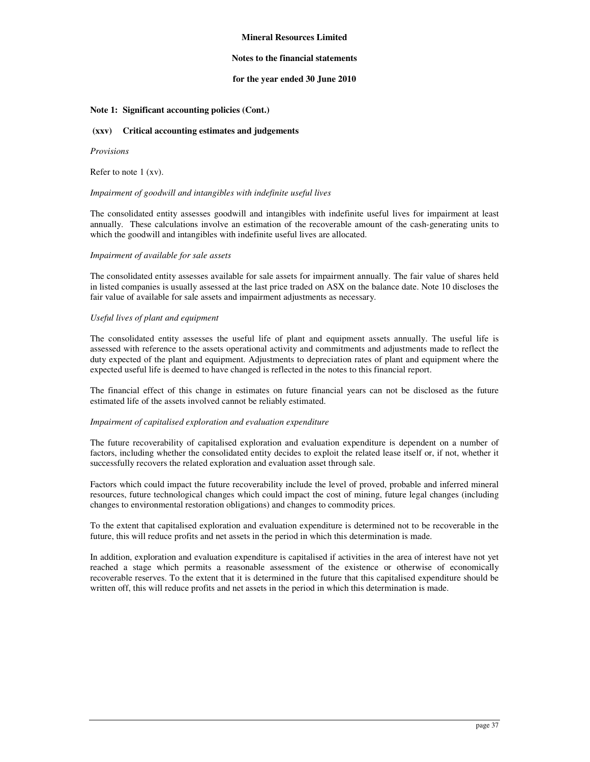### **Notes to the financial statements**

### **for the year ended 30 June 2010**

### **Note 1: Significant accounting policies (Cont.)**

#### **(xxv) Critical accounting estimates and judgements**

#### *Provisions*

Refer to note 1 (xv).

### *Impairment of goodwill and intangibles with indefinite useful lives*

The consolidated entity assesses goodwill and intangibles with indefinite useful lives for impairment at least annually. These calculations involve an estimation of the recoverable amount of the cash-generating units to which the goodwill and intangibles with indefinite useful lives are allocated.

### *Impairment of available for sale assets*

The consolidated entity assesses available for sale assets for impairment annually. The fair value of shares held in listed companies is usually assessed at the last price traded on ASX on the balance date. Note 10 discloses the fair value of available for sale assets and impairment adjustments as necessary.

### *Useful lives of plant and equipment*

The consolidated entity assesses the useful life of plant and equipment assets annually. The useful life is assessed with reference to the assets operational activity and commitments and adjustments made to reflect the duty expected of the plant and equipment. Adjustments to depreciation rates of plant and equipment where the expected useful life is deemed to have changed is reflected in the notes to this financial report.

The financial effect of this change in estimates on future financial years can not be disclosed as the future estimated life of the assets involved cannot be reliably estimated.

### *Impairment of capitalised exploration and evaluation expenditure*

The future recoverability of capitalised exploration and evaluation expenditure is dependent on a number of factors, including whether the consolidated entity decides to exploit the related lease itself or, if not, whether it successfully recovers the related exploration and evaluation asset through sale.

Factors which could impact the future recoverability include the level of proved, probable and inferred mineral resources, future technological changes which could impact the cost of mining, future legal changes (including changes to environmental restoration obligations) and changes to commodity prices.

To the extent that capitalised exploration and evaluation expenditure is determined not to be recoverable in the future, this will reduce profits and net assets in the period in which this determination is made.

In addition, exploration and evaluation expenditure is capitalised if activities in the area of interest have not yet reached a stage which permits a reasonable assessment of the existence or otherwise of economically recoverable reserves. To the extent that it is determined in the future that this capitalised expenditure should be written off, this will reduce profits and net assets in the period in which this determination is made.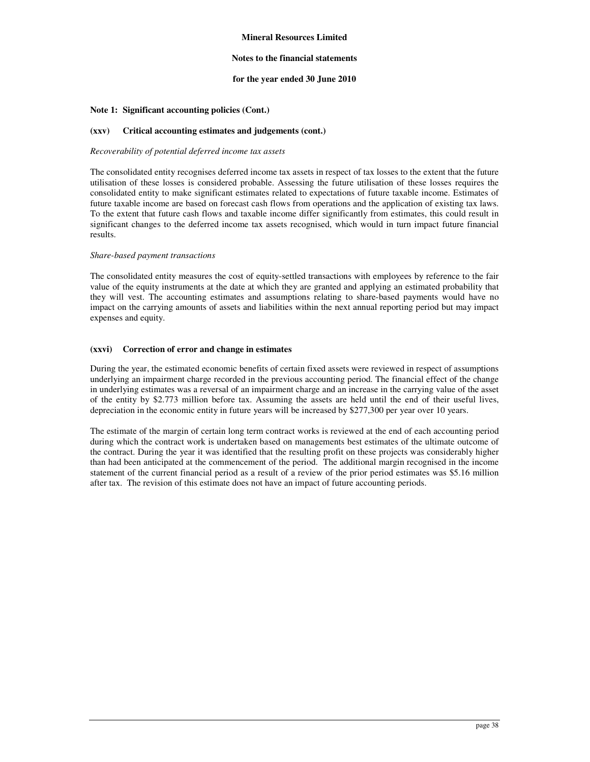### **Notes to the financial statements**

### **for the year ended 30 June 2010**

### **Note 1: Significant accounting policies (Cont.)**

### **(xxv) Critical accounting estimates and judgements (cont.)**

#### *Recoverability of potential deferred income tax assets*

The consolidated entity recognises deferred income tax assets in respect of tax losses to the extent that the future utilisation of these losses is considered probable. Assessing the future utilisation of these losses requires the consolidated entity to make significant estimates related to expectations of future taxable income. Estimates of future taxable income are based on forecast cash flows from operations and the application of existing tax laws. To the extent that future cash flows and taxable income differ significantly from estimates, this could result in significant changes to the deferred income tax assets recognised, which would in turn impact future financial results.

### *Share-based payment transactions*

The consolidated entity measures the cost of equity-settled transactions with employees by reference to the fair value of the equity instruments at the date at which they are granted and applying an estimated probability that they will vest. The accounting estimates and assumptions relating to share-based payments would have no impact on the carrying amounts of assets and liabilities within the next annual reporting period but may impact expenses and equity.

### **(xxvi) Correction of error and change in estimates**

During the year, the estimated economic benefits of certain fixed assets were reviewed in respect of assumptions underlying an impairment charge recorded in the previous accounting period. The financial effect of the change in underlying estimates was a reversal of an impairment charge and an increase in the carrying value of the asset of the entity by \$2.773 million before tax. Assuming the assets are held until the end of their useful lives, depreciation in the economic entity in future years will be increased by \$277,300 per year over 10 years.

The estimate of the margin of certain long term contract works is reviewed at the end of each accounting period during which the contract work is undertaken based on managements best estimates of the ultimate outcome of the contract. During the year it was identified that the resulting profit on these projects was considerably higher than had been anticipated at the commencement of the period. The additional margin recognised in the income statement of the current financial period as a result of a review of the prior period estimates was \$5.16 million after tax. The revision of this estimate does not have an impact of future accounting periods.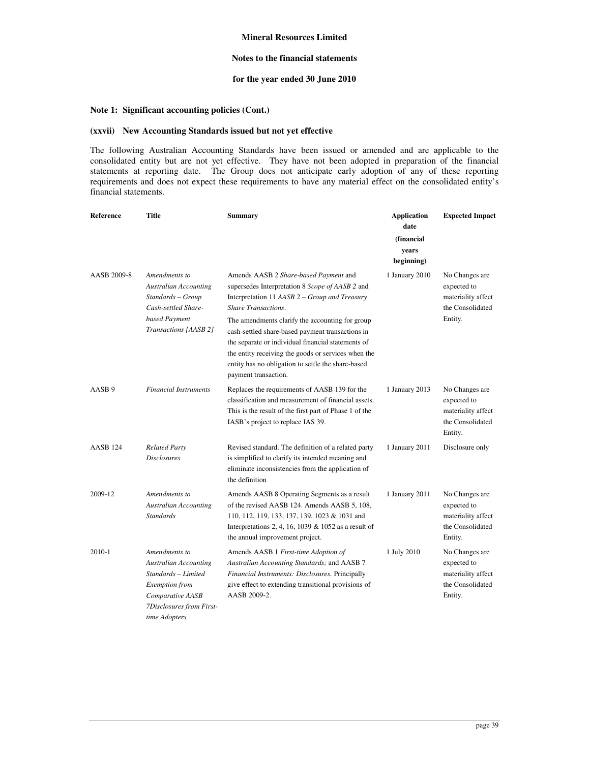### **Notes to the financial statements**

# **for the year ended 30 June 2010**

# **Note 1: Significant accounting policies (Cont.)**

### **(xxvii) New Accounting Standards issued but not yet effective**

The following Australian Accounting Standards have been issued or amended and are applicable to the consolidated entity but are not yet effective. They have not been adopted in preparation of the financial statements at reporting date. The Group does not anticipate early adoption of any of these reporting requirements and does not expect these requirements to have any material effect on the consolidated entity's financial statements.

| Reference           | Title                                                                                                                                                   | <b>Summary</b>                                                                                                                                                                                                                                                                                                                                                                                                                                                            | <b>Application</b><br>date<br>(financial<br>years<br>beginning) | <b>Expected Impact</b>                                                             |
|---------------------|---------------------------------------------------------------------------------------------------------------------------------------------------------|---------------------------------------------------------------------------------------------------------------------------------------------------------------------------------------------------------------------------------------------------------------------------------------------------------------------------------------------------------------------------------------------------------------------------------------------------------------------------|-----------------------------------------------------------------|------------------------------------------------------------------------------------|
| AASB 2009-8         | Amendments to<br><b>Australian Accounting</b><br>Standards - Group<br>Cash-settled Share-<br>based Payment<br>Transactions [AASB 2]                     | Amends AASB 2 Share-based Payment and<br>supersedes Interpretation 8 Scope of AASB 2 and<br>Interpretation 11 AASB 2 – Group and Treasury<br><b>Share Transactions.</b><br>The amendments clarify the accounting for group<br>cash-settled share-based payment transactions in<br>the separate or individual financial statements of<br>the entity receiving the goods or services when the<br>entity has no obligation to settle the share-based<br>payment transaction. | 1 January 2010                                                  | No Changes are<br>expected to<br>materiality affect<br>the Consolidated<br>Entity. |
| AASB <sub>9</sub>   | <b>Financial Instruments</b>                                                                                                                            | Replaces the requirements of AASB 139 for the<br>classification and measurement of financial assets.<br>This is the result of the first part of Phase 1 of the<br>IASB's project to replace IAS 39.                                                                                                                                                                                                                                                                       | 1 January 2013                                                  | No Changes are<br>expected to<br>materiality affect<br>the Consolidated<br>Entity. |
| AASB <sub>124</sub> | <b>Related Party</b><br><b>Disclosures</b>                                                                                                              | Revised standard. The definition of a related party<br>is simplified to clarify its intended meaning and<br>eliminate inconsistencies from the application of<br>the definition                                                                                                                                                                                                                                                                                           | 1 January 2011                                                  | Disclosure only                                                                    |
| 2009-12             | Amendments to<br><b>Australian Accounting</b><br><b>Standards</b>                                                                                       | Amends AASB 8 Operating Segments as a result<br>of the revised AASB 124. Amends AASB 5, 108,<br>110, 112, 119, 133, 137, 139, 1023 & 1031 and<br>Interpretations 2, 4, 16, 1039 & 1052 as a result of<br>the annual improvement project.                                                                                                                                                                                                                                  | 1 January 2011                                                  | No Changes are<br>expected to<br>materiality affect<br>the Consolidated<br>Entity. |
| 2010-1              | Amendments to<br><b>Australian Accounting</b><br>Standards - Limited<br>Exemption from<br>Comparative AASB<br>7Disclosures from First-<br>time Adopters | Amends AASB 1 First-time Adoption of<br>Australian Accounting Standards; and AASB 7<br>Financial Instruments: Disclosures. Principally<br>give effect to extending transitional provisions of<br>AASB 2009-2.                                                                                                                                                                                                                                                             | 1 July 2010                                                     | No Changes are<br>expected to<br>materiality affect<br>the Consolidated<br>Entity. |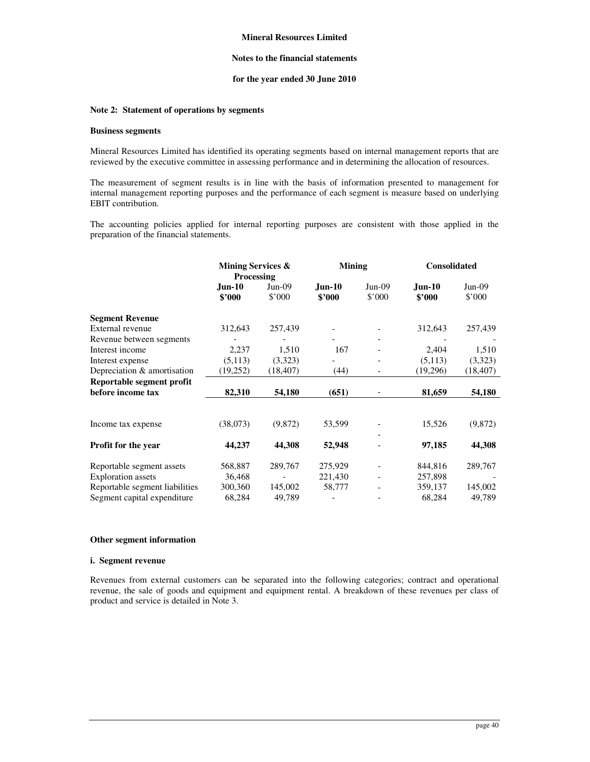### **Notes to the financial statements**

### **for the year ended 30 June 2010**

# **Note 2: Statement of operations by segments**

#### **Business segments**

Mineral Resources Limited has identified its operating segments based on internal management reports that are reviewed by the executive committee in assessing performance and in determining the allocation of resources.

The measurement of segment results is in line with the basis of information presented to management for internal management reporting purposes and the performance of each segment is measure based on underlying EBIT contribution.

The accounting policies applied for internal reporting purposes are consistent with those applied in the preparation of the financial statements.

|                                | Mining Services &<br><b>Processing</b> |                    | <b>Mining</b>      |                    | <b>Consolidated</b>     |                            |
|--------------------------------|----------------------------------------|--------------------|--------------------|--------------------|-------------------------|----------------------------|
|                                | <b>Jun-10</b><br>\$2000                | $Jun-09$<br>\$'000 | $Jun-10$<br>\$2000 | $Jun-09$<br>\$'000 | <b>Jun-10</b><br>\$2000 | $Jun-09$<br>$$^{\circ}000$ |
| <b>Segment Revenue</b>         |                                        |                    |                    |                    |                         |                            |
| External revenue               | 312,643                                | 257,439            |                    |                    | 312,643                 | 257,439                    |
| Revenue between segments       |                                        |                    |                    |                    |                         |                            |
| Interest income                | 2,237                                  | 1,510              | 167                |                    | 2,404                   | 1,510                      |
| Interest expense               | (5, 113)                               | (3,323)            |                    |                    | (5,113)                 | (3,323)                    |
| Depreciation & amortisation    | (19,252)                               | (18, 407)          | (44)               |                    | (19,296)                | (18, 407)                  |
| Reportable segment profit      |                                        |                    |                    |                    |                         |                            |
| before income tax              | 82,310                                 | 54,180             | (651)              |                    | 81,659                  | 54,180                     |
| Income tax expense             | (38,073)                               | (9,872)            | 53,599             |                    | 15,526                  | (9,872)                    |
|                                |                                        |                    |                    |                    |                         |                            |
| Profit for the year            | 44,237                                 | 44,308             | 52,948             |                    | 97,185                  | 44,308                     |
| Reportable segment assets      | 568,887                                | 289,767            | 275,929            |                    | 844,816                 | 289,767                    |
| <b>Exploration</b> assets      | 36,468                                 |                    | 221,430            |                    | 257,898                 |                            |
| Reportable segment liabilities | 300,360                                | 145,002            | 58,777             |                    | 359,137                 | 145,002                    |
| Segment capital expenditure    | 68,284                                 | 49,789             |                    |                    | 68,284                  | 49,789                     |

# **Other segment information**

#### **i. Segment revenue**

Revenues from external customers can be separated into the following categories; contract and operational revenue, the sale of goods and equipment and equipment rental. A breakdown of these revenues per class of product and service is detailed in Note 3.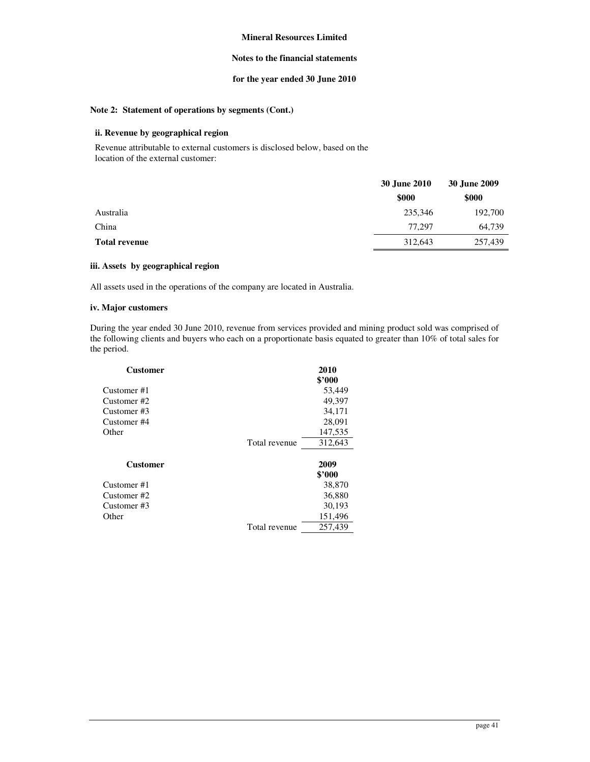## **Notes to the financial statements**

# **for the year ended 30 June 2010**

# **Note 2: Statement of operations by segments (Cont.)**

# **ii. Revenue by geographical region**

Revenue attributable to external customers is disclosed below, based on the location of the external customer:

|                      | 30 June 2010 | 30 June 2009 |  |
|----------------------|--------------|--------------|--|
|                      | \$000        | \$000        |  |
| Australia            | 235,346      | 192,700      |  |
| China                | 77.297       | 64,739       |  |
| <b>Total revenue</b> | 312,643      | 257,439      |  |

#### **iii. Assets by geographical region**

All assets used in the operations of the company are located in Australia.

# **iv. Major customers**

During the year ended 30 June 2010, revenue from services provided and mining product sold was comprised of the following clients and buyers who each on a proportionate basis equated to greater than 10% of total sales for the period.

| <b>Customer</b> |               | 2010    |
|-----------------|---------------|---------|
|                 |               | \$3000  |
| Customer#1      |               | 53,449  |
| Customer#2      |               | 49,397  |
| Customer #3     |               | 34,171  |
| Customer #4     |               | 28,091  |
| Other           |               | 147,535 |
|                 | Total revenue | 312,643 |
|                 |               |         |
| <b>Customer</b> |               | 2009    |
|                 |               | \$3000  |
| Customer#1      |               | 38,870  |
| Customer #2     |               | 36,880  |
| Customer#3      |               | 30,193  |
| Other           |               | 151,496 |
|                 | Total revenue | 257,439 |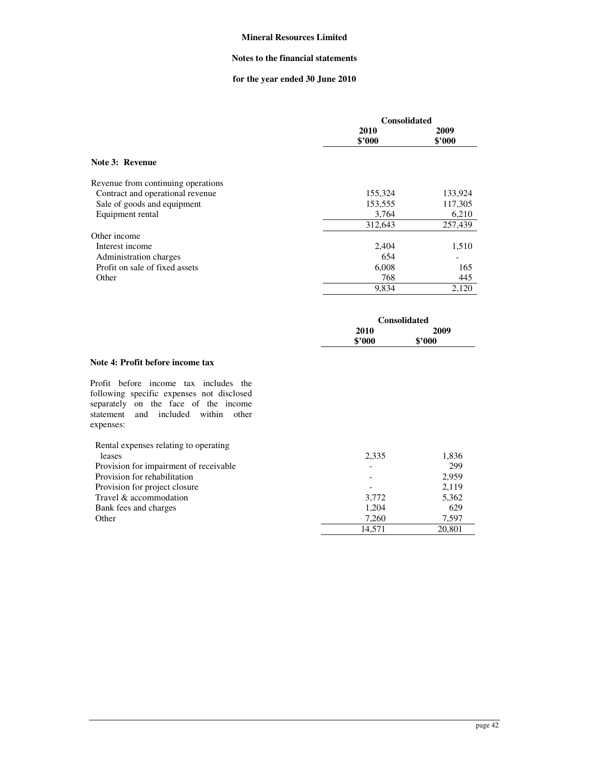### **Notes to the financial statements**

# **for the year ended 30 June 2010**

|                                    | <b>Consolidated</b> |         |
|------------------------------------|---------------------|---------|
|                                    | 2010                | 2009    |
|                                    | \$2000              | \$2000  |
| Note 3: Revenue                    |                     |         |
| Revenue from continuing operations |                     |         |
| Contract and operational revenue   | 155,324             | 133,924 |
| Sale of goods and equipment        | 153,555             | 117,305 |
| Equipment rental                   | 3,764               | 6,210   |
|                                    | 312,643             | 257,439 |
| Other income                       |                     |         |
| Interest income                    | 2,404               | 1,510   |
| Administration charges             | 654                 |         |
| Profit on sale of fixed assets     | 6,008               | 165     |
| Other                              | 768                 | 445     |
|                                    | 9.834               | 2,120   |

| <b>Consolidated</b> |        |  |
|---------------------|--------|--|
| 2010                | 2009   |  |
| \$'000              | \$2000 |  |

### **Note 4: Profit before income tax**

Profit before income tax includes the following specific expenses not disclosed separately on the face of the income statement and included within other expenses:

| Rental expenses relating to operating  |                          |        |
|----------------------------------------|--------------------------|--------|
| leases                                 | 2,335                    | 1,836  |
| Provision for impairment of receivable | $\overline{\phantom{a}}$ | 299    |
| Provision for rehabilitation           | $\overline{\phantom{a}}$ | 2.959  |
| Provision for project closure          |                          | 2,119  |
| Travel & accommodation                 | 3,772                    | 5,362  |
| Bank fees and charges                  | 1,204                    | 629    |
| Other                                  | 7.260                    | 7.597  |
|                                        | 14.571                   | 20.801 |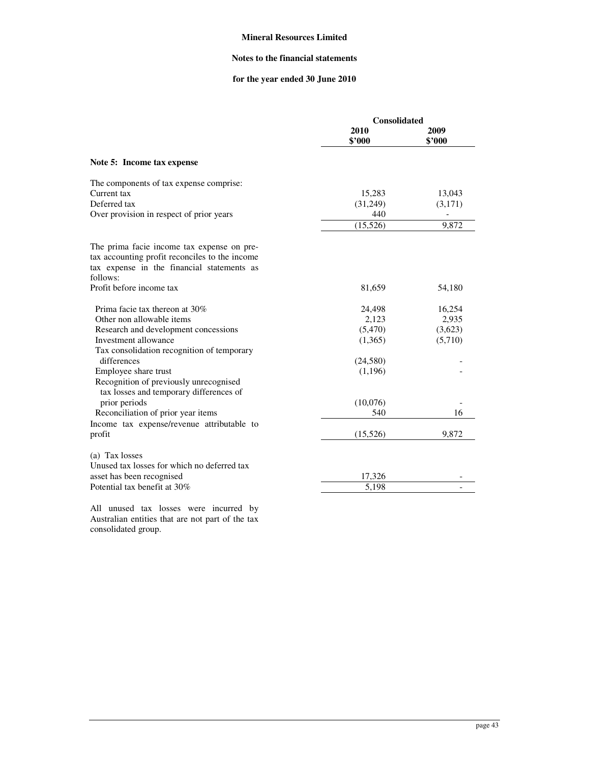## **Notes to the financial statements**

# **for the year ended 30 June 2010**

|                                                | <b>Consolidated</b> |                |
|------------------------------------------------|---------------------|----------------|
|                                                | 2010<br>\$'000      | 2009<br>\$2000 |
| Note 5: Income tax expense                     |                     |                |
| The components of tax expense comprise:        |                     |                |
| Current tax                                    | 15,283              | 13,043         |
| Deferred tax                                   | (31,249)            | (3,171)        |
| Over provision in respect of prior years       | 440                 |                |
|                                                | (15, 526)           | 9,872          |
| The prima facie income tax expense on pre-     |                     |                |
| tax accounting profit reconciles to the income |                     |                |
| tax expense in the financial statements as     |                     |                |
| follows:                                       |                     |                |
| Profit before income tax                       | 81,659              | 54,180         |
| Prima facie tax thereon at 30%                 | 24,498              | 16,254         |
| Other non allowable items                      | 2,123               | 2,935          |
| Research and development concessions           | (5,470)             | (3,623)        |
| Investment allowance                           | (1,365)             | (5,710)        |
| Tax consolidation recognition of temporary     |                     |                |
| differences                                    | (24, 580)           |                |
| Employee share trust                           | (1,196)             |                |
| Recognition of previously unrecognised         |                     |                |
| tax losses and temporary differences of        |                     |                |
| prior periods                                  | (10,076)            |                |
| Reconciliation of prior year items             | 540                 | 16             |
| Income tax expense/revenue attributable to     |                     |                |
| profit                                         | (15, 526)           | 9,872          |
| (a) Tax losses                                 |                     |                |
| Unused tax losses for which no deferred tax    |                     |                |
| asset has been recognised                      | 17,326              |                |
| Potential tax benefit at 30%                   | 5,198               | ÷,             |

All unused tax losses were incurred by Australian entities that are not part of the tax consolidated group.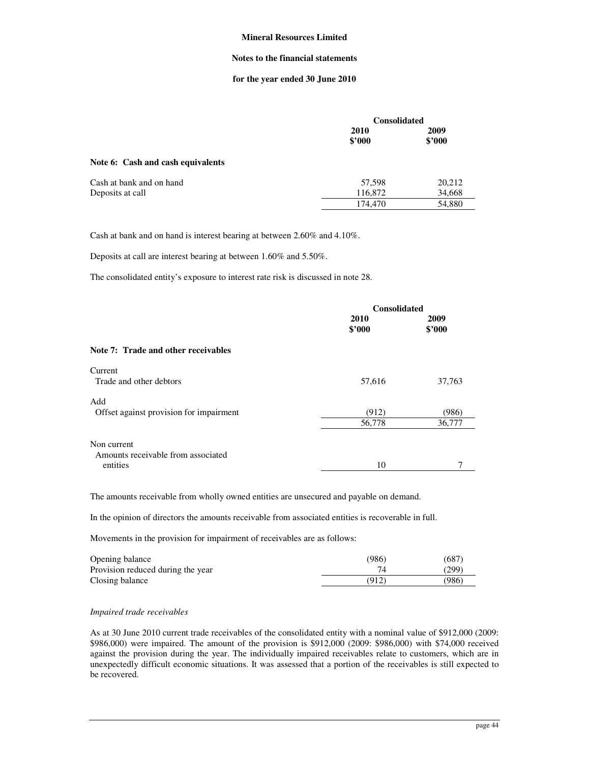#### **Notes to the financial statements**

### **for the year ended 30 June 2010**

|                                   | <b>Consolidated</b> |                |  |
|-----------------------------------|---------------------|----------------|--|
|                                   | 2010<br>\$'000      | 2009<br>\$2000 |  |
| Note 6: Cash and cash equivalents |                     |                |  |
| Cash at bank and on hand          | 57,598              | 20,212         |  |
| Deposits at call                  | 116,872             | 34,668         |  |
|                                   | 174,470             | 54,880         |  |
|                                   |                     |                |  |

Cash at bank and on hand is interest bearing at between 2.60% and 4.10%.

Deposits at call are interest bearing at between 1.60% and 5.50%.

The consolidated entity's exposure to interest rate risk is discussed in note 28.

|                                         | <b>Consolidated</b> |                |  |
|-----------------------------------------|---------------------|----------------|--|
|                                         | 2010<br>\$'000      | 2009<br>\$2000 |  |
| Note 7: Trade and other receivables     |                     |                |  |
| Current                                 |                     |                |  |
| Trade and other debtors                 | 57,616              | 37,763         |  |
| Add                                     |                     |                |  |
| Offset against provision for impairment | (912)               | (986)          |  |
|                                         | 56,778              | 36,777         |  |
| Non current                             |                     |                |  |
| Amounts receivable from associated      |                     |                |  |
| entities                                | 10                  |                |  |

The amounts receivable from wholly owned entities are unsecured and payable on demand.

In the opinion of directors the amounts receivable from associated entities is recoverable in full.

Movements in the provision for impairment of receivables are as follows:

| Opening balance                   | (986) | (687) |
|-----------------------------------|-------|-------|
| Provision reduced during the year |       | (299) |
| Closing balance                   | (912) | (986) |

#### *Impaired trade receivables*

As at 30 June 2010 current trade receivables of the consolidated entity with a nominal value of \$912,000 (2009: \$986,000) were impaired. The amount of the provision is \$912,000 (2009: \$986,000) with \$74,000 received against the provision during the year. The individually impaired receivables relate to customers, which are in unexpectedly difficult economic situations. It was assessed that a portion of the receivables is still expected to be recovered.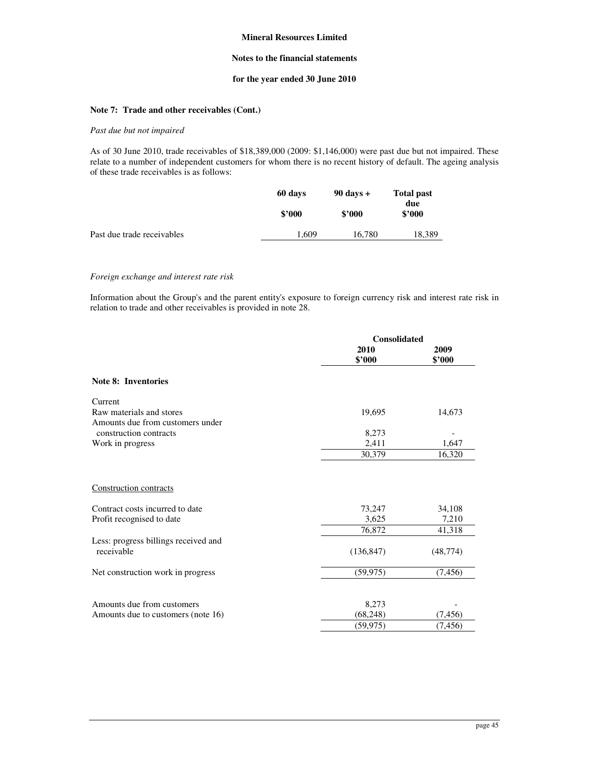## **Notes to the financial statements**

# **for the year ended 30 June 2010**

# **Note 7: Trade and other receivables (Cont.)**

### *Past due but not impaired*

As of 30 June 2010, trade receivables of \$18,389,000 (2009: \$1,146,000) were past due but not impaired. These relate to a number of independent customers for whom there is no recent history of default. The ageing analysis of these trade receivables is as follows:

|                            | 60 days | $90$ days $+$ | <b>Total past</b><br>due |  |
|----------------------------|---------|---------------|--------------------------|--|
|                            | \$2000  | \$2000        | \$2000                   |  |
| Past due trade receivables | 1.609   | 16,780        | 18,389                   |  |

#### *Foreign exchange and interest rate risk*

Information about the Group's and the parent entity's exposure to foreign currency risk and interest rate risk in relation to trade and other receivables is provided in note 28.

|                                                                                        | <b>Consolidated</b>       |                           |
|----------------------------------------------------------------------------------------|---------------------------|---------------------------|
|                                                                                        | 2010<br>\$2000            | 2009<br>\$2000            |
| <b>Note 8: Inventories</b>                                                             |                           |                           |
| Current<br>Raw materials and stores<br>Amounts due from customers under                | 19,695                    | 14,673                    |
| construction contracts                                                                 | 8,273                     |                           |
| Work in progress                                                                       | 2,411                     | 1,647                     |
|                                                                                        | 30,379                    | 16,320                    |
| Construction contracts<br>Contract costs incurred to date<br>Profit recognised to date | 73,247<br>3,625<br>76,872 | 34,108<br>7,210<br>41,318 |
| Less: progress billings received and<br>receivable                                     | (136, 847)                | (48, 774)                 |
| Net construction work in progress                                                      | (59, 975)                 | (7, 456)                  |
| Amounts due from customers<br>Amounts due to customers (note 16)                       | 8,273<br>(68, 248)        | (7, 456)                  |
|                                                                                        | (59, 975)                 | (7, 456)                  |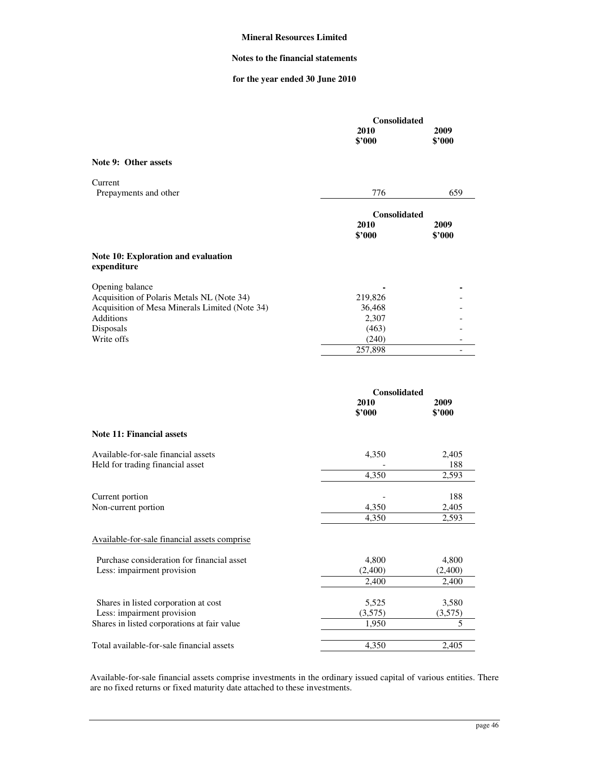### **Notes to the financial statements**

# **for the year ended 30 June 2010**

|                                                           | Consolidated                   |                |
|-----------------------------------------------------------|--------------------------------|----------------|
|                                                           | 2010<br>\$'000                 | 2009<br>\$'000 |
| Note 9: Other assets                                      |                                |                |
| Current<br>Prepayments and other                          | 776                            | 659            |
|                                                           | <b>Consolidated</b>            |                |
|                                                           | 2010<br>\$'000                 | 2009<br>\$'000 |
| <b>Note 10: Exploration and evaluation</b><br>expenditure |                                |                |
| Opening balance                                           |                                |                |
| Acquisition of Polaris Metals NL (Note 34)                | 219,826                        |                |
| Acquisition of Mesa Minerals Limited (Note 34)            | 36,468                         |                |
| <b>Additions</b><br>Disposals                             | 2,307<br>(463)                 |                |
| Write offs                                                | (240)                          |                |
|                                                           | 257,898                        |                |
|                                                           | Consolidated<br>2010<br>\$'000 | 2009<br>\$'000 |
| Note 11: Financial assets                                 |                                |                |
| Available-for-sale financial assets                       | 4,350                          | 2,405          |
| Held for trading financial asset                          |                                | 188            |
|                                                           | 4,350                          | 2,593          |
|                                                           |                                |                |
| Current portion<br>Non-current portion                    | 4,350                          | 188<br>2,405   |
|                                                           | 4,350                          | 2,593          |
|                                                           |                                |                |
| Available-for-sale financial assets comprise              |                                |                |
| Purchase consideration for financial asset                | 4,800                          | 4,800          |
| Less: impairment provision                                | (2,400)                        | (2,400)        |
|                                                           | 2,400                          | 2,400          |
| Shares in listed corporation at cost                      | 5,525                          | 3,580          |
| Less: impairment provision                                | (3,575)                        | (3,575)        |
| Shares in listed corporations at fair value               | 1,950                          | 5              |

Available-for-sale financial assets comprise investments in the ordinary issued capital of various entities. There are no fixed returns or fixed maturity date attached to these investments.

Total available-for-sale financial assets 4,350 2,405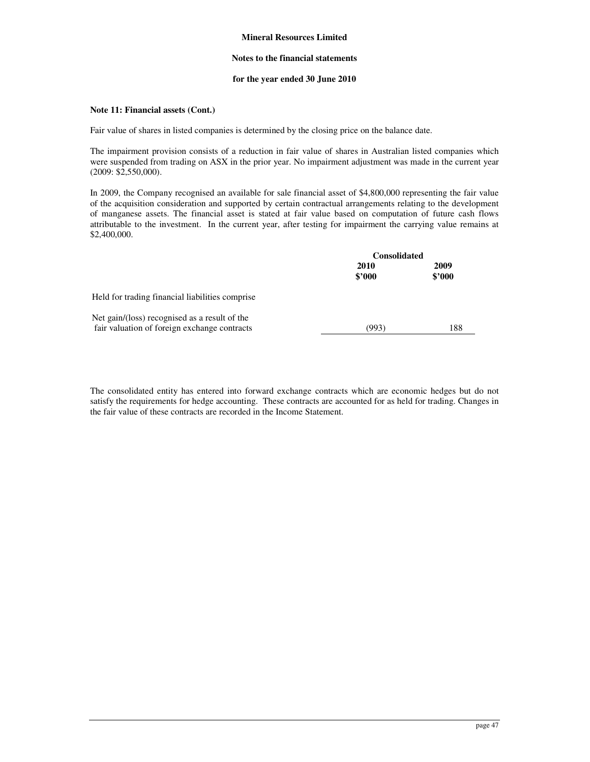### **Notes to the financial statements**

### **for the year ended 30 June 2010**

## **Note 11: Financial assets (Cont.)**

Fair value of shares in listed companies is determined by the closing price on the balance date.

The impairment provision consists of a reduction in fair value of shares in Australian listed companies which were suspended from trading on ASX in the prior year. No impairment adjustment was made in the current year (2009: \$2,550,000).

In 2009, the Company recognised an available for sale financial asset of \$4,800,000 representing the fair value of the acquisition consideration and supported by certain contractual arrangements relating to the development of manganese assets. The financial asset is stated at fair value based on computation of future cash flows attributable to the investment. In the current year, after testing for impairment the carrying value remains at \$2,400,000.

|                                                                                               | <b>Consolidated</b> |                |  |
|-----------------------------------------------------------------------------------------------|---------------------|----------------|--|
|                                                                                               | 2010<br>\$2000      | 2009<br>\$2000 |  |
| Held for trading financial liabilities comprise                                               |                     |                |  |
| Net gain/(loss) recognised as a result of the<br>fair valuation of foreign exchange contracts | (993)               | 188            |  |

The consolidated entity has entered into forward exchange contracts which are economic hedges but do not satisfy the requirements for hedge accounting. These contracts are accounted for as held for trading. Changes in the fair value of these contracts are recorded in the Income Statement.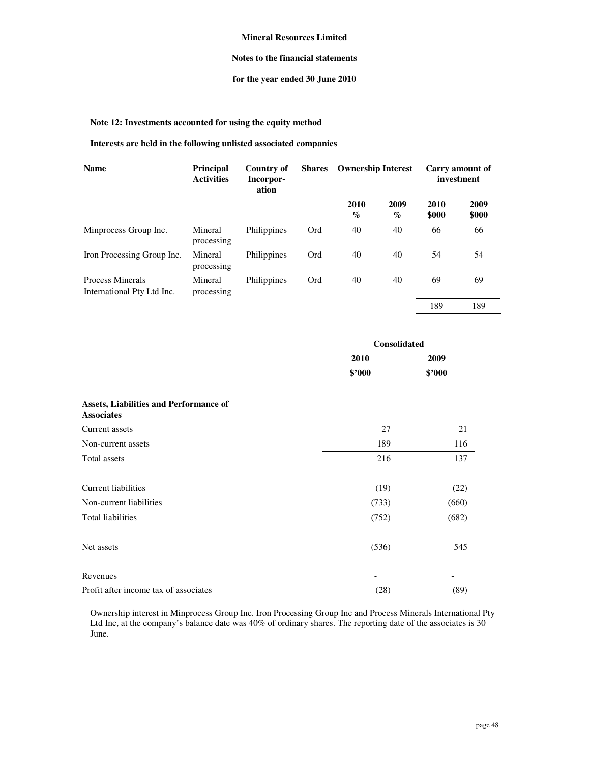## **Notes to the financial statements**

# **for the year ended 30 June 2010**

**Note 12: Investments accounted for using the equity method** 

# **Interests are held in the following unlisted associated companies**

| <b>Name</b>                                    | <b>Principal</b><br><b>Activities</b> | Country of<br>Incorpor-<br>ation | <b>Shares</b> | <b>Ownership Interest</b> |                                     |               | Carry amount of<br>investment |
|------------------------------------------------|---------------------------------------|----------------------------------|---------------|---------------------------|-------------------------------------|---------------|-------------------------------|
|                                                |                                       |                                  |               | 2010<br>$\%$              | 2009<br>$\mathcal{G}_{\mathcal{O}}$ | 2010<br>\$000 | 2009<br>\$000                 |
| Minprocess Group Inc.                          | Mineral<br>processing                 | Philippines                      | Ord           | 40                        | 40                                  | 66            | 66                            |
| Iron Processing Group Inc.                     | Mineral<br>processing                 | Philippines                      | Ord           | 40                        | 40                                  | 54            | 54                            |
| Process Minerals<br>International Pty Ltd Inc. | Mineral<br>processing                 | Philippines                      | Ord           | 40                        | 40                                  | 69            | 69                            |
|                                                |                                       |                                  |               |                           |                                     | 189           | 189                           |

|                                                             | <b>Consolidated</b> |                          |  |
|-------------------------------------------------------------|---------------------|--------------------------|--|
|                                                             | 2010                | 2009                     |  |
|                                                             | \$'000              | \$'000                   |  |
| Assets, Liabilities and Performance of<br><b>Associates</b> |                     |                          |  |
| Current assets                                              | 27                  | 21                       |  |
| Non-current assets                                          | 189                 | 116                      |  |
| Total assets                                                | 216                 | 137                      |  |
| <b>Current liabilities</b>                                  | (19)                | (22)                     |  |
| Non-current liabilities                                     | (733)               | (660)                    |  |
| Total liabilities                                           | (752)               | (682)                    |  |
| Net assets                                                  | (536)               | 545                      |  |
| Revenues                                                    | -                   | $\overline{\phantom{a}}$ |  |
| Profit after income tax of associates                       | (28)                | (89)                     |  |

Ownership interest in Minprocess Group Inc. Iron Processing Group Inc and Process Minerals International Pty Ltd Inc, at the company's balance date was 40% of ordinary shares. The reporting date of the associates is 30 June.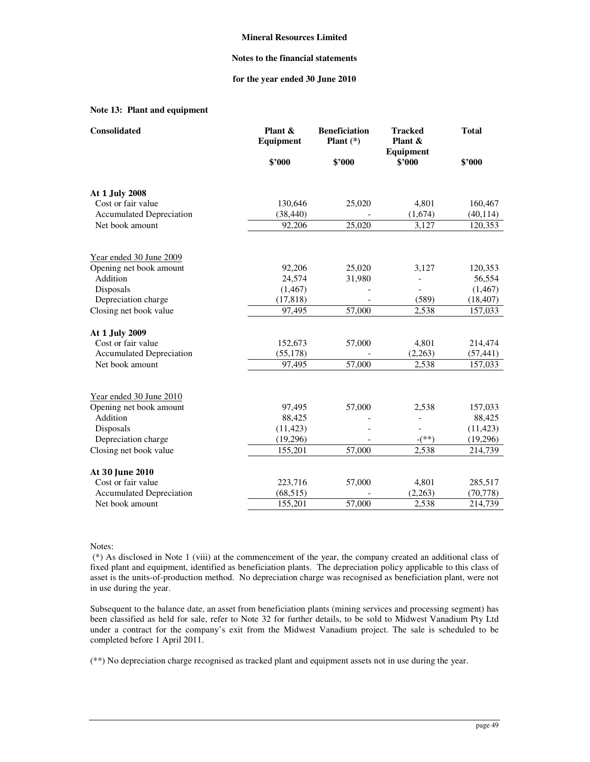### **Notes to the financial statements**

### **for the year ended 30 June 2010**

# **Note 13: Plant and equipment**

| Consolidated                    | Plant &<br>Equipment | <b>Beneficiation</b><br>Plant $(*)$ | <b>Tracked</b><br>Plant & | <b>Total</b> |
|---------------------------------|----------------------|-------------------------------------|---------------------------|--------------|
|                                 | \$2000               | \$'000                              | Equipment<br>\$'000       | \$'000       |
| At 1 July 2008                  |                      |                                     |                           |              |
| Cost or fair value              | 130,646              | 25,020                              | 4,801                     | 160,467      |
| <b>Accumulated Depreciation</b> | (38, 440)            |                                     | (1,674)                   | (40, 114)    |
| Net book amount                 | 92,206               | 25,020                              | 3,127                     | 120,353      |
| Year ended 30 June 2009         |                      |                                     |                           |              |
| Opening net book amount         | 92,206               | 25,020                              | 3,127                     | 120,353      |
| Addition                        | 24,574               | 31,980                              |                           | 56,554       |
| Disposals                       | (1, 467)             |                                     |                           | (1, 467)     |
| Depreciation charge             | (17, 818)            |                                     | (589)                     | (18, 407)    |
| Closing net book value          | 97,495               | 57,000                              | 2,538                     | 157,033      |
| At 1 July 2009                  |                      |                                     |                           |              |
| Cost or fair value              | 152,673              | 57,000                              | 4,801                     | 214,474      |
| <b>Accumulated Depreciation</b> | (55, 178)            |                                     | (2,263)                   | (57, 441)    |
| Net book amount                 | 97.495               | 57,000                              | 2,538                     | 157,033      |
| Year ended 30 June 2010         |                      |                                     |                           |              |
| Opening net book amount         | 97,495               | 57,000                              | 2,538                     | 157,033      |
| Addition                        | 88,425               |                                     |                           | 88,425       |
| Disposals                       | (11, 423)            |                                     |                           | (11, 423)    |
| Depreciation charge             | (19,296)             |                                     | $-(**)$                   | (19,296)     |
| Closing net book value          | 155,201              | 57,000                              | 2,538                     | 214,739      |
| At 30 June 2010                 |                      |                                     |                           |              |
| Cost or fair value              | 223,716              | 57,000                              | 4,801                     | 285,517      |
| <b>Accumulated Depreciation</b> | (68, 515)            |                                     | (2,263)                   | (70, 778)    |
| Net book amount                 | 155,201              | 57,000                              | 2,538                     | 214,739      |

Notes:

 (\*) As disclosed in Note 1 (viii) at the commencement of the year, the company created an additional class of fixed plant and equipment, identified as beneficiation plants. The depreciation policy applicable to this class of asset is the units-of-production method. No depreciation charge was recognised as beneficiation plant, were not in use during the year.

Subsequent to the balance date, an asset from beneficiation plants (mining services and processing segment) has been classified as held for sale, refer to Note 32 for further details, to be sold to Midwest Vanadium Pty Ltd under a contract for the company's exit from the Midwest Vanadium project. The sale is scheduled to be completed before 1 April 2011.

(\*\*) No depreciation charge recognised as tracked plant and equipment assets not in use during the year.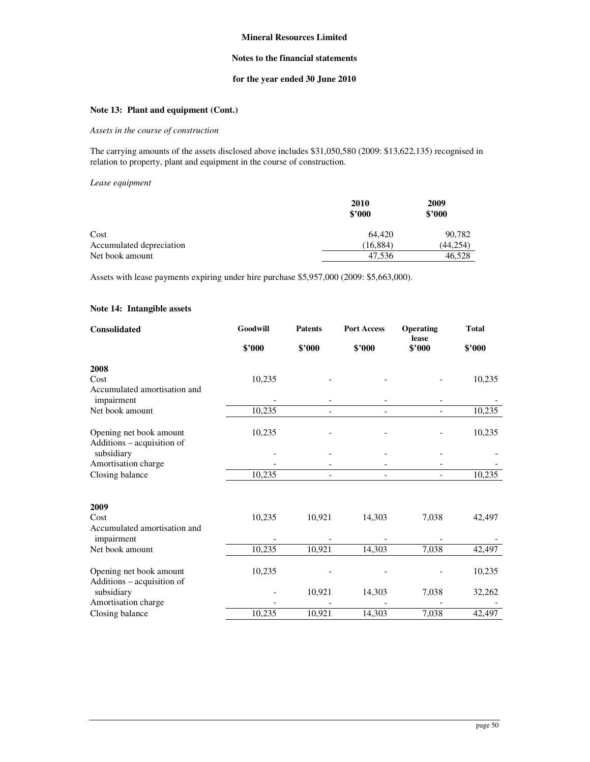## **Notes to the financial statements**

# **for the year ended 30 June 2010**

# **Note 13: Plant and equipment (Cont.)**

### *Assets in the course of construction*

The carrying amounts of the assets disclosed above includes \$31,050,580 (2009: \$13,622,135) recognised in relation to property, plant and equipment in the course of construction.

#### *Lease equipment*

|                          | 2010<br>\$2000 | 2009<br>\$2000 |
|--------------------------|----------------|----------------|
| Cost                     | 64.420         | 90,782         |
| Accumulated depreciation | (16, 884)      | (44, 254)      |
| Net book amount          | 47.536         | 46,528         |

Assets with lease payments expiring under hire purchase \$5,957,000 (2009: \$5,663,000).

### **Note 14: Intangible assets**

| Consolidated                               | Goodwill | <b>Patents</b> | <b>Port Access</b> | Operating<br>lease | <b>Total</b> |
|--------------------------------------------|----------|----------------|--------------------|--------------------|--------------|
|                                            | \$'000   | \$'000         | \$'000             | \$'000             | \$'000       |
| 2008                                       |          |                |                    |                    |              |
| Cost                                       | 10,235   |                |                    |                    | 10,235       |
| Accumulated amortisation and<br>impairment |          |                |                    |                    |              |
| Net book amount                            | 10,235   |                |                    |                    | 10,235       |
|                                            |          |                |                    |                    |              |
| Opening net book amount                    | 10,235   |                |                    |                    | 10,235       |
| Additions - acquisition of<br>subsidiary   |          |                |                    |                    |              |
| Amortisation charge                        |          |                |                    |                    |              |
| Closing balance                            | 10,235   |                |                    |                    | 10,235       |
|                                            |          |                |                    |                    |              |
| 2009                                       |          |                |                    |                    |              |
| Cost                                       | 10,235   | 10,921         | 14,303             | 7,038              | 42,497       |
| Accumulated amortisation and<br>impairment |          |                |                    |                    |              |
| Net book amount                            | 10,235   | 10,921         | 14,303             | 7,038              | 42,497       |
|                                            |          |                |                    |                    |              |
| Opening net book amount                    | 10,235   |                |                    |                    | 10,235       |
| Additions - acquisition of<br>subsidiary   |          | 10,921         | 14,303             | 7,038              | 32,262       |
| Amortisation charge                        |          |                |                    |                    |              |
| Closing balance                            | 10,235   | 10,921         | 14,303             | 7,038              | 42,497       |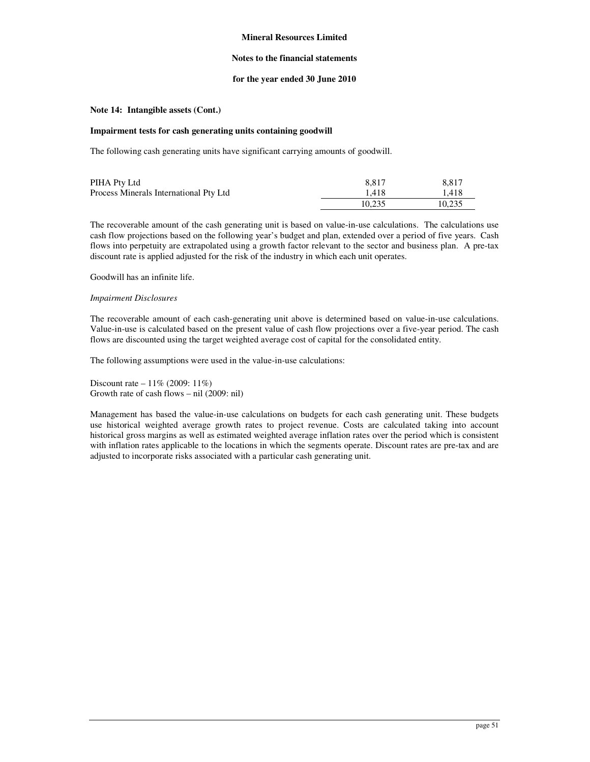### **Notes to the financial statements**

### **for the year ended 30 June 2010**

## **Note 14: Intangible assets (Cont.)**

### **Impairment tests for cash generating units containing goodwill**

The following cash generating units have significant carrying amounts of goodwill.

| PIHA Pty Ltd                           | 8.817  | 8.817  |
|----------------------------------------|--------|--------|
| Process Minerals International Pty Ltd | 1.418  | 1.418  |
|                                        | 10.235 | 10.235 |

The recoverable amount of the cash generating unit is based on value-in-use calculations. The calculations use cash flow projections based on the following year's budget and plan, extended over a period of five years. Cash flows into perpetuity are extrapolated using a growth factor relevant to the sector and business plan. A pre-tax discount rate is applied adjusted for the risk of the industry in which each unit operates.

Goodwill has an infinite life.

### *Impairment Disclosures*

The recoverable amount of each cash-generating unit above is determined based on value-in-use calculations. Value-in-use is calculated based on the present value of cash flow projections over a five-year period. The cash flows are discounted using the target weighted average cost of capital for the consolidated entity.

The following assumptions were used in the value-in-use calculations:

Discount rate – 11% (2009: 11%) Growth rate of cash flows – nil (2009: nil)

Management has based the value-in-use calculations on budgets for each cash generating unit. These budgets use historical weighted average growth rates to project revenue. Costs are calculated taking into account historical gross margins as well as estimated weighted average inflation rates over the period which is consistent with inflation rates applicable to the locations in which the segments operate. Discount rates are pre-tax and are adjusted to incorporate risks associated with a particular cash generating unit.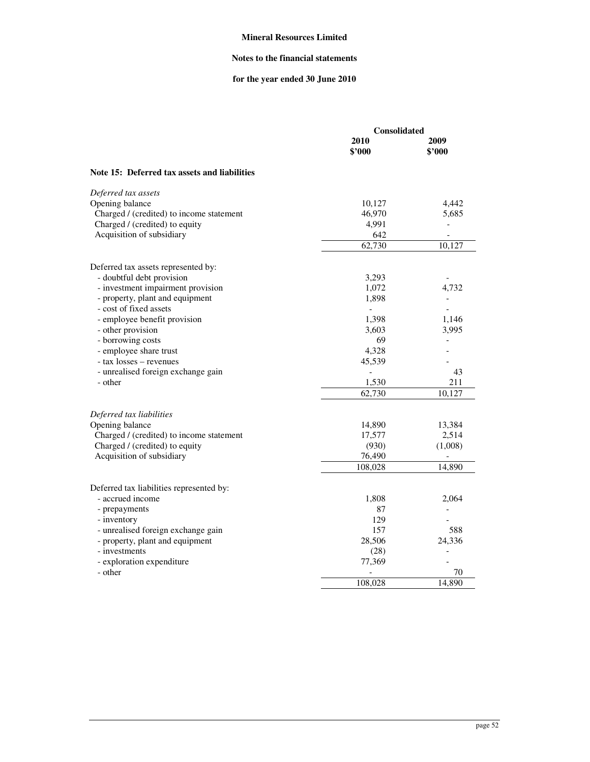# **Notes to the financial statements**

# **for the year ended 30 June 2010**

|                                              | Consolidated   |                              |  |
|----------------------------------------------|----------------|------------------------------|--|
|                                              | 2010<br>\$'000 | 2009<br>\$3000               |  |
| Note 15: Deferred tax assets and liabilities |                |                              |  |
| Deferred tax assets                          |                |                              |  |
| Opening balance                              | 10,127         | 4,442                        |  |
| Charged / (credited) to income statement     | 46,970         | 5,685                        |  |
| Charged / (credited) to equity               | 4,991          | ÷,                           |  |
| Acquisition of subsidiary                    | 642            | $\qquad \qquad \blacksquare$ |  |
|                                              | 62,730         | 10,127                       |  |
| Deferred tax assets represented by:          |                |                              |  |
| - doubtful debt provision                    | 3,293          | $\overline{a}$               |  |
| - investment impairment provision            | 1,072          | 4,732                        |  |
| - property, plant and equipment              | 1,898          |                              |  |
| - cost of fixed assets                       | $\Box$         |                              |  |
| - employee benefit provision                 | 1,398          | 1,146                        |  |
| - other provision                            | 3,603          | 3,995                        |  |
| - borrowing costs                            | 69             | $\blacksquare$               |  |
| - employee share trust                       | 4,328          |                              |  |
| - tax losses – revenues                      | 45,539         |                              |  |
| - unrealised foreign exchange gain           |                | 43                           |  |
| - other                                      | 1,530          | 211                          |  |
|                                              | 62,730         | 10,127                       |  |
| Deferred tax liabilities                     |                |                              |  |
| Opening balance                              | 14,890         | 13,384                       |  |
| Charged / (credited) to income statement     | 17,577         | 2,514                        |  |
| Charged / (credited) to equity               | (930)          | (1,008)                      |  |
| Acquisition of subsidiary                    | 76,490         |                              |  |
|                                              | 108,028        | 14,890                       |  |
| Deferred tax liabilities represented by:     |                |                              |  |
| - accrued income                             | 1,808          | 2,064                        |  |
| - prepayments                                | 87             |                              |  |
| - inventory                                  | 129            |                              |  |
| - unrealised foreign exchange gain           | 157            | 588                          |  |
| - property, plant and equipment              | 28,506         | 24,336                       |  |
| - investments                                | (28)           |                              |  |
| - exploration expenditure                    | 77,369         |                              |  |
| - other                                      |                | 70                           |  |
|                                              | 108,028        | 14,890                       |  |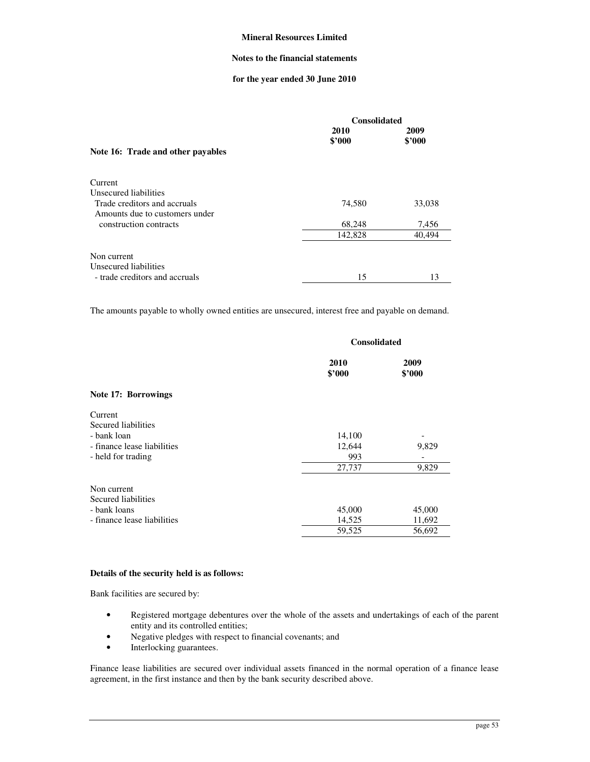## **Notes to the financial statements**

## **for the year ended 30 June 2010**

|                                                                | <b>Consolidated</b> |                |  |
|----------------------------------------------------------------|---------------------|----------------|--|
|                                                                | 2010<br>\$2000      | 2009<br>\$2000 |  |
| Note 16: Trade and other payables                              |                     |                |  |
| Current                                                        |                     |                |  |
| Unsecured liabilities                                          |                     |                |  |
| Trade creditors and accruals<br>Amounts due to customers under | 74,580              | 33,038         |  |
| construction contracts                                         | 68,248              | 7,456          |  |
|                                                                | 142,828             | 40,494         |  |
| Non current                                                    |                     |                |  |
| Unsecured liabilities                                          |                     |                |  |
| - trade creditors and accruals                                 | 15                  | 13             |  |

The amounts payable to wholly owned entities are unsecured, interest free and payable on demand.

|                                                                                                    | <b>Consolidated</b>               |                            |  |
|----------------------------------------------------------------------------------------------------|-----------------------------------|----------------------------|--|
|                                                                                                    | 2010<br>\$2000                    | 2009<br>\$'000             |  |
| Note 17: Borrowings                                                                                |                                   |                            |  |
| Current<br>Secured liabilities<br>- bank loan<br>- finance lease liabilities<br>- held for trading | 14,100<br>12,644<br>993<br>27,737 | 9,829<br>9,829             |  |
| Non current<br>Secured liabilities<br>- bank loans<br>- finance lease liabilities                  | 45,000<br>14,525<br>59,525        | 45,000<br>11,692<br>56,692 |  |

### **Details of the security held is as follows:**

Bank facilities are secured by:

- Registered mortgage debentures over the whole of the assets and undertakings of each of the parent entity and its controlled entities;
- Negative pledges with respect to financial covenants; and
- Interlocking guarantees.

Finance lease liabilities are secured over individual assets financed in the normal operation of a finance lease agreement, in the first instance and then by the bank security described above.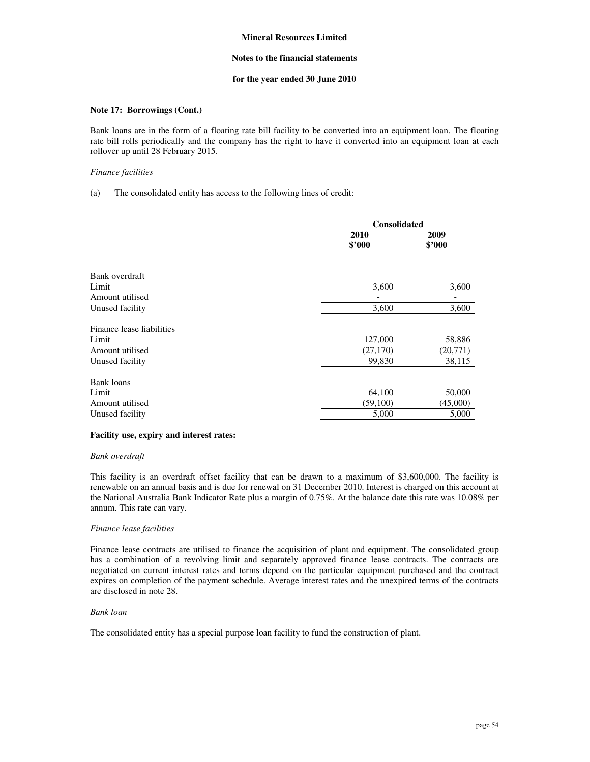### **Notes to the financial statements**

### **for the year ended 30 June 2010**

### **Note 17: Borrowings (Cont.)**

Bank loans are in the form of a floating rate bill facility to be converted into an equipment loan. The floating rate bill rolls periodically and the company has the right to have it converted into an equipment loan at each rollover up until 28 February 2015.

### *Finance facilities*

### (a) The consolidated entity has access to the following lines of credit:

|                           | <b>Consolidated</b> |                |
|---------------------------|---------------------|----------------|
|                           | 2010<br>\$2000      | 2009<br>\$2000 |
| Bank overdraft            |                     |                |
| Limit                     | 3,600               | 3,600          |
| Amount utilised           |                     |                |
| Unused facility           | 3,600               | 3,600          |
| Finance lease liabilities |                     |                |
| Limit                     | 127,000             | 58,886         |
| Amount utilised           | (27, 170)           | (20, 771)      |
| Unused facility           | 99,830              | 38,115         |
| <b>Bank loans</b>         |                     |                |
| Limit                     | 64,100              | 50,000         |
| Amount utilised           | (59,100)            | (45,000)       |
| Unused facility           | 5,000               | 5,000          |
|                           |                     |                |

### **Facility use, expiry and interest rates:**

### *Bank overdraft*

This facility is an overdraft offset facility that can be drawn to a maximum of \$3,600,000. The facility is renewable on an annual basis and is due for renewal on 31 December 2010. Interest is charged on this account at the National Australia Bank Indicator Rate plus a margin of 0.75%. At the balance date this rate was 10.08% per annum. This rate can vary.

### *Finance lease facilities*

Finance lease contracts are utilised to finance the acquisition of plant and equipment. The consolidated group has a combination of a revolving limit and separately approved finance lease contracts. The contracts are negotiated on current interest rates and terms depend on the particular equipment purchased and the contract expires on completion of the payment schedule. Average interest rates and the unexpired terms of the contracts are disclosed in note 28.

### *Bank loan*

The consolidated entity has a special purpose loan facility to fund the construction of plant.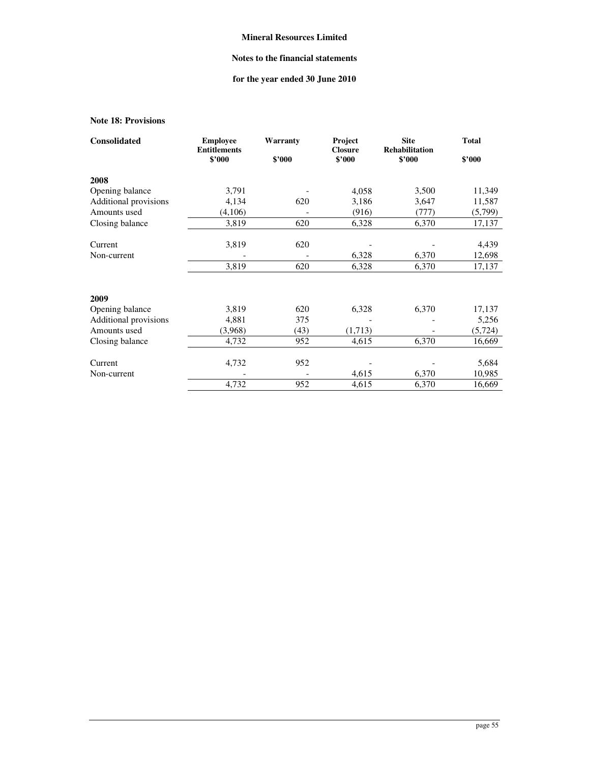# **Notes to the financial statements**

# **for the year ended 30 June 2010**

# **Note 18: Provisions**

| <b>Consolidated</b>   | <b>Employee</b><br><b>Entitlements</b> | Warranty | Project<br><b>Closure</b> | <b>Site</b><br><b>Rehabilitation</b> | <b>Total</b> |
|-----------------------|----------------------------------------|----------|---------------------------|--------------------------------------|--------------|
|                       | \$'000                                 | \$2000   | \$'000                    | \$2000                               | \$2000       |
| 2008                  |                                        |          |                           |                                      |              |
| Opening balance       | 3,791                                  |          | 4,058                     | 3,500                                | 11,349       |
| Additional provisions | 4,134                                  | 620      | 3,186                     | 3,647                                | 11,587       |
| Amounts used          | (4,106)                                |          | (916)                     | (777)                                | (5,799)      |
| Closing balance       | 3,819                                  | 620      | 6,328                     | 6,370                                | 17,137       |
| Current               | 3,819                                  | 620      |                           |                                      | 4,439        |
| Non-current           |                                        |          | 6,328                     | 6,370                                | 12,698       |
|                       | 3,819                                  | 620      | 6,328                     | 6,370                                | 17,137       |
| 2009                  |                                        |          |                           |                                      |              |
| Opening balance       | 3,819                                  | 620      | 6,328                     | 6,370                                | 17,137       |
| Additional provisions | 4,881                                  | 375      |                           |                                      | 5,256        |
| Amounts used          | (3,968)                                | (43)     | (1,713)                   | $\qquad \qquad \blacksquare$         | (5, 724)     |
| Closing balance       | 4,732                                  | 952      | 4,615                     | 6,370                                | 16,669       |
| Current               | 4,732                                  | 952      |                           |                                      | 5,684        |
| Non-current           |                                        |          | 4,615                     | 6,370                                | 10,985       |
|                       | 4,732                                  | 952      | 4,615                     | 6,370                                | 16,669       |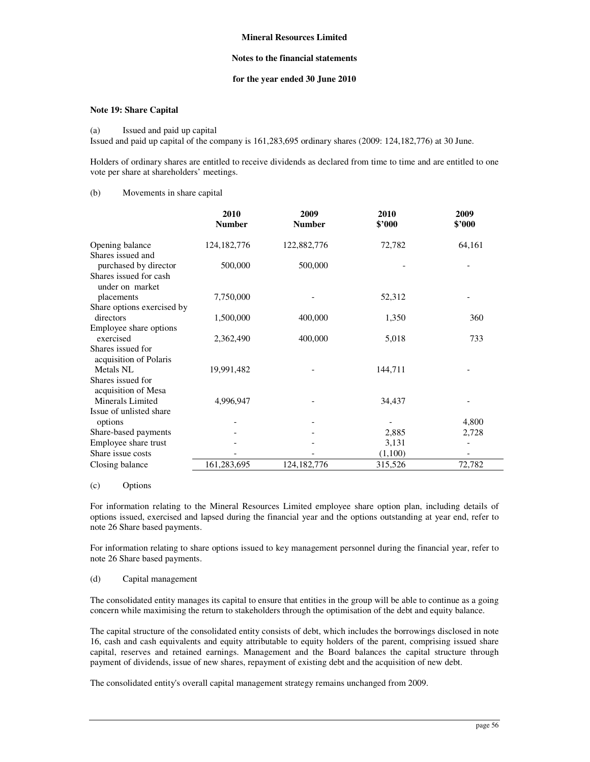### **Notes to the financial statements**

### **for the year ended 30 June 2010**

### **Note 19: Share Capital**

#### (a) Issued and paid up capital

Issued and paid up capital of the company is 161,283,695 ordinary shares (2009: 124,182,776) at 30 June.

Holders of ordinary shares are entitled to receive dividends as declared from time to time and are entitled to one vote per share at shareholders' meetings.

## (b) Movements in share capital

|                                             | 2010<br><b>Number</b> | 2009<br><b>Number</b> | 2010<br>\$3000 | 2009<br>\$'000 |
|---------------------------------------------|-----------------------|-----------------------|----------------|----------------|
| Opening balance                             | 124, 182, 776         | 122,882,776           | 72,782         | 64,161         |
| Shares issued and                           |                       |                       |                |                |
| purchased by director                       | 500,000               | 500,000               |                |                |
| Shares issued for cash<br>under on market   |                       |                       |                |                |
| placements                                  | 7,750,000             |                       | 52,312         |                |
| Share options exercised by                  |                       |                       |                |                |
| directors                                   | 1,500,000             | 400,000               | 1,350          | 360            |
| Employee share options                      |                       |                       |                |                |
| exercised                                   | 2,362,490             | 400,000               | 5,018          | 733            |
| Shares issued for<br>acquisition of Polaris |                       |                       |                |                |
| Metals NL                                   | 19,991,482            |                       | 144,711        |                |
| Shares issued for<br>acquisition of Mesa    |                       |                       |                |                |
| Minerals Limited                            | 4,996,947             |                       | 34,437         |                |
| Issue of unlisted share<br>options          |                       |                       |                | 4,800          |
| Share-based payments                        |                       |                       | 2,885          | 2,728          |
| Employee share trust                        |                       |                       | 3,131          |                |
| Share issue costs                           |                       |                       | (1,100)        |                |
| Closing balance                             | 161,283,695           | 124, 182, 776         | 315,526        | 72,782         |
|                                             |                       |                       |                |                |

#### (c) Options

For information relating to the Mineral Resources Limited employee share option plan, including details of options issued, exercised and lapsed during the financial year and the options outstanding at year end, refer to note 26 Share based payments.

For information relating to share options issued to key management personnel during the financial year, refer to note 26 Share based payments.

#### (d) Capital management

The consolidated entity manages its capital to ensure that entities in the group will be able to continue as a going concern while maximising the return to stakeholders through the optimisation of the debt and equity balance.

The capital structure of the consolidated entity consists of debt, which includes the borrowings disclosed in note 16, cash and cash equivalents and equity attributable to equity holders of the parent, comprising issued share capital, reserves and retained earnings. Management and the Board balances the capital structure through payment of dividends, issue of new shares, repayment of existing debt and the acquisition of new debt.

The consolidated entity's overall capital management strategy remains unchanged from 2009.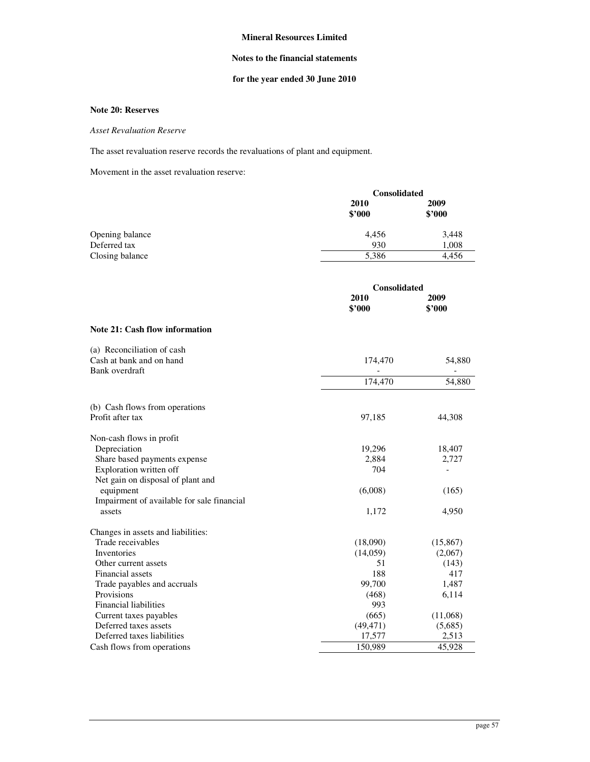## **Notes to the financial statements**

# **for the year ended 30 June 2010**

### **Note 20: Reserves**

### *Asset Revaluation Reserve*

The asset revaluation reserve records the revaluations of plant and equipment.

Movement in the asset revaluation reserve:

|                 |                | <b>Consolidated</b> |  |  |
|-----------------|----------------|---------------------|--|--|
|                 | 2010<br>\$'000 | 2009<br>\$2000      |  |  |
| Opening balance | 4,456          | 3,448               |  |  |
| Deferred tax    | 930            | 1,008               |  |  |
| Closing balance | 5,386          | 4,456               |  |  |

|                                                                          | <b>Consolidated</b> |                |
|--------------------------------------------------------------------------|---------------------|----------------|
|                                                                          | 2010<br>\$3000      | 2009<br>\$2000 |
| Note 21: Cash flow information                                           |                     |                |
| (a) Reconciliation of cash<br>Cash at bank and on hand<br>Bank overdraft | 174,470             | 54,880         |
|                                                                          | 174,470             | 54,880         |
| (b) Cash flows from operations                                           |                     |                |
| Profit after tax                                                         | 97,185              | 44,308         |
| Non-cash flows in profit                                                 |                     |                |
| Depreciation                                                             | 19,296              | 18,407         |
| Share based payments expense                                             | 2,884               | 2,727          |
| Exploration written off                                                  | 704                 |                |
| Net gain on disposal of plant and                                        |                     |                |
| equipment                                                                | (6,008)             | (165)          |
| Impairment of available for sale financial                               |                     |                |
| assets                                                                   | 1,172               | 4,950          |
| Changes in assets and liabilities:                                       |                     |                |
| Trade receivables                                                        | (18,090)            | (15, 867)      |
| Inventories                                                              | (14,059)            | (2,067)        |
| Other current assets                                                     | 51                  | (143)          |
| Financial assets                                                         | 188                 | 417            |
| Trade payables and accruals                                              | 99,700              | 1,487          |
| Provisions                                                               | (468)               | 6,114          |
| <b>Financial liabilities</b>                                             | 993                 |                |
| Current taxes payables                                                   | (665)               | (11,068)       |
| Deferred taxes assets                                                    | (49, 471)           | (5,685)        |
| Deferred taxes liabilities                                               | 17,577              | 2,513          |
| Cash flows from operations                                               | 150,989             | 45,928         |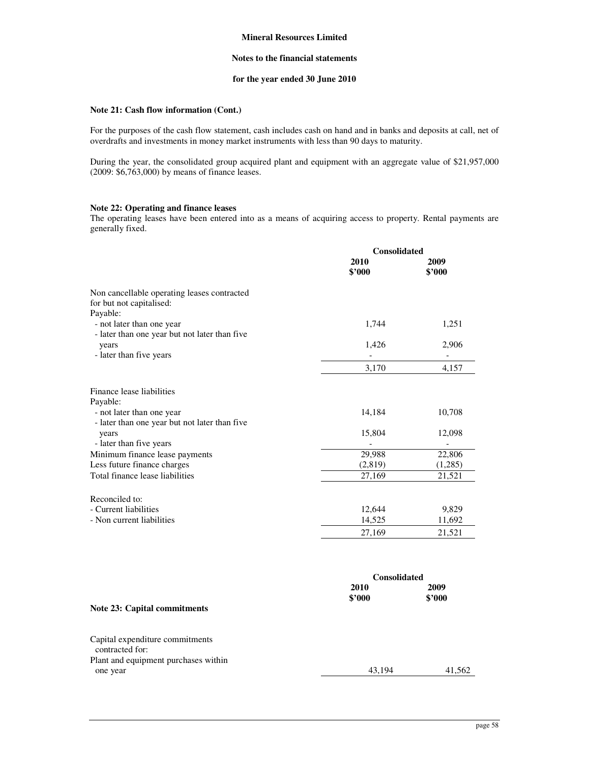## **Notes to the financial statements**

# **for the year ended 30 June 2010**

# **Note 21: Cash flow information (Cont.)**

For the purposes of the cash flow statement, cash includes cash on hand and in banks and deposits at call, net of overdrafts and investments in money market instruments with less than 90 days to maturity.

During the year, the consolidated group acquired plant and equipment with an aggregate value of \$21,957,000 (2009: \$6,763,000) by means of finance leases.

### **Note 22: Operating and finance leases**

The operating leases have been entered into as a means of acquiring access to property. Rental payments are generally fixed.

|                                                                                        | Consolidated   |                |
|----------------------------------------------------------------------------------------|----------------|----------------|
|                                                                                        | 2010<br>\$'000 | 2009<br>\$3000 |
| Non cancellable operating leases contracted<br>for but not capitalised:                |                |                |
| Payable:<br>- not later than one year<br>- later than one year but not later than five | 1,744          | 1,251          |
| years<br>- later than five years                                                       | 1,426          | 2,906          |
|                                                                                        | 3,170          | 4,157          |
| Finance lease liabilities<br>Payable:                                                  |                |                |
| - not later than one year<br>- later than one year but not later than five             | 14,184         | 10,708         |
| years<br>- later than five years                                                       | 15,804         | 12,098         |
| Minimum finance lease payments                                                         | 29,988         | 22,806         |
| Less future finance charges                                                            | (2,819)        | (1,285)        |
| Total finance lease liabilities                                                        | 27,169         | 21,521         |
| Reconciled to:                                                                         |                |                |
| - Current liabilities                                                                  | 12,644         | 9,829          |
| - Non current liabilities                                                              | 14,525         | 11,692         |
|                                                                                        | 27,169         | 21,521         |

|                                                    | <b>Consolidated</b> |                |
|----------------------------------------------------|---------------------|----------------|
|                                                    | 2010<br>\$2000      | 2009<br>\$2000 |
| Note 23: Capital commitments                       |                     |                |
| Capital expenditure commitments<br>contracted for: |                     |                |
| Plant and equipment purchases within<br>one year   | 43,194              | 41,562         |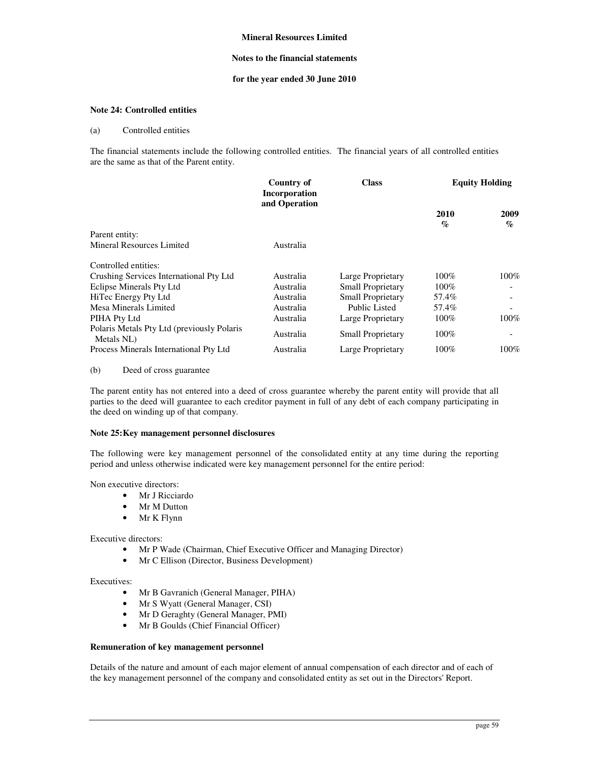### **Notes to the financial statements**

### **for the year ended 30 June 2010**

### **Note 24: Controlled entities**

#### (a) Controlled entities

The financial statements include the following controlled entities. The financial years of all controlled entities are the same as that of the Parent entity.

|                                                          | Country of<br><b>Incorporation</b> | <b>Class</b>             | <b>Equity Holding</b> |                         |
|----------------------------------------------------------|------------------------------------|--------------------------|-----------------------|-------------------------|
|                                                          | and Operation                      |                          | 2010<br>$\%$          | 2009<br>$\mathcal{O}_0$ |
| Parent entity:                                           |                                    |                          |                       |                         |
| Mineral Resources Limited                                | Australia                          |                          |                       |                         |
| Controlled entities:                                     |                                    |                          |                       |                         |
| Crushing Services International Pty Ltd                  | Australia                          | Large Proprietary        | $100\%$               | $100\%$                 |
| Eclipse Minerals Pty Ltd                                 | Australia                          | <b>Small Proprietary</b> | $100\%$               |                         |
| HiTec Energy Pty Ltd                                     | Australia                          | <b>Small Proprietary</b> | 57.4%                 |                         |
| Mesa Minerals Limited                                    | Australia                          | Public Listed            | 57.4%                 |                         |
| PIHA Pty Ltd                                             | Australia                          | Large Proprietary        | $100\%$               | 100%                    |
| Polaris Metals Pty Ltd (previously Polaris<br>Metals NL) | Australia                          | <b>Small Proprietary</b> | 100%                  |                         |
| Process Minerals International Pty Ltd                   | Australia                          | Large Proprietary        | $100\%$               | 100%                    |

### (b) Deed of cross guarantee

The parent entity has not entered into a deed of cross guarantee whereby the parent entity will provide that all parties to the deed will guarantee to each creditor payment in full of any debt of each company participating in the deed on winding up of that company.

#### **Note 25: Key management personnel disclosures**

The following were key management personnel of the consolidated entity at any time during the reporting period and unless otherwise indicated were key management personnel for the entire period:

Non executive directors:

- Mr J Ricciardo
- Mr M Dutton
- Mr K Flynn

Executive directors:

- Mr P Wade (Chairman, Chief Executive Officer and Managing Director)
- Mr C Ellison (Director, Business Development)

Executives:

- Mr B Gavranich (General Manager, PIHA)
- Mr S Wyatt (General Manager, CSI)
- Mr D Geraghty (General Manager, PMI)
- Mr B Goulds (Chief Financial Officer)

### **Remuneration of key management personnel**

Details of the nature and amount of each major element of annual compensation of each director and of each of the key management personnel of the company and consolidated entity as set out in the Directors' Report.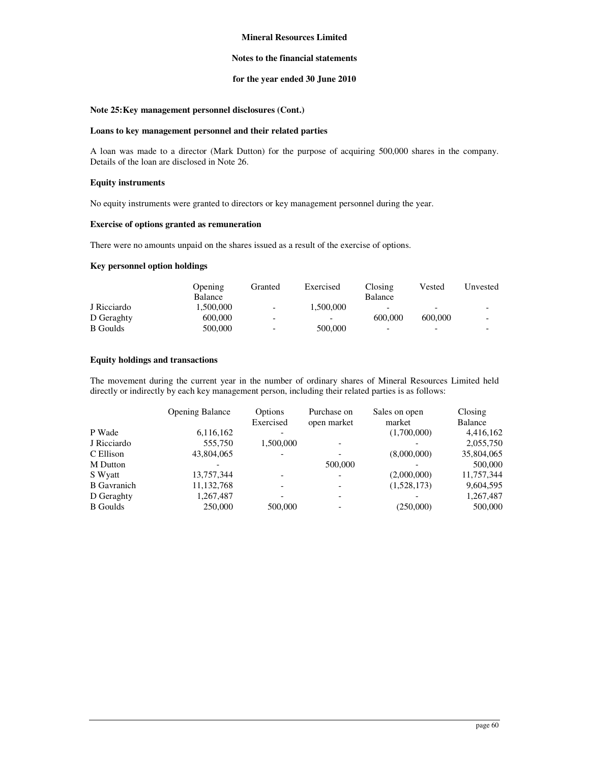### **Notes to the financial statements**

### **for the year ended 30 June 2010**

# **Note 25: Key management personnel disclosures (Cont.)**

#### **Loans to key management personnel and their related parties**

A loan was made to a director (Mark Dutton) for the purpose of acquiring 500,000 shares in the company. Details of the loan are disclosed in Note 26.

### **Equity instruments**

No equity instruments were granted to directors or key management personnel during the year.

### **Exercise of options granted as remuneration**

There were no amounts unpaid on the shares issued as a result of the exercise of options.

### **Key personnel option holdings**

|                 | Opening   | Granted                  | Exercised | Closing                  | Vested  | Unvested                 |
|-----------------|-----------|--------------------------|-----------|--------------------------|---------|--------------------------|
|                 | Balance   |                          |           | Balance                  |         |                          |
| J Ricciardo     | 1.500.000 | $\overline{\phantom{a}}$ | 1.500.000 | -                        | -       | -                        |
| D Geraghty      | 600,000   | $\overline{\phantom{0}}$ | -         | 600,000                  | 600,000 | $\overline{\phantom{0}}$ |
| <b>B</b> Goulds | 500,000   | $\overline{\phantom{0}}$ | 500,000   | $\overline{\phantom{0}}$ | -       | -                        |

### **Equity holdings and transactions**

The movement during the current year in the number of ordinary shares of Mineral Resources Limited held directly or indirectly by each key management person, including their related parties is as follows:

|                    | <b>Opening Balance</b> | Options<br>Exercised     | Purchase on<br>open market | Sales on open<br>market | Closing<br>Balance |
|--------------------|------------------------|--------------------------|----------------------------|-------------------------|--------------------|
| P Wade             | 6,116,162              |                          |                            | (1,700,000)             | 4,416,162          |
| J Ricciardo        | 555,750                | 1,500,000                |                            |                         | 2,055,750          |
| C Ellison          | 43,804,065             |                          |                            | (8,000,000)             | 35,804,065         |
| M Dutton           |                        |                          | 500,000                    |                         | 500,000            |
| S Wyatt            | 13,757,344             |                          |                            | (2,000,000)             | 11,757,344         |
| <b>B</b> Gavranich | 11,132,768             | $\overline{\phantom{0}}$ |                            | (1,528,173)             | 9,604,595          |
| D Geraghty         | 1,267,487              |                          |                            |                         | 1,267,487          |
| <b>B</b> Goulds    | 250,000                | 500,000                  |                            | (250,000)               | 500,000            |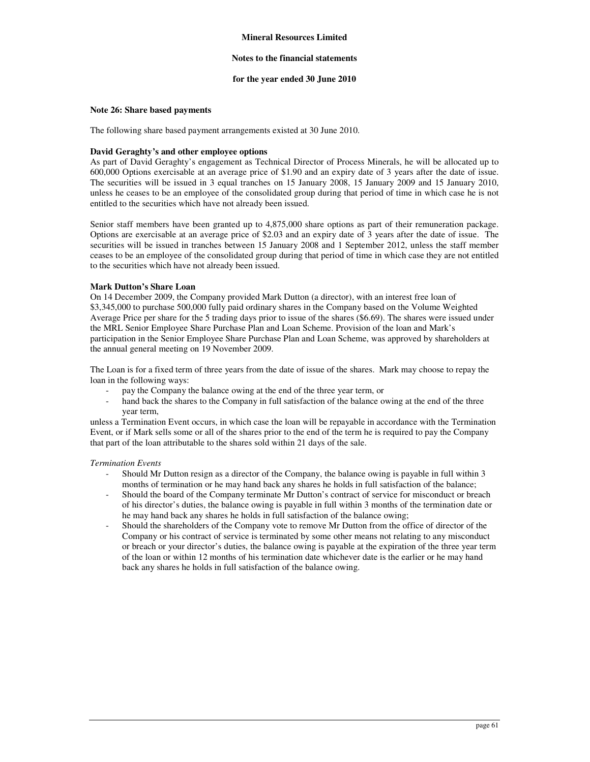### **Notes to the financial statements**

### **for the year ended 30 June 2010**

#### **Note 26: Share based payments**

The following share based payment arrangements existed at 30 June 2010.

### **David Geraghty's and other employee options**

As part of David Geraghty's engagement as Technical Director of Process Minerals, he will be allocated up to 600,000 Options exercisable at an average price of \$1.90 and an expiry date of 3 years after the date of issue. The securities will be issued in 3 equal tranches on 15 January 2008, 15 January 2009 and 15 January 2010, unless he ceases to be an employee of the consolidated group during that period of time in which case he is not entitled to the securities which have not already been issued.

Senior staff members have been granted up to 4,875,000 share options as part of their remuneration package. Options are exercisable at an average price of \$2.03 and an expiry date of 3 years after the date of issue. The securities will be issued in tranches between 15 January 2008 and 1 September 2012, unless the staff member ceases to be an employee of the consolidated group during that period of time in which case they are not entitled to the securities which have not already been issued.

### **Mark Dutton's Share Loan**

On 14 December 2009, the Company provided Mark Dutton (a director), with an interest free loan of \$3,345,000 to purchase 500,000 fully paid ordinary shares in the Company based on the Volume Weighted Average Price per share for the 5 trading days prior to issue of the shares (\$6.69). The shares were issued under the MRL Senior Employee Share Purchase Plan and Loan Scheme. Provision of the loan and Mark's participation in the Senior Employee Share Purchase Plan and Loan Scheme, was approved by shareholders at the annual general meeting on 19 November 2009.

The Loan is for a fixed term of three years from the date of issue of the shares. Mark may choose to repay the loan in the following ways:

- pay the Company the balance owing at the end of the three year term, or
- hand back the shares to the Company in full satisfaction of the balance owing at the end of the three year term,

unless a Termination Event occurs, in which case the loan will be repayable in accordance with the Termination Event, or if Mark sells some or all of the shares prior to the end of the term he is required to pay the Company that part of the loan attributable to the shares sold within 21 days of the sale.

#### *Termination Events*

- Should Mr Dutton resign as a director of the Company, the balance owing is payable in full within 3 months of termination or he may hand back any shares he holds in full satisfaction of the balance;
- Should the board of the Company terminate Mr Dutton's contract of service for misconduct or breach of his director's duties, the balance owing is payable in full within 3 months of the termination date or he may hand back any shares he holds in full satisfaction of the balance owing;
- Should the shareholders of the Company vote to remove Mr Dutton from the office of director of the Company or his contract of service is terminated by some other means not relating to any misconduct or breach or your director's duties, the balance owing is payable at the expiration of the three year term of the loan or within 12 months of his termination date whichever date is the earlier or he may hand back any shares he holds in full satisfaction of the balance owing.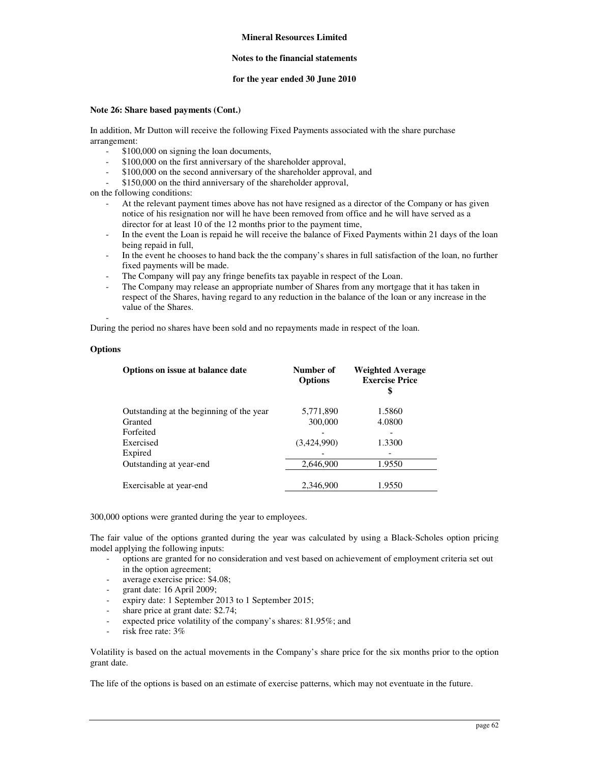### **Notes to the financial statements**

### **for the year ended 30 June 2010**

### **Note 26: Share based payments (Cont.)**

In addition, Mr Dutton will receive the following Fixed Payments associated with the share purchase arrangement:

- \$100,000 on signing the loan documents,
- \$100,000 on the first anniversary of the shareholder approval,
- \$100,000 on the second anniversary of the shareholder approval, and
- \$150,000 on the third anniversary of the shareholder approval,

on the following conditions:

- At the relevant payment times above has not have resigned as a director of the Company or has given notice of his resignation nor will he have been removed from office and he will have served as a director for at least 10 of the 12 months prior to the payment time,
- In the event the Loan is repaid he will receive the balance of Fixed Payments within 21 days of the loan being repaid in full,
- In the event he chooses to hand back the the company's shares in full satisfaction of the loan, no further fixed payments will be made.
- The Company will pay any fringe benefits tax payable in respect of the Loan.
- The Company may release an appropriate number of Shares from any mortgage that it has taken in respect of the Shares, having regard to any reduction in the balance of the loan or any increase in the value of the Shares.

During the period no shares have been sold and no repayments made in respect of the loan.

# **Options**

-

| Options on issue at balance date         | Number of<br><b>Options</b> | <b>Weighted Average</b><br><b>Exercise Price</b><br>\$ |
|------------------------------------------|-----------------------------|--------------------------------------------------------|
| Outstanding at the beginning of the year | 5,771,890                   | 1.5860                                                 |
| Granted                                  | 300,000                     | 4.0800                                                 |
| Forfeited                                |                             |                                                        |
| Exercised                                | (3,424,990)                 | 1.3300                                                 |
| Expired                                  |                             |                                                        |
| Outstanding at year-end                  | 2,646,900                   | 1.9550                                                 |
|                                          |                             |                                                        |
| Exercisable at year-end                  | 2,346,900                   | 1.9550                                                 |

300,000 options were granted during the year to employees.

The fair value of the options granted during the year was calculated by using a Black-Scholes option pricing model applying the following inputs:

- options are granted for no consideration and vest based on achievement of employment criteria set out in the option agreement;
- average exercise price: \$4.08;
- grant date: 16 April 2009;
- expiry date: 1 September 2013 to 1 September 2015;
- share price at grant date: \$2.74;
- expected price volatility of the company's shares: 81.95%; and
- risk free rate: 3%

Volatility is based on the actual movements in the Company's share price for the six months prior to the option grant date.

The life of the options is based on an estimate of exercise patterns, which may not eventuate in the future.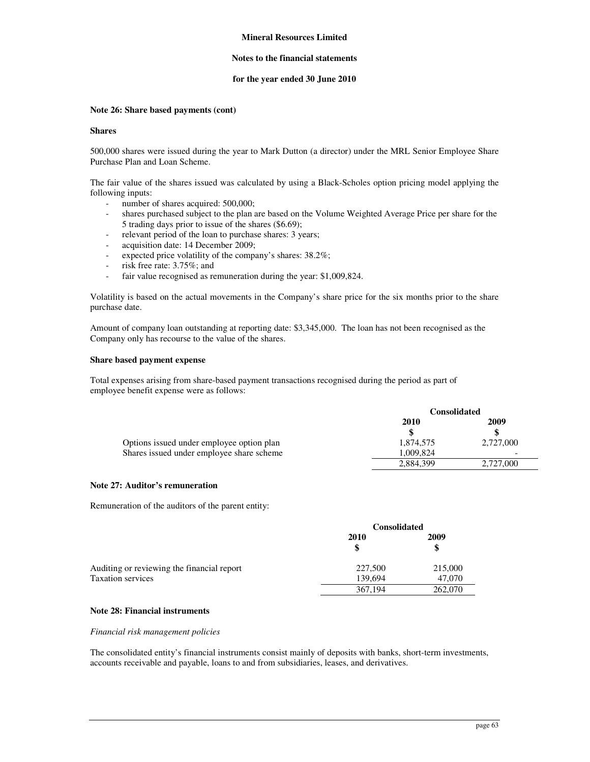### **Notes to the financial statements**

### **for the year ended 30 June 2010**

### **Note 26: Share based payments (cont)**

#### **Shares**

500,000 shares were issued during the year to Mark Dutton (a director) under the MRL Senior Employee Share Purchase Plan and Loan Scheme.

The fair value of the shares issued was calculated by using a Black-Scholes option pricing model applying the following inputs:

- number of shares acquired: 500,000;
- shares purchased subject to the plan are based on the Volume Weighted Average Price per share for the 5 trading days prior to issue of the shares (\$6.69);
- relevant period of the loan to purchase shares: 3 years;
- acquisition date: 14 December 2009;
- expected price volatility of the company's shares: 38.2%;
- risk free rate: 3.75%; and
- fair value recognised as remuneration during the year: \$1,009,824.

Volatility is based on the actual movements in the Company's share price for the six months prior to the share purchase date.

Amount of company loan outstanding at reporting date: \$3,345,000. The loan has not been recognised as the Company only has recourse to the value of the shares.

### **Share based payment expense**

Total expenses arising from share-based payment transactions recognised during the period as part of employee benefit expense were as follows:

|                                           | <b>Consolidated</b> |           |  |
|-------------------------------------------|---------------------|-----------|--|
|                                           | 2010                | 2009      |  |
|                                           | \$                  | \$        |  |
| Options issued under employee option plan | 1.874.575           | 2,727,000 |  |
| Shares issued under employee share scheme | 1.009.824           |           |  |
|                                           | 2,884,399           | 2,727,000 |  |

### **Note 27: Auditor's remuneration**

Remuneration of the auditors of the parent entity:

|                                            | <b>Consolidated</b> |         |  |
|--------------------------------------------|---------------------|---------|--|
|                                            | 2010                | 2009    |  |
| Auditing or reviewing the financial report | 227,500             | 215,000 |  |
| <b>Taxation services</b>                   | 139.694             | 47,070  |  |
|                                            | 367,194             | 262,070 |  |

### **Note 28: Financial instruments**

#### *Financial risk management policies*

The consolidated entity's financial instruments consist mainly of deposits with banks, short-term investments, accounts receivable and payable, loans to and from subsidiaries, leases, and derivatives.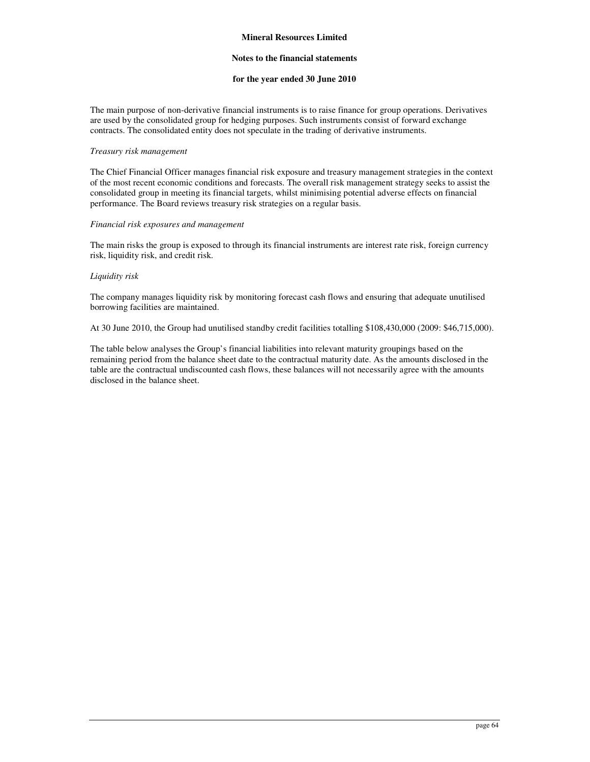### **Notes to the financial statements**

#### **for the year ended 30 June 2010**

The main purpose of non-derivative financial instruments is to raise finance for group operations. Derivatives are used by the consolidated group for hedging purposes. Such instruments consist of forward exchange contracts. The consolidated entity does not speculate in the trading of derivative instruments.

#### *Treasury risk management*

The Chief Financial Officer manages financial risk exposure and treasury management strategies in the context of the most recent economic conditions and forecasts. The overall risk management strategy seeks to assist the consolidated group in meeting its financial targets, whilst minimising potential adverse effects on financial performance. The Board reviews treasury risk strategies on a regular basis.

### *Financial risk exposures and management*

The main risks the group is exposed to through its financial instruments are interest rate risk, foreign currency risk, liquidity risk, and credit risk.

### *Liquidity risk*

The company manages liquidity risk by monitoring forecast cash flows and ensuring that adequate unutilised borrowing facilities are maintained.

At 30 June 2010, the Group had unutilised standby credit facilities totalling \$108,430,000 (2009: \$46,715,000).

The table below analyses the Group's financial liabilities into relevant maturity groupings based on the remaining period from the balance sheet date to the contractual maturity date. As the amounts disclosed in the table are the contractual undiscounted cash flows, these balances will not necessarily agree with the amounts disclosed in the balance sheet.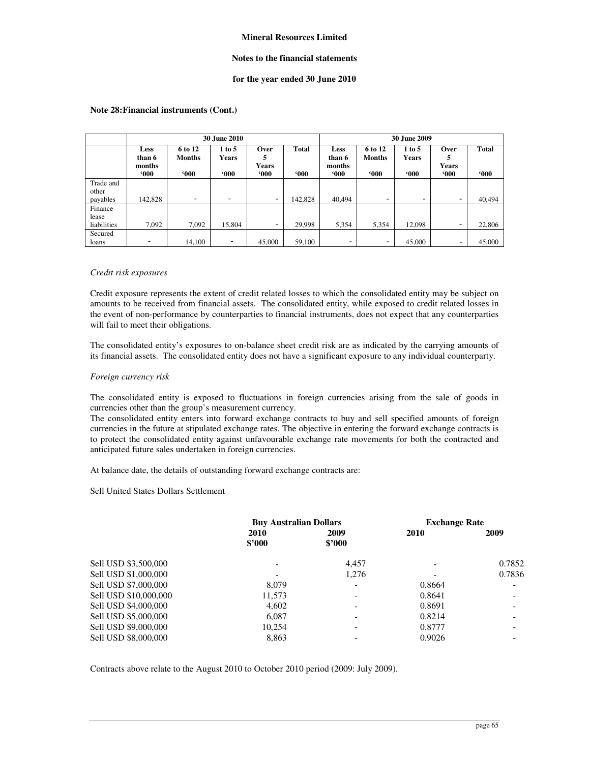### **Notes to the financial statements**

### **for the year ended 30 June 2010**

|                                 | <b>30 June 2010</b>                       |                                    |                                      |                                     |                        |                                           | 30 June 2009                       |                                      |                              |                 |
|---------------------------------|-------------------------------------------|------------------------------------|--------------------------------------|-------------------------------------|------------------------|-------------------------------------------|------------------------------------|--------------------------------------|------------------------------|-----------------|
|                                 | <b>Less</b><br>than 6<br>months<br>$000*$ | 6 to 12<br><b>Months</b><br>$000*$ | $1$ to $5$<br><b>Years</b><br>$000*$ | Over<br>5<br><b>Years</b><br>$000*$ | <b>Total</b><br>$000*$ | <b>Less</b><br>than 6<br>months<br>$000*$ | 6 to 12<br><b>Months</b><br>$000*$ | $1$ to $5$<br><b>Years</b><br>$000*$ | Over<br>5<br>Years<br>$000*$ | Total<br>$000*$ |
| Trade and<br>other<br>payables  | 142,828                                   | $\overline{\phantom{0}}$           | -                                    | $\overline{\phantom{a}}$            | 142,828                | 40.494                                    | $\overline{\phantom{a}}$           | $\overline{\phantom{a}}$             | -                            | 40,494          |
| Finance<br>lease<br>liabilities | 7,092                                     | 7.092                              | 15,804                               | $\overline{\phantom{a}}$            | 29,998                 | 5,354                                     | 5,354                              | 12,098                               | -                            | 22,806          |
| Secured<br>loans                |                                           | 14,100                             | $\overline{\phantom{0}}$             | 45,000                              | 59,100                 | -                                         |                                    | 45,000                               | $\overline{\phantom{a}}$     | 45,000          |

### **Note 28: Financial instruments (Cont.)**

### *Credit risk exposures*

Credit exposure represents the extent of credit related losses to which the consolidated entity may be subject on amounts to be received from financial assets. The consolidated entity, while exposed to credit related losses in the event of non-performance by counterparties to financial instruments, does not expect that any counterparties will fail to meet their obligations.

The consolidated entity's exposures to on-balance sheet credit risk are as indicated by the carrying amounts of its financial assets. The consolidated entity does not have a significant exposure to any individual counterparty.

#### *Foreign currency risk*

The consolidated entity is exposed to fluctuations in foreign currencies arising from the sale of goods in currencies other than the group's measurement currency.

The consolidated entity enters into forward exchange contracts to buy and sell specified amounts of foreign currencies in the future at stipulated exchange rates. The objective in entering the forward exchange contracts is to protect the consolidated entity against unfavourable exchange rate movements for both the contracted and anticipated future sales undertaken in foreign currencies.

At balance date, the details of outstanding forward exchange contracts are:

Sell United States Dollars Settlement

| <b>Buy Australian Dollars</b> |                | <b>Exchange Rate</b> |        |
|-------------------------------|----------------|----------------------|--------|
| 2010<br>\$2000                | 2009<br>\$2000 | 2010                 | 2009   |
|                               | 4.457          |                      | 0.7852 |
|                               | 1.276          |                      | 0.7836 |
| 8.079                         |                | 0.8664               |        |
| 11.573                        |                | 0.8641               |        |
| 4.602                         |                | 0.8691               |        |
| 6.087                         |                | 0.8214               |        |
| 10.254                        |                | 0.8777               |        |
| 8,863                         |                | 0.9026               |        |
|                               |                |                      |        |

Contracts above relate to the August 2010 to October 2010 period (2009: July 2009).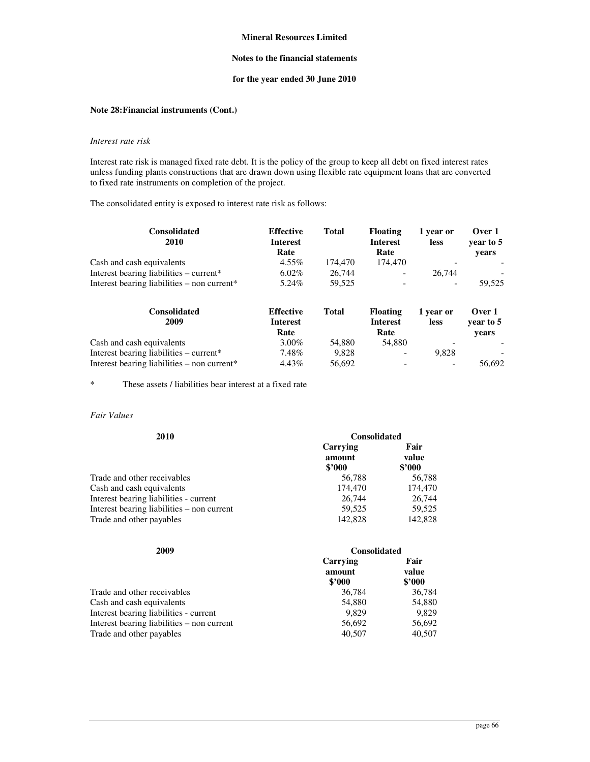## **Notes to the financial statements**

# **for the year ended 30 June 2010**

# **Note 28: Financial instruments (Cont.)**

## *Interest rate risk*

Interest rate risk is managed fixed rate debt. It is the policy of the group to keep all debt on fixed interest rates unless funding plants constructions that are drawn down using flexible rate equipment loans that are converted to fixed rate instruments on completion of the project.

The consolidated entity is exposed to interest rate risk as follows:

| <b>Consolidated</b><br>2010                   | <b>Effective</b><br><b>Interest</b><br>Rate | Total   | <b>Floating</b><br><b>Interest</b><br>Rate | 1 year or<br><b>less</b> | Over 1<br>vear to 5<br>vears |
|-----------------------------------------------|---------------------------------------------|---------|--------------------------------------------|--------------------------|------------------------------|
| Cash and cash equivalents                     | $4.55\%$                                    | 174.470 | 174,470                                    |                          |                              |
| Interest bearing liabilities – current*       | $6.02\%$                                    | 26,744  | $\overline{\phantom{a}}$                   | 26,744                   |                              |
| Interest bearing liabilities $-$ non current* | 5.24%                                       | 59.525  | $\overline{\phantom{a}}$                   | $\overline{\phantom{0}}$ | 59.525                       |

| <b>Consolidated</b><br>2009                 | <b>Effective</b><br><b>Interest</b><br>Rate | Total  | <b>Floating</b><br>Interest<br>Rate | 1 year or<br><b>less</b> | Over 1<br>vear to 5<br>vears |
|---------------------------------------------|---------------------------------------------|--------|-------------------------------------|--------------------------|------------------------------|
| Cash and cash equivalents                   | $3.00\%$                                    | 54.880 | 54.880                              |                          |                              |
| Interest bearing liabilities – current*     | 7.48%                                       | 9.828  | $\overline{\phantom{a}}$            | 9.828                    |                              |
| Interest bearing liabilities – non current* | 4.43%                                       | 56.692 |                                     | $\overline{\phantom{a}}$ | 56.692                       |

\* These assets / liabilities bear interest at a fixed rate

### *Fair Values*

| 2010                                       | <b>Consolidated</b> |               |  |
|--------------------------------------------|---------------------|---------------|--|
|                                            | Carrying<br>amount  | Fair<br>value |  |
|                                            | \$2000              | \$2000        |  |
| Trade and other receivables                | 56,788              | 56,788        |  |
| Cash and cash equivalents                  | 174,470             | 174,470       |  |
| Interest bearing liabilities - current     | 26,744              | 26,744        |  |
| Interest bearing liabilities – non current | 59.525              | 59.525        |  |
| Trade and other payables                   | 142,828             | 142,828       |  |

| 2009                                       | <b>Consolidated</b>          |                         |  |
|--------------------------------------------|------------------------------|-------------------------|--|
|                                            | Carrying<br>amount<br>\$2000 | Fair<br>value<br>\$2000 |  |
| Trade and other receivables                | 36,784                       | 36,784                  |  |
| Cash and cash equivalents                  | 54,880                       | 54,880                  |  |
| Interest bearing liabilities - current     | 9.829                        | 9.829                   |  |
| Interest bearing liabilities – non current | 56,692                       | 56,692                  |  |
| Trade and other payables                   | 40,507                       | 40,507                  |  |
|                                            |                              |                         |  |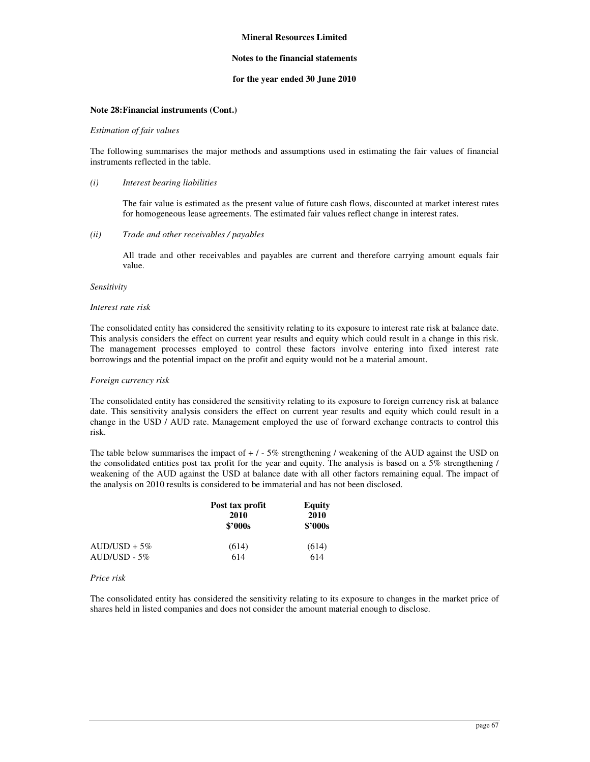### **Notes to the financial statements**

### **for the year ended 30 June 2010**

### **Note 28: Financial instruments (Cont.)**

#### *Estimation of fair values*

The following summarises the major methods and assumptions used in estimating the fair values of financial instruments reflected in the table.

#### *(i) Interest bearing liabilities*

The fair value is estimated as the present value of future cash flows, discounted at market interest rates for homogeneous lease agreements. The estimated fair values reflect change in interest rates.

### *(ii) Trade and other receivables / payables*

All trade and other receivables and payables are current and therefore carrying amount equals fair value.

#### *Sensitivity*

### *Interest rate risk*

The consolidated entity has considered the sensitivity relating to its exposure to interest rate risk at balance date. This analysis considers the effect on current year results and equity which could result in a change in this risk. The management processes employed to control these factors involve entering into fixed interest rate borrowings and the potential impact on the profit and equity would not be a material amount.

#### *Foreign currency risk*

The consolidated entity has considered the sensitivity relating to its exposure to foreign currency risk at balance date. This sensitivity analysis considers the effect on current year results and equity which could result in a change in the USD / AUD rate. Management employed the use of forward exchange contracts to control this risk.

The table below summarises the impact of  $+ / -5\%$  strengthening / weakening of the AUD against the USD on the consolidated entities post tax profit for the year and equity. The analysis is based on a 5% strengthening / weakening of the AUD against the USD at balance date with all other factors remaining equal. The impact of the analysis on 2010 results is considered to be immaterial and has not been disclosed.

|                | Post tax profit<br>2010<br>\$2000s | Equity<br>2010<br>\$2000s |  |
|----------------|------------------------------------|---------------------------|--|
| $AUD/USD + 5%$ | (614)                              | (614)                     |  |
| $AUD/USD - 5%$ | 614                                | 614                       |  |

#### *Price risk*

The consolidated entity has considered the sensitivity relating to its exposure to changes in the market price of shares held in listed companies and does not consider the amount material enough to disclose.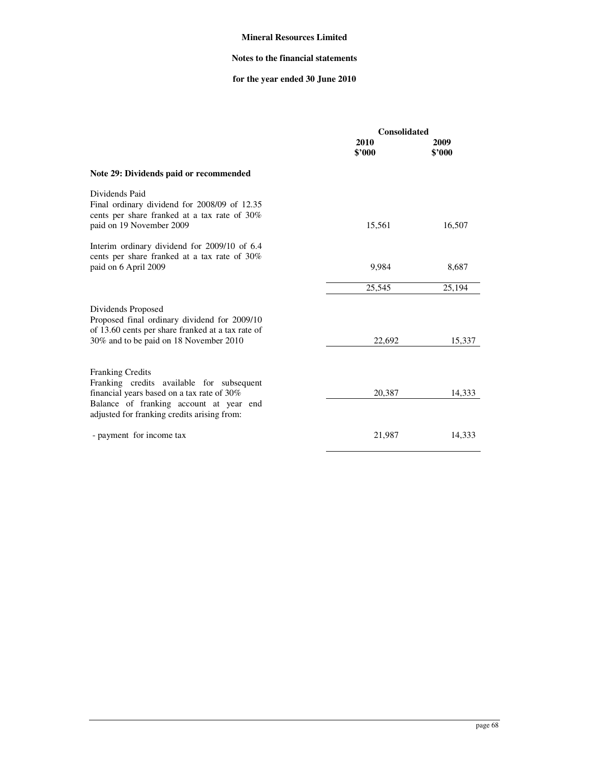# **Notes to the financial statements**

# **for the year ended 30 June 2010**

|                                                                                                                                                                                                              | <b>Consolidated</b> |                |
|--------------------------------------------------------------------------------------------------------------------------------------------------------------------------------------------------------------|---------------------|----------------|
|                                                                                                                                                                                                              | 2010<br>\$3000      | 2009<br>\$'000 |
| Note 29: Dividends paid or recommended                                                                                                                                                                       |                     |                |
| Dividends Paid<br>Final ordinary dividend for 2008/09 of 12.35<br>cents per share franked at a tax rate of 30%<br>paid on 19 November 2009                                                                   | 15,561              | 16,507         |
| Interim ordinary dividend for 2009/10 of 6.4<br>cents per share franked at a tax rate of 30%<br>paid on 6 April 2009                                                                                         | 9,984               | 8,687          |
|                                                                                                                                                                                                              | 25,545              | 25,194         |
| Dividends Proposed<br>Proposed final ordinary dividend for 2009/10<br>of 13.60 cents per share franked at a tax rate of<br>30% and to be paid on 18 November 2010                                            | 22,692              | 15,337         |
| <b>Franking Credits</b><br>Franking credits available for subsequent<br>financial years based on a tax rate of 30%<br>Balance of franking account at year end<br>adjusted for franking credits arising from: | 20,387              | 14.333         |
| - payment for income tax                                                                                                                                                                                     | 21,987              | 14,333         |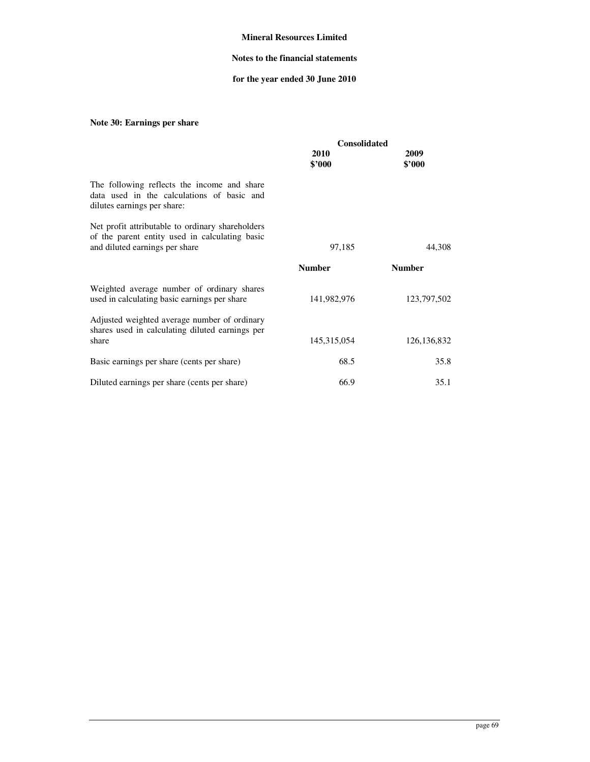# **Notes to the financial statements**

# **for the year ended 30 June 2010**

# **Note 30: Earnings per share**

|                                                                                                                                      | <b>Consolidated</b> |                |  |
|--------------------------------------------------------------------------------------------------------------------------------------|---------------------|----------------|--|
|                                                                                                                                      | 2010<br>\$2000      | 2009<br>\$'000 |  |
| The following reflects the income and share<br>data used in the calculations of basic and<br>dilutes earnings per share:             |                     |                |  |
| Net profit attributable to ordinary shareholders<br>of the parent entity used in calculating basic<br>and diluted earnings per share | 97,185              | 44,308         |  |
|                                                                                                                                      | <b>Number</b>       | <b>Number</b>  |  |
| Weighted average number of ordinary shares<br>used in calculating basic earnings per share                                           | 141,982,976         | 123,797,502    |  |
| Adjusted weighted average number of ordinary<br>shares used in calculating diluted earnings per<br>share                             | 145, 315, 054       | 126, 136, 832  |  |
|                                                                                                                                      | 68.5                | 35.8           |  |
| Basic earnings per share (cents per share)                                                                                           |                     |                |  |
| Diluted earnings per share (cents per share)                                                                                         | 66.9                | 35.1           |  |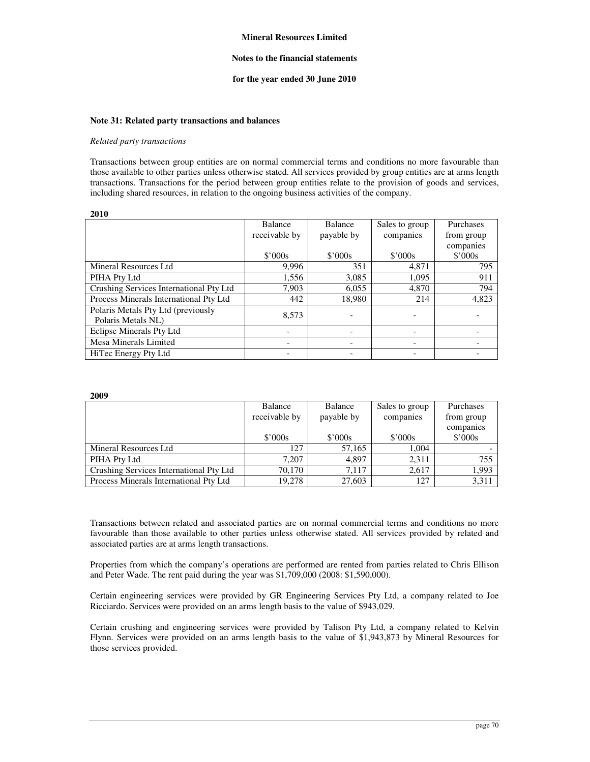### **Notes to the financial statements**

#### **for the year ended 30 June 2010**

#### **Note 31: Related party transactions and balances**

#### *Related party transactions*

**2009** 

Transactions between group entities are on normal commercial terms and conditions no more favourable than those available to other parties unless otherwise stated. All services provided by group entities are at arms length transactions. Transactions for the period between group entities relate to the provision of goods and services, including shared resources, in relation to the ongoing business activities of the company.

| 2010                                                     |                |                |                 |                      |
|----------------------------------------------------------|----------------|----------------|-----------------|----------------------|
|                                                          | <b>Balance</b> | <b>Balance</b> | Sales to group  | Purchases            |
|                                                          | receivable by  | payable by     | companies       | from group           |
|                                                          | \$'000s        | \$'000s        | $$^{\circ}000s$ | companies<br>\$'000s |
| Mineral Resources Ltd                                    | 9.996          | 351            | 4,871           | 795                  |
| PIHA Pty Ltd                                             | 1,556          | 3,085          | 1,095           | 911                  |
| Crushing Services International Pty Ltd                  | 7.903          | 6,055          | 4,870           | 794                  |
| Process Minerals International Pty Ltd                   | 442            | 18.980         | 214             | 4,823                |
| Polaris Metals Pty Ltd (previously<br>Polaris Metals NL) | 8.573          |                |                 |                      |
| Eclipse Minerals Pty Ltd                                 |                |                |                 |                      |
| Mesa Minerals Limited                                    |                |                |                 |                      |
| HiTec Energy Pty Ltd                                     |                |                |                 |                      |

| -----                                   |                 |                 |                 |            |
|-----------------------------------------|-----------------|-----------------|-----------------|------------|
|                                         | Balance         | Balance         | Sales to group  | Purchases  |
|                                         | receivable by   | payable by      | companies       | from group |
|                                         |                 |                 |                 | companies  |
|                                         | $$^{\circ}000s$ | $$^{\circ}000s$ | $$^{\circ}000s$ | \$'000s    |
| Mineral Resources Ltd                   | 127             | 57,165          | 1.004           |            |
| PIHA Pty Ltd                            | 7.207           | 4.897           | 2.311           | 755        |
| Crushing Services International Pty Ltd | 70.170          | 7.117           | 2,617           | 1,993      |
| Process Minerals International Pty Ltd  | 19,278          | 27,603          | 127             | 3,311      |

Transactions between related and associated parties are on normal commercial terms and conditions no more favourable than those available to other parties unless otherwise stated. All services provided by related and associated parties are at arms length transactions.

Properties from which the company's operations are performed are rented from parties related to Chris Ellison and Peter Wade. The rent paid during the year was \$1,709,000 (2008: \$1,590,000).

Certain engineering services were provided by GR Engineering Services Pty Ltd, a company related to Joe Ricciardo. Services were provided on an arms length basis to the value of \$943,029.

Certain crushing and engineering services were provided by Talison Pty Ltd, a company related to Kelvin Flynn. Services were provided on an arms length basis to the value of \$1,943,873 by Mineral Resources for those services provided.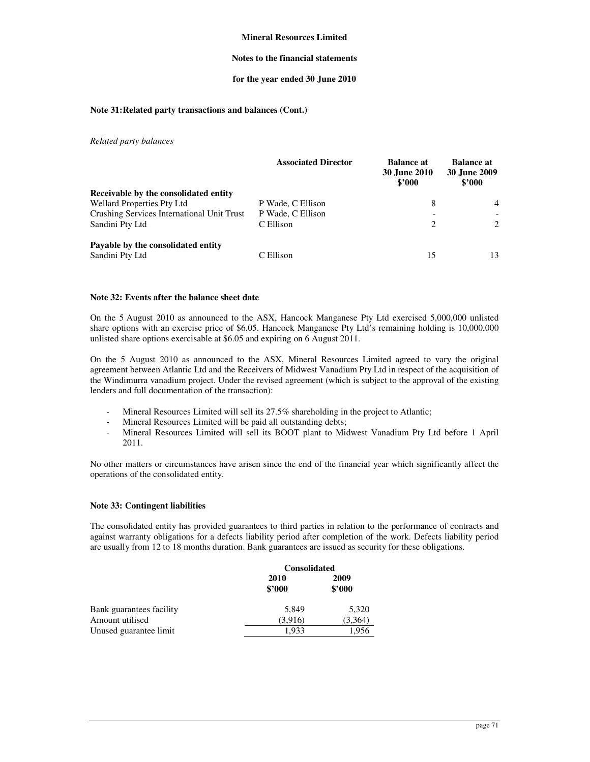### **Notes to the financial statements**

### **for the year ended 30 June 2010**

### **Note 31: Related party transactions and balances (Cont.)**

*Related party balances* 

|                                            | <b>Associated Director</b> | <b>Balance at</b><br><b>30 June 2010</b><br>\$2000 | <b>Balance at</b><br><b>30 June 2009</b><br>\$2000 |
|--------------------------------------------|----------------------------|----------------------------------------------------|----------------------------------------------------|
| Receivable by the consolidated entity      |                            |                                                    |                                                    |
| <b>Wellard Properties Pty Ltd</b>          | P Wade, C Ellison          | 8                                                  | $\overline{4}$                                     |
| Crushing Services International Unit Trust | P Wade, C Ellison          |                                                    |                                                    |
| Sandini Pty Ltd                            | C Ellison                  | $\overline{c}$                                     | 2                                                  |
| Payable by the consolidated entity         |                            |                                                    |                                                    |
| Sandini Pty Ltd                            | C Ellison                  | 15                                                 | 13                                                 |

### **Note 32: Events after the balance sheet date**

On the 5 August 2010 as announced to the ASX, Hancock Manganese Pty Ltd exercised 5,000,000 unlisted share options with an exercise price of \$6.05. Hancock Manganese Pty Ltd's remaining holding is 10,000,000 unlisted share options exercisable at \$6.05 and expiring on 6 August 2011.

On the 5 August 2010 as announced to the ASX, Mineral Resources Limited agreed to vary the original agreement between Atlantic Ltd and the Receivers of Midwest Vanadium Pty Ltd in respect of the acquisition of the Windimurra vanadium project. Under the revised agreement (which is subject to the approval of the existing lenders and full documentation of the transaction):

- Mineral Resources Limited will sell its 27.5% shareholding in the project to Atlantic;
- Mineral Resources Limited will be paid all outstanding debts;
- Mineral Resources Limited will sell its BOOT plant to Midwest Vanadium Pty Ltd before 1 April 2011.

No other matters or circumstances have arisen since the end of the financial year which significantly affect the operations of the consolidated entity.

# **Note 33: Contingent liabilities**

The consolidated entity has provided guarantees to third parties in relation to the performance of contracts and against warranty obligations for a defects liability period after completion of the work. Defects liability period are usually from 12 to 18 months duration. Bank guarantees are issued as security for these obligations.

|                          | <b>Consolidated</b> |                |
|--------------------------|---------------------|----------------|
|                          | 2010<br>\$2000      | 2009<br>\$2000 |
| Bank guarantees facility | 5,849               | 5,320          |
| Amount utilised          | (3.916)             | (3.364)        |
| Unused guarantee limit   | 1.933               | 1.956          |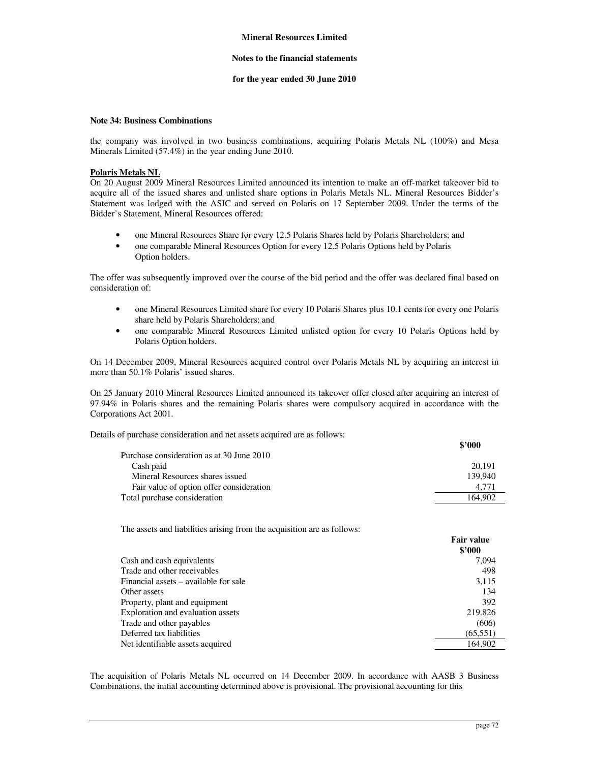### **Notes to the financial statements**

### **for the year ended 30 June 2010**

### **Note 34: Business Combinations**

the company was involved in two business combinations, acquiring Polaris Metals NL (100%) and Mesa Minerals Limited (57.4%) in the year ending June 2010.

# **Polaris Metals NL**

On 20 August 2009 Mineral Resources Limited announced its intention to make an off-market takeover bid to acquire all of the issued shares and unlisted share options in Polaris Metals NL. Mineral Resources Bidder's Statement was lodged with the ASIC and served on Polaris on 17 September 2009. Under the terms of the Bidder's Statement, Mineral Resources offered:

- one Mineral Resources Share for every 12.5 Polaris Shares held by Polaris Shareholders; and
- one comparable Mineral Resources Option for every 12.5 Polaris Options held by Polaris Option holders.

The offer was subsequently improved over the course of the bid period and the offer was declared final based on consideration of:

- one Mineral Resources Limited share for every 10 Polaris Shares plus 10.1 cents for every one Polaris share held by Polaris Shareholders; and
- one comparable Mineral Resources Limited unlisted option for every 10 Polaris Options held by Polaris Option holders.

On 14 December 2009, Mineral Resources acquired control over Polaris Metals NL by acquiring an interest in more than 50.1% Polaris' issued shares.

On 25 January 2010 Mineral Resources Limited announced its takeover offer closed after acquiring an interest of 97.94% in Polaris shares and the remaining Polaris shares were compulsory acquired in accordance with the Corporations Act 2001.

Details of purchase consideration and net assets acquired are as follows:

|                                           | \$2000  |
|-------------------------------------------|---------|
| Purchase consideration as at 30 June 2010 |         |
| Cash paid                                 | 20.191  |
| Mineral Resources shares issued           | 139.940 |
| Fair value of option offer consideration  | 4.771   |
| Total purchase consideration              | 164,902 |

The assets and liabilities arising from the acquisition are as follows:

|                                       | <b>Fair value</b> |
|---------------------------------------|-------------------|
|                                       | \$2000            |
| Cash and cash equivalents             | 7.094             |
| Trade and other receivables           | 498               |
| Financial assets – available for sale | 3,115             |
| Other assets                          | 134               |
| Property, plant and equipment         | 392               |
| Exploration and evaluation assets     | 219,826           |
| Trade and other payables              | (606)             |
| Deferred tax liabilities              | (65, 551)         |
| Net identifiable assets acquired      | 164.902           |

The acquisition of Polaris Metals NL occurred on 14 December 2009. In accordance with AASB 3 Business Combinations, the initial accounting determined above is provisional. The provisional accounting for this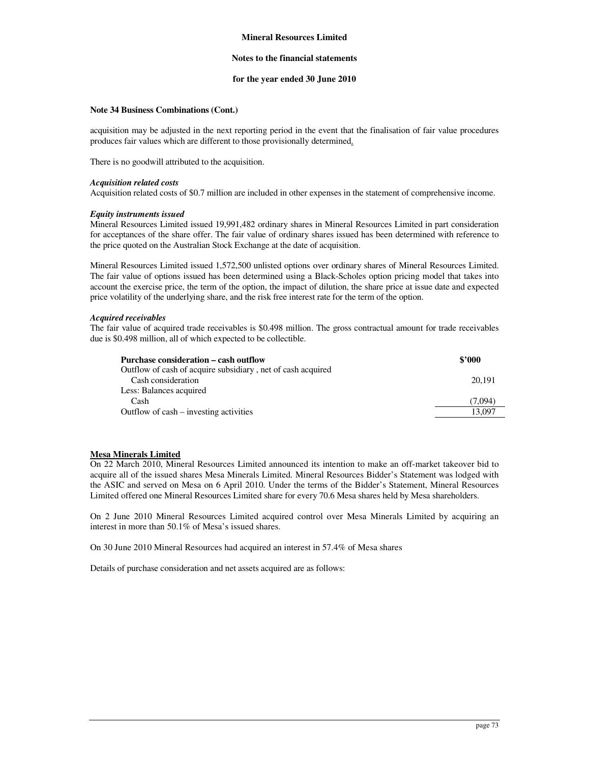### **Notes to the financial statements**

# **for the year ended 30 June 2010**

# **Note 34 Business Combinations (Cont.)**

acquisition may be adjusted in the next reporting period in the event that the finalisation of fair value procedures produces fair values which are different to those provisionally determined.

There is no goodwill attributed to the acquisition.

#### *Acquisition related costs*

Acquisition related costs of \$0.7 million are included in other expenses in the statement of comprehensive income.

### *Equity instruments issued*

Mineral Resources Limited issued 19,991,482 ordinary shares in Mineral Resources Limited in part consideration for acceptances of the share offer. The fair value of ordinary shares issued has been determined with reference to the price quoted on the Australian Stock Exchange at the date of acquisition.

Mineral Resources Limited issued 1,572,500 unlisted options over ordinary shares of Mineral Resources Limited. The fair value of options issued has been determined using a Black-Scholes option pricing model that takes into account the exercise price, the term of the option, the impact of dilution, the share price at issue date and expected price volatility of the underlying share, and the risk free interest rate for the term of the option.

### *Acquired receivables*

The fair value of acquired trade receivables is \$0.498 million. The gross contractual amount for trade receivables due is \$0.498 million, all of which expected to be collectible.

| Purchase consideration – cash outflow                       | \$2000  |
|-------------------------------------------------------------|---------|
| Outflow of cash of acquire subsidiary, net of cash acquired |         |
| Cash consideration                                          | 20.191  |
| Less: Balances acquired                                     |         |
| Cash                                                        | (7.094) |
| Outflow of cash – investing activities                      | 13.097  |
|                                                             |         |

# **Mesa Minerals Limited**

On 22 March 2010, Mineral Resources Limited announced its intention to make an off-market takeover bid to acquire all of the issued shares Mesa Minerals Limited. Mineral Resources Bidder's Statement was lodged with the ASIC and served on Mesa on 6 April 2010. Under the terms of the Bidder's Statement, Mineral Resources Limited offered one Mineral Resources Limited share for every 70.6 Mesa shares held by Mesa shareholders.

On 2 June 2010 Mineral Resources Limited acquired control over Mesa Minerals Limited by acquiring an interest in more than 50.1% of Mesa's issued shares.

On 30 June 2010 Mineral Resources had acquired an interest in 57.4% of Mesa shares

Details of purchase consideration and net assets acquired are as follows: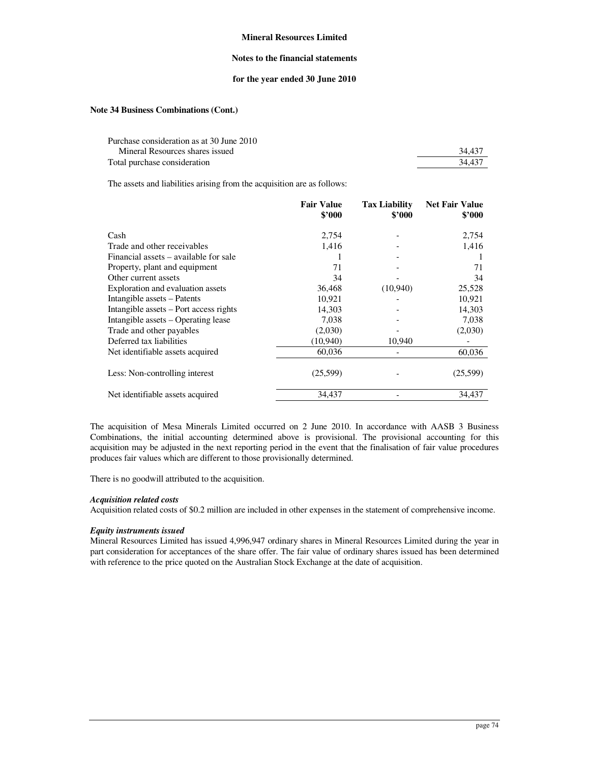## **Notes to the financial statements**

### **for the year ended 30 June 2010**

# **Note 34 Business Combinations (Cont.)**

| Purchase consideration as at 30 June 2010 |        |
|-------------------------------------------|--------|
| Mineral Resources shares issued           | 34.437 |
| Total purchase consideration              | 34.437 |

The assets and liabilities arising from the acquisition are as follows:

|                                        | <b>Fair Value</b><br>\$3000 | <b>Tax Liability</b><br>\$'000 | <b>Net Fair Value</b><br>\$3000 |
|----------------------------------------|-----------------------------|--------------------------------|---------------------------------|
| Cash                                   | 2,754                       |                                | 2,754                           |
| Trade and other receivables            | 1,416                       |                                | 1,416                           |
| Financial assets – available for sale  |                             |                                |                                 |
| Property, plant and equipment          | 71                          |                                | 71                              |
| Other current assets                   | 34                          |                                | 34                              |
| Exploration and evaluation assets      | 36,468                      | (10,940)                       | 25,528                          |
| Intangible assets – Patents            | 10,921                      |                                | 10,921                          |
| Intangible assets – Port access rights | 14,303                      |                                | 14,303                          |
| Intangible assets – Operating lease    | 7,038                       |                                | 7,038                           |
| Trade and other payables               | (2,030)                     |                                | (2,030)                         |
| Deferred tax liabilities               | (10, 940)                   | 10,940                         |                                 |
| Net identifiable assets acquired       | 60,036                      |                                | 60,036                          |
| Less: Non-controlling interest         | (25,599)                    |                                | (25,599)                        |
| Net identifiable assets acquired       | 34,437                      |                                | 34,437                          |
|                                        |                             |                                |                                 |

The acquisition of Mesa Minerals Limited occurred on 2 June 2010. In accordance with AASB 3 Business Combinations, the initial accounting determined above is provisional. The provisional accounting for this acquisition may be adjusted in the next reporting period in the event that the finalisation of fair value procedures produces fair values which are different to those provisionally determined.

There is no goodwill attributed to the acquisition.

# *Acquisition related costs*

Acquisition related costs of \$0.2 million are included in other expenses in the statement of comprehensive income.

# *Equity instruments issued*

Mineral Resources Limited has issued 4,996,947 ordinary shares in Mineral Resources Limited during the year in part consideration for acceptances of the share offer. The fair value of ordinary shares issued has been determined with reference to the price quoted on the Australian Stock Exchange at the date of acquisition.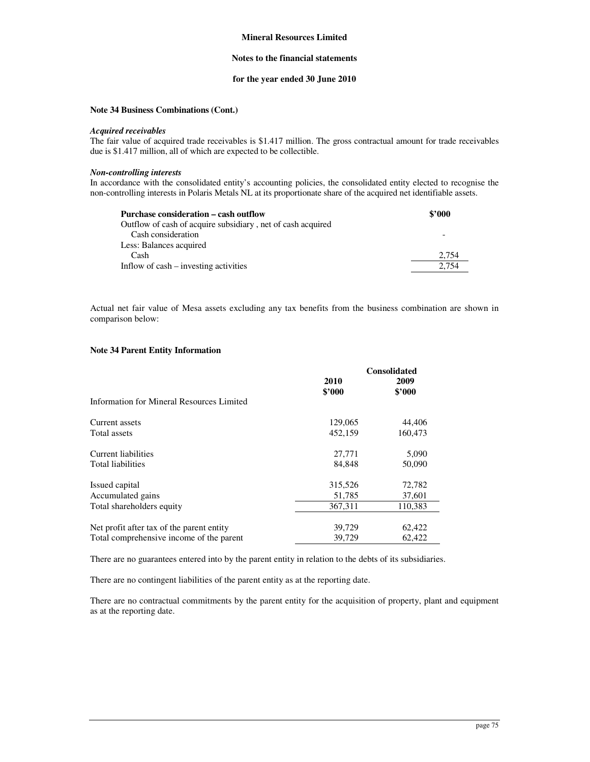### **Notes to the financial statements**

# **for the year ended 30 June 2010**

# **Note 34 Business Combinations (Cont.)**

#### *Acquired receivables*

The fair value of acquired trade receivables is \$1.417 million. The gross contractual amount for trade receivables due is \$1.417 million, all of which are expected to be collectible.

# *Non-controlling interests*

In accordance with the consolidated entity's accounting policies, the consolidated entity elected to recognise the non-controlling interests in Polaris Metals NL at its proportionate share of the acquired net identifiable assets.

| Purchase consideration – cash outflow                       | \$2000 |
|-------------------------------------------------------------|--------|
| Outflow of cash of acquire subsidiary, net of cash acquired |        |
| Cash consideration                                          |        |
| Less: Balances acquired                                     |        |
| Cash                                                        | 2.754  |
| Inflow of cash – investing activities                       | 2.754  |
|                                                             |        |

Actual net fair value of Mesa assets excluding any tax benefits from the business combination are shown in comparison below:

### **Note 34 Parent Entity Information**

|                                           | <b>Consolidated</b>   |                |
|-------------------------------------------|-----------------------|----------------|
|                                           | <b>2010</b><br>\$2000 | 2009<br>\$2000 |
| Information for Mineral Resources Limited |                       |                |
| Current assets                            | 129,065               | 44,406         |
| Total assets                              | 452,159               | 160,473        |
| Current liabilities                       | 27,771                | 5,090          |
| <b>Total liabilities</b>                  | 84,848                | 50,090         |
| Issued capital                            | 315,526               | 72,782         |
| Accumulated gains                         | 51,785                | 37,601         |
| Total shareholders equity                 | 367.311               | 110,383        |
| Net profit after tax of the parent entity | 39,729                | 62,422         |
| Total comprehensive income of the parent  | 39.729                | 62.422         |

There are no guarantees entered into by the parent entity in relation to the debts of its subsidiaries.

There are no contingent liabilities of the parent entity as at the reporting date.

There are no contractual commitments by the parent entity for the acquisition of property, plant and equipment as at the reporting date.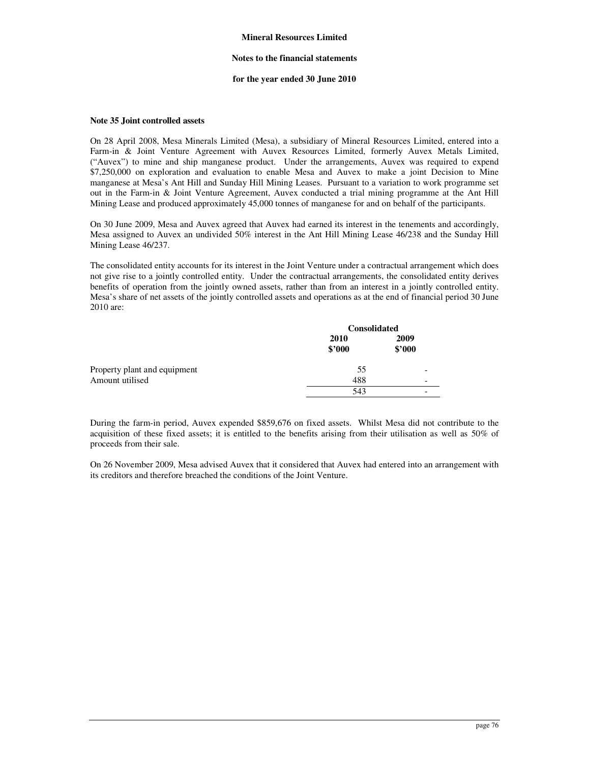### **Notes to the financial statements**

### **for the year ended 30 June 2010**

### **Note 35 Joint controlled assets**

On 28 April 2008, Mesa Minerals Limited (Mesa), a subsidiary of Mineral Resources Limited, entered into a Farm-in & Joint Venture Agreement with Auvex Resources Limited, formerly Auvex Metals Limited, ("Auvex") to mine and ship manganese product. Under the arrangements, Auvex was required to expend \$7,250,000 on exploration and evaluation to enable Mesa and Auvex to make a joint Decision to Mine manganese at Mesa's Ant Hill and Sunday Hill Mining Leases. Pursuant to a variation to work programme set out in the Farm-in & Joint Venture Agreement, Auvex conducted a trial mining programme at the Ant Hill Mining Lease and produced approximately 45,000 tonnes of manganese for and on behalf of the participants.

On 30 June 2009, Mesa and Auvex agreed that Auvex had earned its interest in the tenements and accordingly, Mesa assigned to Auvex an undivided 50% interest in the Ant Hill Mining Lease 46/238 and the Sunday Hill Mining Lease 46/237.

The consolidated entity accounts for its interest in the Joint Venture under a contractual arrangement which does not give rise to a jointly controlled entity. Under the contractual arrangements, the consolidated entity derives benefits of operation from the jointly owned assets, rather than from an interest in a jointly controlled entity. Mesa's share of net assets of the jointly controlled assets and operations as at the end of financial period 30 June 2010 are:

|                              | <b>Consolidated</b> |                |
|------------------------------|---------------------|----------------|
|                              | 2010<br>\$2000      | 2009<br>\$'000 |
| Property plant and equipment | 55                  | -              |
| Amount utilised              | 488                 | -              |
|                              | 543                 | -              |

During the farm-in period, Auvex expended \$859,676 on fixed assets. Whilst Mesa did not contribute to the acquisition of these fixed assets; it is entitled to the benefits arising from their utilisation as well as 50% of proceeds from their sale.

On 26 November 2009, Mesa advised Auvex that it considered that Auvex had entered into an arrangement with its creditors and therefore breached the conditions of the Joint Venture.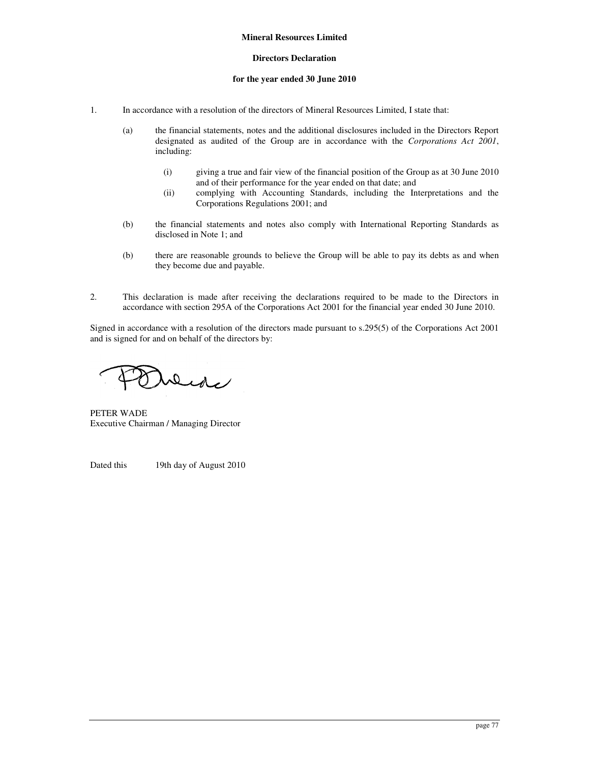# **Directors Declaration**

# **for the year ended 30 June 2010**

- 1. In accordance with a resolution of the directors of Mineral Resources Limited, I state that:
	- (a) the financial statements, notes and the additional disclosures included in the Directors Report designated as audited of the Group are in accordance with the *Corporations Act 2001*, including:
		- (i) giving a true and fair view of the financial position of the Group as at 30 June 2010 and of their performance for the year ended on that date; and
		- (ii) complying with Accounting Standards, including the Interpretations and the Corporations Regulations 2001; and
	- (b) the financial statements and notes also comply with International Reporting Standards as disclosed in Note 1; and
	- (b) there are reasonable grounds to believe the Group will be able to pay its debts as and when they become due and payable.
- 2. This declaration is made after receiving the declarations required to be made to the Directors in accordance with section 295A of the Corporations Act 2001 for the financial year ended 30 June 2010.

Signed in accordance with a resolution of the directors made pursuant to s.295(5) of the Corporations Act 2001 and is signed for and on behalf of the directors by:

Dede

PETER WADE Executive Chairman / Managing Director

Dated this 19th day of August 2010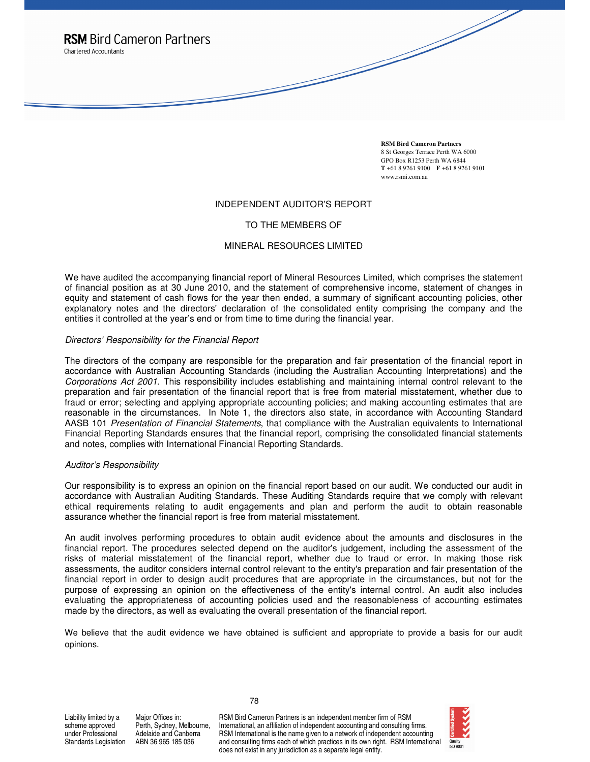

**RSM Bird Cameron Partners**  8 St Georges Terrace Perth WA 6000 GPO Box R1253 Perth WA 6844 **T** +61 8 9261 9100 **F** +61 8 9261 9101 www.rsmi.com.au

### INDEPENDENT AUDITOR'S REPORT

# TO THE MEMBERS OF

# MINERAL RESOURCES LIMITED

We have audited the accompanying financial report of Mineral Resources Limited, which comprises the statement of financial position as at 30 June 2010, and the statement of comprehensive income, statement of changes in equity and statement of cash flows for the year then ended, a summary of significant accounting policies, other explanatory notes and the directors' declaration of the consolidated entity comprising the company and the entities it controlled at the year's end or from time to time during the financial year.

### Directors' Responsibility for the Financial Report

The directors of the company are responsible for the preparation and fair presentation of the financial report in accordance with Australian Accounting Standards (including the Australian Accounting Interpretations) and the Corporations Act 2001. This responsibility includes establishing and maintaining internal control relevant to the preparation and fair presentation of the financial report that is free from material misstatement, whether due to fraud or error; selecting and applying appropriate accounting policies; and making accounting estimates that are reasonable in the circumstances. In Note 1, the directors also state, in accordance with Accounting Standard AASB 101 Presentation of Financial Statements, that compliance with the Australian equivalents to International Financial Reporting Standards ensures that the financial report, comprising the consolidated financial statements and notes, complies with International Financial Reporting Standards.

# Auditor's Responsibility

Our responsibility is to express an opinion on the financial report based on our audit. We conducted our audit in accordance with Australian Auditing Standards. These Auditing Standards require that we comply with relevant ethical requirements relating to audit engagements and plan and perform the audit to obtain reasonable assurance whether the financial report is free from material misstatement.

An audit involves performing procedures to obtain audit evidence about the amounts and disclosures in the financial report. The procedures selected depend on the auditor's judgement, including the assessment of the risks of material misstatement of the financial report, whether due to fraud or error. In making those risk assessments, the auditor considers internal control relevant to the entity's preparation and fair presentation of the financial report in order to design audit procedures that are appropriate in the circumstances, but not for the purpose of expressing an opinion on the effectiveness of the entity's internal control. An audit also includes evaluating the appropriateness of accounting policies used and the reasonableness of accounting estimates made by the directors, as well as evaluating the overall presentation of the financial report.

We believe that the audit evidence we have obtained is sufficient and appropriate to provide a basis for our audit opinions.

78

Liability limited by a scheme approved under Professional Standards Legislation

Major Offices in: Perth, Sydney, Melbourne, Adelaide and Canberra ABN 36 965 185 036